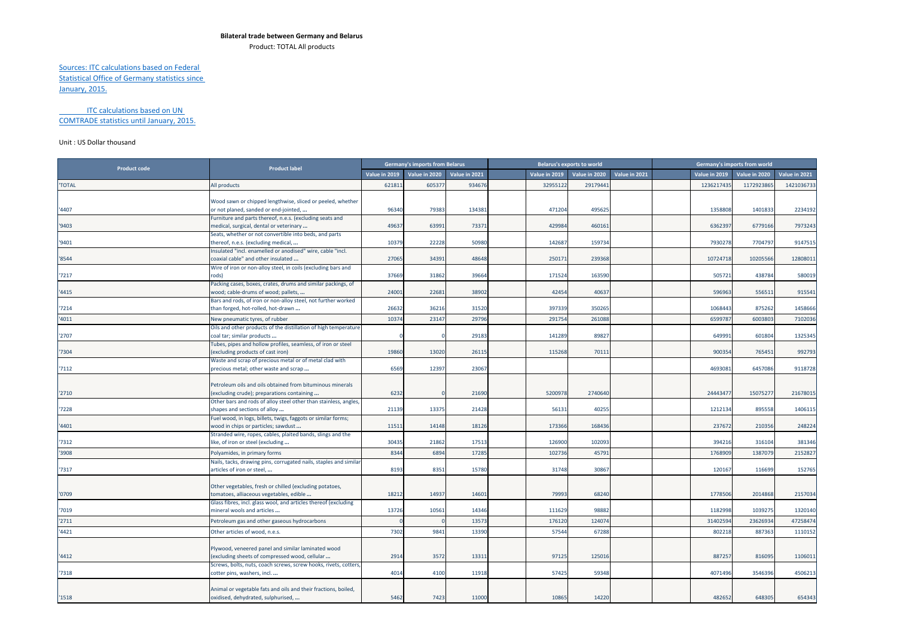## **Bilateral trade between Germany and Belarus**

Product: TOTAL All products

## Sources: ITC calculations based on Federal Statistical Office of Germany statistics since January, 2015.

## ITC calculations based on UN COMTRADE statistics until January, 2015.

## Unit : US Dollar thousand

|                     |                                                                                               |               | <b>Germany's imports from Belarus</b> |               |               | <b>Belarus's exports to world</b> |               |               | Germany's imports from world |               |
|---------------------|-----------------------------------------------------------------------------------------------|---------------|---------------------------------------|---------------|---------------|-----------------------------------|---------------|---------------|------------------------------|---------------|
| <b>Product code</b> | <b>Product label</b>                                                                          | Value in 2019 | Value in 2020                         | Value in 2021 | Value in 2019 | Value in 2020                     | Value in 2021 | Value in 2019 | Value in 2020                | Value in 2021 |
| <b>TOTAL</b>        | All products                                                                                  | 621811        | 60537                                 | 934676        | 32955122      | 29179441                          |               | 1236217435    | 117292386                    | 1421036733    |
|                     |                                                                                               |               |                                       |               |               |                                   |               |               |                              |               |
|                     | Wood sawn or chipped lengthwise, sliced or peeled, whether                                    |               |                                       |               |               |                                   |               |               |                              |               |
| '4407               | or not planed, sanded or end-jointed,                                                         | 96340         | 79383                                 | 134381        | 471204        | 495625                            |               | 1358808       | 1401833                      | 2234192       |
|                     | Furniture and parts thereof, n.e.s. (excluding seats and                                      |               |                                       |               |               |                                   |               |               |                              |               |
| '9403               | medical, surgical, dental or veterinary                                                       | 49637         | 63991                                 | 73371         | 429984        | 460161                            |               | 6362397       | 6779166                      | 7973243       |
|                     | Seats, whether or not convertible into beds, and parts                                        |               |                                       |               |               |                                   |               |               |                              |               |
| '9401               | thereof, n.e.s. (excluding medical,                                                           | 10379         | 22228                                 | 50980         | 142687        | 159734                            |               | 7930278       | 7704797                      | 9147515       |
|                     | Insulated "incl. enamelled or anodised" wire, cable "incl.                                    |               |                                       |               |               |                                   |               |               |                              |               |
| '8544               | coaxial cable" and other insulated                                                            | 27065         | 34391                                 | 48648         | 250171        | 239368                            |               | 10724718      | 10205566                     | 12808011      |
|                     | Wire of iron or non-alloy steel, in coils (excluding bars and                                 |               |                                       |               |               |                                   |               |               |                              |               |
| '7217               | rods)                                                                                         | 37669         | 31862                                 | 39664         | 171524        | 163590                            |               | 505721        | 438784                       | 580019        |
|                     | Packing cases, boxes, crates, drums and similar packings, of                                  |               |                                       |               |               |                                   |               |               |                              |               |
| '4415               | wood; cable-drums of wood; pallets,                                                           | 24001         | 22681                                 | 38902         | 42454         | 40637                             |               | 596963        | 55651                        | 915541        |
|                     | Bars and rods, of iron or non-alloy steel, not further worked                                 |               |                                       |               |               |                                   |               |               |                              |               |
| 7214                | than forged, hot-rolled, hot-drawn                                                            | 26632         | 36216                                 | 31520         | 397339        | 350265                            |               | 1068443       | 875262                       | 1458666       |
| 4011                | New pneumatic tyres, of rubber                                                                | 10374         | 23147                                 | 29796         | 29175         | 26108                             |               | 6599787       | 600380                       | 7102036       |
|                     | Oils and other products of the distillation of high temperature                               |               |                                       |               |               |                                   |               |               |                              |               |
| '2707               | coal tar; similar products                                                                    |               |                                       | 29183         | 141289        | 89827                             |               | 649991        | 601804                       | 1325345       |
|                     | Tubes, pipes and hollow profiles, seamless, of iron or steel                                  |               |                                       |               |               |                                   |               |               |                              |               |
| 7304                | excluding products of cast iron)                                                              | 19860         | 13020                                 | 26115         | 115268        | 70111                             |               | 900354        | 765451                       | 992793        |
|                     | Waste and scrap of precious metal or of metal clad with                                       |               |                                       |               |               |                                   |               |               |                              |               |
| '7112               | precious metal; other waste and scrap                                                         | 6569          | 12397                                 | 23067         |               |                                   |               | 4693081       | 6457086                      | 9118728       |
|                     |                                                                                               |               |                                       |               |               |                                   |               |               |                              |               |
|                     | Petroleum oils and oils obtained from bituminous minerals                                     |               |                                       |               |               |                                   |               |               |                              |               |
| '2710               | excluding crude); preparations containing                                                     | 6232          |                                       | 21690         | 5200978       | 2740640                           |               | 24443477      | 15075277                     | 21678015      |
|                     | Other bars and rods of alloy steel other than stainless, angles,                              |               |                                       |               |               |                                   |               |               |                              |               |
| '7228               | shapes and sections of alloy                                                                  | 21139         | 13375                                 | 21428         | 56131         | 40255                             |               | 1212134       | 895558                       | 1406115       |
|                     | Fuel wood, in logs, billets, twigs, faggots or similar forms;                                 |               |                                       |               |               |                                   |               |               |                              |               |
| 4401                | wood in chips or particles; sawdust                                                           | 11511         | 14148                                 | 18126         | 173366        | 168436                            |               | 237672        | 210356                       | 248224        |
| '7312               | Stranded wire, ropes, cables, plaited bands, slings and the                                   | 30435         | 21862                                 | 17513         | 126900        | 102093                            |               | 394216        | 316104                       | 381346        |
|                     | like, of iron or steel (excluding                                                             |               |                                       |               |               |                                   |               |               |                              |               |
| 3908                | Polyamides, in primary forms                                                                  | 8344          | 6894                                  | 17285         | 102736        | 45791                             |               | 1768909       | 138707                       | 2152827       |
|                     | Nails, tacks, drawing pins, corrugated nails, staples and similar                             |               |                                       |               |               |                                   |               |               |                              |               |
| '7317               | articles of iron or steel,                                                                    | 8193          | 8351                                  | 15780         | 31748         | 30867                             |               | 120167        | 116699                       | 152765        |
|                     |                                                                                               |               |                                       |               |               |                                   |               |               |                              |               |
|                     | Other vegetables, fresh or chilled (excluding potatoes,                                       |               |                                       |               |               |                                   |               |               |                              |               |
| '0709               | comatoes, alliaceous vegetables, edible                                                       | 18212         | 14937                                 | 14601         | 79993         | 68240                             |               | 1778506       | 2014868                      | 2157034       |
|                     | Glass fibres, incl. glass wool, and articles thereof (excluding<br>mineral wools and articles | 13726         | 10561                                 | 14346         | 111629        | 98882                             |               | 1182998       | 1039275                      | 1320140       |
| 7019                |                                                                                               |               |                                       |               |               |                                   |               |               |                              |               |
| 2711                | Petroleum gas and other gaseous hydrocarbons                                                  |               |                                       | 13573         | 176120        | 124074                            |               | 31402594      | 23626934                     | 47258474      |
| '4421               | Other articles of wood, n.e.s.                                                                | 7302          | 9841                                  | 13390         | 57544         | 67288                             |               | 802218        | 887363                       | 1110152       |
|                     |                                                                                               |               |                                       |               |               |                                   |               |               |                              |               |
|                     | Plywood, veneered panel and similar laminated wood                                            |               |                                       |               |               |                                   |               |               |                              |               |
| '4412               | (excluding sheets of compressed wood, cellular                                                | 2914          | 3572                                  | 13311         | 97125         | 125016                            |               | 887257        | 816095                       | 1106011       |
|                     | Screws, bolts, nuts, coach screws, screw hooks, rivets, cotters,                              |               |                                       |               |               |                                   |               |               |                              |               |
| '7318               | cotter pins, washers, incl                                                                    | 4014          | 4100                                  | 11918         | 57425         | 59348                             |               | 4071496       | 3546396                      | 4506213       |
|                     |                                                                                               |               |                                       |               |               |                                   |               |               |                              |               |
|                     | Animal or vegetable fats and oils and their fractions, boiled,                                |               |                                       |               |               |                                   |               |               |                              |               |
| '1518               | oxidised, dehydrated, sulphurised,                                                            | 5462          | 7423                                  | 11000         | 10865         | 14220                             |               | 482652        | 648305                       | 654343        |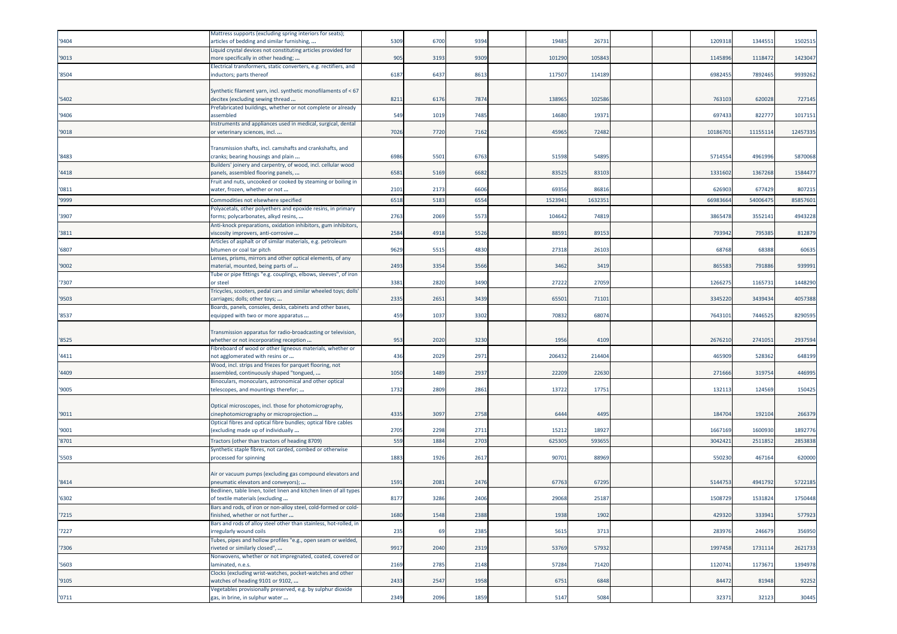| '9404 | Mattress supports (excluding spring interiors for seats);<br>articles of bedding and similar furnishing, | 5309 | 6700             | 9394 | 19485   | 26731  |  | 120931  | 134455  | 1502515  |
|-------|----------------------------------------------------------------------------------------------------------|------|------------------|------|---------|--------|--|---------|---------|----------|
| '9013 | Liquid crystal devices not constituting articles provided for<br>more specifically in other heading;     | 905  | 3193             | 9309 | 101290  | 105843 |  | 114589  | 1118472 | 1423047  |
| '8504 | Electrical transformers, static converters, e.g. rectifiers, and<br>inductors; parts thereof             | 6187 | 6437             | 861  | 117507  | 114189 |  | 6982455 | 7892465 | 9939262  |
| '5402 | Synthetic filament yarn, incl. synthetic monofilaments of < 67<br>decitex (excluding sewing thread       | 8211 | 6176             | 7874 | 13896   | 102586 |  | 76310   | 620028  | 727145   |
| '9406 | Prefabricated buildings, whether or not complete or already<br>assembled                                 | 549  | 1019             | 7485 | 14680   | 1937   |  | 69743   | 82277   | 1017151  |
| '9018 | Instruments and appliances used in medical, surgical, dental<br>or veterinary sciences, incl             | 7026 | 7720             | 7162 | 45965   | 72482  |  | 1018670 | 1115511 | 12457335 |
| '8483 | Transmission shafts, incl. camshafts and crankshafts, and<br>ranks; bearing housings and plain:          | 6986 | 5501             | 6763 | 51598   | 54895  |  | 571455  | 4961996 | 5870068  |
| '4418 | Builders' joinery and carpentry, of wood, incl. cellular wood<br>panels, assembled flooring panels,      | 6581 | 5169             | 6682 | 83525   | 8310   |  | 133160  | 1367268 | 1584477  |
| '0811 | Fruit and nuts, uncooked or cooked by steaming or boiling in<br>water, frozen, whether or not            | 2101 | 2173             | 6606 | 69356   | 8681   |  | 62690   | 677429  | 807215   |
| '9999 | Commodities not elsewhere specified                                                                      | 6518 | 5183             | 6554 | 152394: | 163235 |  | 6698366 | 5400647 | 85857601 |
| '3907 | Polyacetals, other polyethers and epoxide resins, in primary<br>forms; polycarbonates, alkyd resins,     | 2763 | 2069             | 5573 | 10464   | 74819  |  | 386547  | 355214  | 4943228  |
| '3811 | Anti-knock preparations, oxidation inhibitors, gum inhibitors,<br>viscosity improvers, anti-corrosive    | 2584 | 4918             | 5526 | 8859    | 89153  |  | 79394   | 79538   | 812879   |
| '6807 | Articles of asphalt or of similar materials, e.g. petroleum<br>bitumen or coal tar pitch                 | 9629 | 5515             | 4830 | 27318   | 26103  |  | 68768   | 68388   | 60635    |
| '9002 | Lenses, prisms, mirrors and other optical elements, of any<br>material, mounted, being parts of          | 2493 | 3354             | 3566 | 3462    | 3419   |  | 86558   | 791886  | 939991   |
| '7307 | Tube or pipe fittings "e.g. couplings, elbows, sleeves", of iron<br>or steel                             | 3381 | 2820             | 3490 | 27222   | 27059  |  | 126627  | 116573  | 1448290  |
| '9503 | Tricycles, scooters, pedal cars and similar wheeled toys; dolls'<br>carriages; dolls; other toys;        | 2335 | 2651             | 3439 | 6550    | 7110   |  | 334522  | 3439434 | 4057388  |
|       | Boards, panels, consoles, desks, cabinets and other bases,                                               |      |                  |      | 70832   | 6807   |  | 764310  | 7446525 | 8290595  |
| '8537 | equipped with two or more apparatus                                                                      | 459  | 1037             | 3302 |         |        |  |         |         |          |
| '8525 | Transmission apparatus for radio-broadcasting or television,<br>whether or not incorporating reception   | 953  | 2020             | 3230 | 1956    | 4109   |  | 267621  | 274105  | 2937594  |
| '4411 | Fibreboard of wood or other ligneous materials, whether or<br>not agglomerated with resins or            | 436  | 2029             | 2971 | 206432  | 21440  |  | 465909  | 528362  | 648199   |
| '4409 | Wood, incl. strips and friezes for parquet flooring, not<br>assembled, continuously shaped "tongued,     | 1050 | 1489             | 2937 | 22209   | 22630  |  | 27166   | 31975   | 446995   |
| '9005 | Binoculars, monoculars, astronomical and other optical<br>telescopes, and mountings therefor;            | 1732 | 280 <sup>c</sup> | 2861 | 13722   | 1775   |  | 13211   | 12456   | 150425   |
| '9011 | Optical microscopes, incl. those for photomicrography,<br>cinephotomicrography or microprojection        | 4335 | 3097             | 2758 | 6444    | 4495   |  | 18470   | 192104  | 266379   |
| '9001 | Optical fibres and optical fibre bundles; optical fibre cables<br>(excluding made up of individually     | 2705 | 2298             | 2711 | 1521    | 1892   |  | 1667169 | 160093  | 1892776  |
| '8701 | Tractors (other than tractors of heading 8709)                                                           | 559  | 1884             | 2703 | 625305  | 59365  |  | 304242  | 251185  | 2853838  |
| '5503 | Synthetic staple fibres, not carded, combed or otherwise                                                 | 1883 | 1926             | 2617 | 90701   | 88969  |  | 55023   | 467164  | 620000   |
|       | processed for spinning                                                                                   |      |                  |      |         |        |  |         |         |          |
| '8414 | Air or vacuum pumps (excluding gas compound elevators and<br>oneumatic elevators and conveyors);         | 1591 | 2081             | 2476 | 6776    | 67295  |  | 514475  | 494179  | 5722185  |
| '6302 | Bedlinen, table linen, toilet linen and kitchen linen of all types<br>of textile materials (excluding    | 8177 | 3286             | 2406 | 29068   | 25187  |  | 1508729 | 1531824 | 1750448  |
| '7215 | ars and rods, of iron or non-alloy steel, cold-formed or cold<br>finished, whether or not further        | 1680 | 1548             | 2388 | 1938    | 1902   |  | 429320  | 333941  | 577923   |
| '7227 | Bars and rods of alloy steel other than stainless, hot-rolled, in<br>irregularly wound coils             | 235  | 69               | 2385 | 5615    | 3713   |  | 283976  | 246679  | 356950   |
| '7306 | Tubes, pipes and hollow profiles "e.g., open seam or welded,<br>riveted or similarly closed",            | 9917 | 2040             | 2319 | 53769   | 57932  |  | 1997458 | 1731114 | 2621733  |
| '5603 | Nonwovens, whether or not impregnated, coated, covered or<br>laminated, n.e.s.                           | 2169 | 2785             | 2148 | 57284   | 71420  |  | 1120741 | 1173671 | 1394978  |
| '9105 | Clocks (excluding wrist-watches, pocket-watches and other<br>watches of heading 9101 or 9102,            | 2433 | 2547             | 1958 | 6751    | 6848   |  | 84472   | 81948   | 92252    |
| '0711 | Vegetables provisionally preserved, e.g. by sulphur dioxide<br>gas, in brine, in sulphur water           | 2349 | 2096             | 1859 | 5147    | 5084   |  | 32371   | 32123   | 30445    |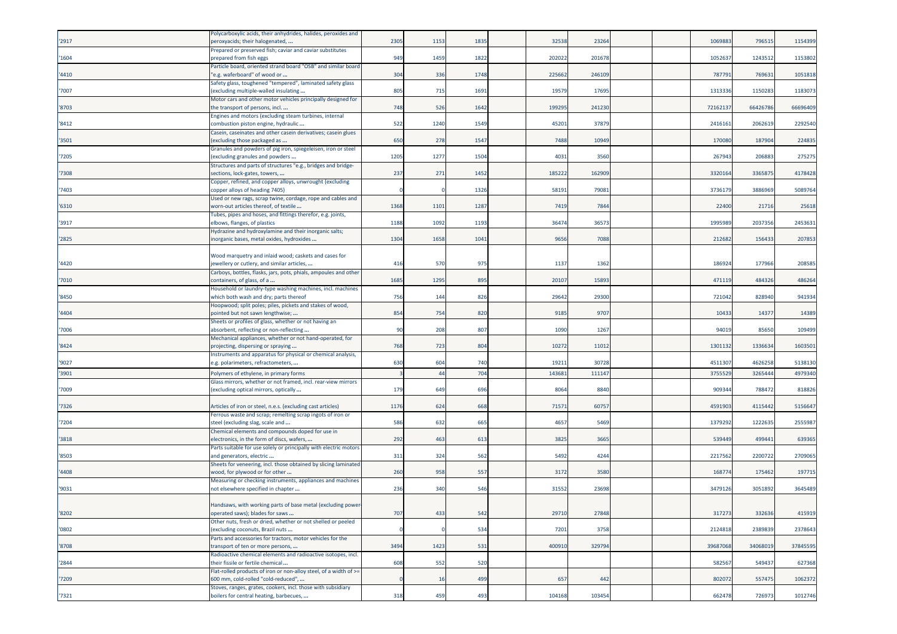|       | Polycarboxylic acids, their anhydrides, halides, peroxides and                                     |      |      |      |        |        |  |          |          |          |
|-------|----------------------------------------------------------------------------------------------------|------|------|------|--------|--------|--|----------|----------|----------|
| '2917 | peroxyacids; their halogenated,                                                                    | 2305 | 1153 | 1835 | 32538  | 23264  |  | 106988   | 796515   | 1154399  |
|       | Prepared or preserved fish; caviar and caviar substitutes                                          |      |      |      |        |        |  |          |          |          |
| '1604 | prepared from fish eggs                                                                            | 949  | 1459 | 1822 | 202022 | 201678 |  | 105263   | 1243512  | 1153802  |
|       | Particle board, oriented strand board "OSB" and similar board                                      |      |      |      |        |        |  |          |          |          |
| '4410 | e.g. waferboard" of wood or                                                                        | 304  | 336  | 1748 | 225662 | 246109 |  | 787791   | 769631   | 1051818  |
|       | Safety glass, toughened "tempered", laminated safety glass                                         |      |      |      |        |        |  |          |          |          |
| '7007 | (excluding multiple-walled insulating                                                              | 805  | 715  | 1691 | 19579  | 17695  |  | 1313336  | 1150283  | 1183073  |
|       | Motor cars and other motor vehicles principally designed for                                       |      |      |      |        |        |  |          |          |          |
| '8703 | the transport of persons, incl                                                                     | 748  | 526  | 1642 | 199295 | 241230 |  | 72162137 | 66426786 | 66696409 |
| '8412 | Engines and motors (excluding steam turbines, internal<br>combustion piston engine, hydraulic      | 522  | 1240 | 1549 | 45201  | 37879  |  | 241616   | 206261   | 2292540  |
|       | Casein, caseinates and other casein derivatives; casein glues                                      |      |      |      |        |        |  |          |          |          |
| '3501 | excluding those packaged as                                                                        | 650  | 278  | 1547 | 7488   | 10949  |  | 170080   | 187904   | 224835   |
|       | Granules and powders of pig iron, spiegeleisen, iron or steel                                      |      |      |      |        |        |  |          |          |          |
| '7205 | excluding granules and powders                                                                     | 1205 | 1277 | 1504 | 4031   | 3560   |  | 26794    | 20688    | 275275   |
|       | Structures and parts of structures "e.g., bridges and bridge-                                      |      |      |      |        |        |  |          |          |          |
| '7308 | sections, lock-gates, towers,                                                                      | 237  | 271  | 1452 | 185222 | 162909 |  | 3320164  | 3365875  | 4178428  |
|       | Copper, refined, and copper alloys, unwrought (excluding                                           |      |      |      |        |        |  |          |          |          |
| '7403 | copper alloys of heading 7405)                                                                     |      |      | 1326 | 58191  | 79081  |  | 3736179  | 3886969  | 5089764  |
|       | Used or new rags, scrap twine, cordage, rope and cables and                                        |      |      |      |        |        |  |          |          |          |
| '6310 | worn-out articles thereof, of textile                                                              | 1368 | 1101 | 1287 | 7419   | 7844   |  | 22400    | 21716    | 25618    |
| '3917 | Tubes, pipes and hoses, and fittings therefor, e.g. joints,<br>elbows, flanges, of plastics        | 1188 | 1092 | 1193 | 3647   | 3657   |  | 1995989  | 2037356  | 2453631  |
|       | Hydrazine and hydroxylamine and their inorganic salts;                                             |      |      |      |        |        |  |          |          |          |
| '2825 | norganic bases, metal oxides, hydroxides                                                           | 1304 | 1658 | 1041 | 9656   | 7088   |  | 212682   | 156433   | 207853   |
|       |                                                                                                    |      |      |      |        |        |  |          |          |          |
|       | Wood marquetry and inlaid wood; caskets and cases for                                              |      |      |      |        |        |  |          |          |          |
| '4420 | jewellery or cutlery, and similar articles,                                                        | 416  | 570  | 975  | 1137   | 1362   |  | 18692    | 177966   | 208585   |
|       | Carboys, bottles, flasks, jars, pots, phials, ampoules and other                                   |      |      |      |        |        |  |          |          |          |
| '7010 | containers, of glass, of a                                                                         | 1685 | 1295 | 895  | 20107  | 1589   |  | 471119   | 484326   | 486264   |
|       | Household or laundry-type washing machines, incl. machines                                         |      |      |      |        |        |  |          |          |          |
| '8450 | which both wash and dry; parts thereof                                                             | 756  | 144  | 826  | 29642  | 29300  |  | 72104    | 828940   | 941934   |
|       | Hoopwood; split poles; piles, pickets and stakes of wood,                                          |      |      |      |        |        |  |          |          |          |
| '4404 | pointed but not sawn lengthwise;                                                                   | 854  | 754  | 820  | 9185   | 9707   |  | 10433    | 1437     | 14389    |
| '7006 | Sheets or profiles of glass, whether or not having an<br>absorbent, reflecting or non-reflecting   | 90   | 208  | 807  | 1090   | 1267   |  | 94019    | 85650    | 109499   |
|       | Mechanical appliances, whether or not hand-operated, for                                           |      |      |      |        |        |  |          |          |          |
| '8424 | projecting, dispersing or spraying                                                                 | 768  | 723  | 804  | 10272  | 11012  |  | 1301132  | 1336634  | 1603501  |
|       | Instruments and apparatus for physical or chemical analysis,                                       |      |      |      |        |        |  |          |          |          |
| '9027 | e.g. polarimeters, refractometers,                                                                 | 630  | 604  | 740  | 1921   | 30728  |  | 451130   | 4626258  | 5138130  |
| '3901 | Polymers of ethylene, in primary forms                                                             |      | 44   | 704  | 14368  | 11114  |  | 375552   | 326544   | 4979340  |
|       | Glass mirrors, whether or not framed, incl. rear-view mirrors                                      |      |      |      |        |        |  |          |          |          |
| '7009 | excluding optical mirrors, optically                                                               | 179  | 649  | 696  | 8064   | 8840   |  | 90934    | 788472   | 818826   |
|       |                                                                                                    |      |      |      |        |        |  |          |          |          |
| '7326 | Articles of iron or steel, n.e.s. (excluding cast articles)                                        | 1176 | 624  | 668  | 71571  | 60757  |  | 4591903  | 4115442  | 5156647  |
|       | Ferrous waste and scrap; remelting scrap ingots of iron or                                         |      |      |      |        |        |  |          |          |          |
| '7204 | steel (excluding slag, scale and                                                                   | 586  | 632  | 665  | 4657   | 5469   |  | 137929   | 1222635  | 2555987  |
|       | Chemical elements and compounds doped for use in                                                   |      |      |      |        |        |  |          |          |          |
| '3818 | electronics, in the form of discs, wafers,                                                         | 292  | 463  | 613  | 3825   | 3665   |  | 539449   | 499441   | 639365   |
| '8503 | Parts suitable for use solely or principally with electric motors<br>and generators, electric      | 311  | 324  | 562  | 5492   | 4244   |  | 2217562  | 2200722  | 2709065  |
|       | Sheets for veneering, incl. those obtained by slicing laminated                                    |      |      |      |        |        |  |          |          |          |
| '4408 | wood, for plywood or for other                                                                     | 260  | 958  | 557  | 3172   | 3580   |  | 16877    | 175462   | 197715   |
|       | Measuring or checking instruments, appliances and machines                                         |      |      |      |        |        |  |          |          |          |
| '9031 | not elsewhere specified in chapter                                                                 | 236  | 340  | 546  | 31552  | 23698  |  | 347912   | 3051892  | 3645489  |
|       |                                                                                                    |      |      |      |        |        |  |          |          |          |
|       | Handsaws, with working parts of base metal (excluding power-                                       |      |      |      |        |        |  |          |          |          |
| '8202 | operated saws); blades for saws                                                                    | 707  | 433  | 542  | 29710  | 27848  |  | 317273   | 332636   | 415919   |
|       | Other nuts, fresh or dried, whether or not shelled or peeled                                       |      |      |      |        |        |  |          |          |          |
| '0802 | excluding coconuts, Brazil nuts                                                                    |      |      | 534  | 7201   | 3758   |  | 2124818  | 2389839  | 2378643  |
|       | Parts and accessories for tractors, motor vehicles for the                                         | 3494 |      |      |        |        |  |          |          |          |
| '8708 | transport of ten or more persons,<br>Radioactive chemical elements and radioactive isotopes, incl. |      | 1423 | 531  | 400910 | 329794 |  | 39687068 | 34068019 | 37845595 |
| '2844 | their fissile or fertile chemical                                                                  | 608  | 552  | 520  |        |        |  | 582567   | 549437   | 627368   |
|       | Flat-rolled products of iron or non-alloy steel, of a width of >=                                  |      |      |      |        |        |  |          |          |          |
| '7209 | 600 mm, cold-rolled "cold-reduced",                                                                |      | 16   | 499  | 657    | 442    |  | 802072   | 557475   | 1062372  |
|       | Stoves, ranges, grates, cookers, incl. those with subsidiary                                       |      |      |      |        |        |  |          |          |          |
| '7321 | boilers for central heating, barbecues,                                                            | 318  | 459  | 493  | 104168 | 103454 |  | 662478   | 726973   | 1012746  |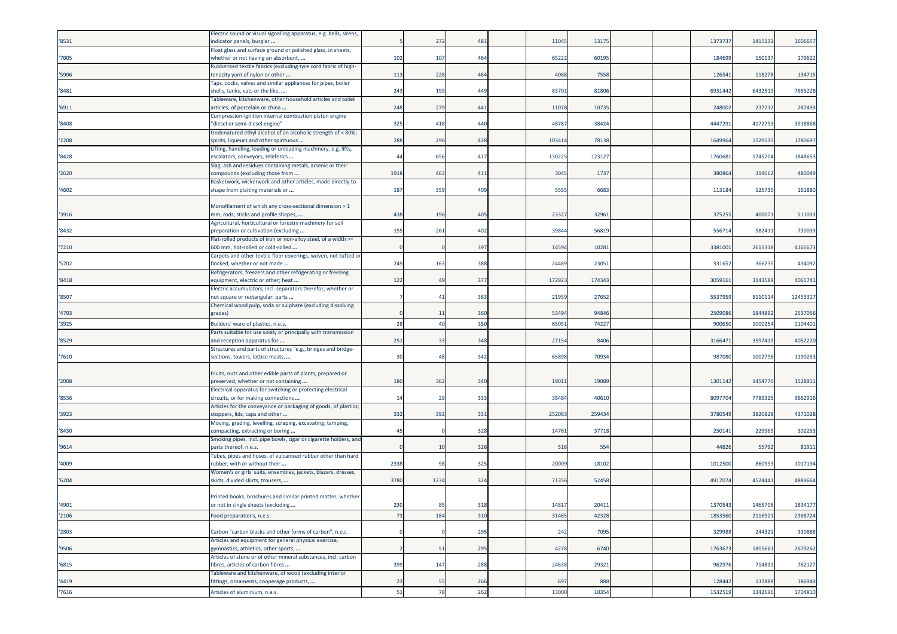| '8531 | Electric sound or visual signalling apparatus, e.g. bells, sirens,<br>indicator panels, burglar        |                | 272            | 481 | 11045 | 13175  |  | 1373737 | 1415131 | 1606657  |
|-------|--------------------------------------------------------------------------------------------------------|----------------|----------------|-----|-------|--------|--|---------|---------|----------|
|       | Float glass and surface ground or polished glass, in sheets,                                           |                |                |     |       |        |  |         |         |          |
| '7005 | whether or not having an absorbent,                                                                    | 102            | 107            | 464 | 65222 | 60195  |  | 184699  | 150137  | 179622   |
| '5906 | Rubberised textile fabrics (excluding tyre cord fabric of high-<br>tenacity yarn of nylon or other     | 113            | 228            | 464 | 4068  | 7558   |  | 126541  | 118278  | 134715   |
| '8481 | Taps, cocks, valves and similar appliances for pipes, boiler<br>shells, tanks, vats or the like,       | 243            | 199            | 449 | 83701 | 81806  |  | 6931442 | 6432519 | 7655228  |
| '6911 | Tableware, kitchenware, other household articles and toilet<br>articles, of porcelain or china         | 248            | 279            | 441 | 1107  | 1073   |  | 248002  | 237212  | 287493   |
| '8408 | Compression-ignition internal combustion piston engine<br>"diesel or semi-diesel engine"               | 325            | 418            | 440 | 4878  | 38424  |  | 4447291 | 4172793 | 3918868  |
| '2208 | Undenatured ethyl alcohol of an alcoholic strength of < 80%;<br>spirits, liqueurs and other spirituous | 288            | 296            | 438 | 10341 | 78138  |  | 1649964 | 1529535 | 1780697  |
| '8428 | Lifting, handling, loading or unloading machinery, e.g. lifts,<br>escalators, conveyors, teleferics    | 44             | 656            | 417 | 13022 | 123127 |  | 176068  | 1745204 | 1848653  |
| '2620 | Slag, ash and residues containing metals, arsenic or their<br>compounds (excluding those from          | 1918           | 463            | 411 | 3045  | 1737   |  | 380864  | 319062  | 480049   |
| '4602 | Basketwork, wickerwork and other articles, made directly to<br>shape from plaiting materials or        | 187            | 359            | 409 | 5555  | 6683   |  | 113184  | 125735  | 161880   |
| '3916 | Monofilament of which any cross-sectional dimension > 1<br>mm, rods, sticks and profile shapes,        | 438            | 196            | 405 | 23327 | 32961  |  | 375255  | 400071  | 511033   |
| '8432 | Agricultural, horticultural or forestry machinery for soil<br>preparation or cultivation (excluding    | 155            | 261            | 402 | 3984  | 56819  |  | 556714  | 582411  | 730039   |
| '7210 | Flat-rolled products of iron or non-alloy steel, of a width >=<br>600 mm, hot-rolled or cold-rolled    |                |                | 397 | 14594 | 10281  |  | 3381001 | 2615318 | 4165673  |
| '5702 | Carpets and other textile floor coverings, woven, not tufted or<br>flocked, whether or not made        | 249            | 163            | 388 | 24489 | 23051  |  | 331652  | 366235  | 434092   |
| '8418 | Refrigerators, freezers and other refrigerating or freezing<br>equipment, electric or other; heat      | 122            | 49             | 377 | 17292 | 174343 |  | 305916  | 3143589 | 4065741  |
| '8507 | Electric accumulators, incl. separators therefor, whether or<br>not square or rectangular; parts       |                | $\overline{4}$ | 363 | 2195  | 27652  |  | 553795  | 811011  | 12453317 |
| '4703 | Chemical wood pulp, soda or sulphate (excluding dissolving<br>grades)                                  |                | 11             | 360 | 53494 | 94846  |  | 2509086 | 1844892 | 2537056  |
| '3925 | Builders' ware of plastics, n.e.s.                                                                     | 28             | 40             | 350 | 6505  | 74227  |  | 900650  | 1000254 | 1104401  |
| '8529 | Parts suitable for use solely or principally with transmission<br>and reception apparatus for          | 251            | 33             | 348 | 27154 | 8406   |  | 316647  | 3597419 | 4052220  |
| '7610 | Structures and parts of structures "e.g., bridges and bridge-<br>sections, towers, lattice masts,      | 3 <sub>C</sub> | 48             | 342 | 65898 | 70934  |  | 987080  | 1002796 | 1190253  |
| '2008 | Fruits, nuts and other edible parts of plants, prepared or<br>preserved, whether or not containing     | 180            | 362            | 340 | 1901  | 1908   |  | 1301142 | 1454770 | 1528911  |
| '8536 | Electrical apparatus for switching or protecting electrical<br>circuits, or for making connections     | 14             | 29             | 333 | 38484 | 40610  |  | 8097704 | 7789325 | 9662916  |
| '3923 | Articles for the conveyance or packaging of goods, of plastics;<br>stoppers, lids, caps and other      | 332            | 392            | 331 | 25206 | 25943  |  | 3780549 | 3820828 | 4371028  |
| '8430 | Moving, grading, levelling, scraping, excavating, tamping,<br>compacting, extracting or boring         | 4 <sup>1</sup> |                | 328 | 14761 | 37718  |  | 250141  | 229969  | 302253   |
| '9614 | Smoking pipes, incl. pipe bowls, cigar or cigarette holders, and<br>parts thereof, n.e.s.              |                | 10             | 326 | 516   | 554    |  | 44826   | 55792   | 81911    |
| '4009 | Tubes, pipes and hoses, of vulcanised rubber other than hard<br>rubber, with or without their          | 2338           | 98             | 325 | 20009 | 18102  |  | 1012500 | 860993  | 1017134  |
| '6204 | Women's or girls' suits, ensembles, jackets, blazers, dresses,<br>skirts, divided skirts, trousers,    | 3780           | 1234           | 324 | 71356 | 52458  |  | 4917074 | 4524441 | 4889664  |
| '4901 | Printed books, brochures and similar printed matter, whether<br>or not in single sheets (excluding     | 230            | 85             | 318 | 14817 | 20411  |  | 1370543 | 1465706 | 1834177  |
| '2106 | Food preparations, n.e.s.                                                                              | 73             | 184            | 310 | 31465 | 42328  |  | 1853560 | 2116921 | 2368724  |
| '2803 | Carbon "carbon blacks and other forms of carbon", n.e.s.                                               |                |                | 295 | 242   | 7095   |  | 329988  | 244321  | 330888   |
| '9506 | Articles and equipment for general physical exercise,<br>gymnastics, athletics, other sports,          |                | 51             | 295 | 4278  | 6740   |  | 1763673 | 1805661 | 2679262  |
| '6815 | Articles of stone or of other mineral substances, incl. carbon<br>fibres, articles of carbon fibres    | 399            | 147            | 288 | 24638 | 29321  |  | 962976  | 714831  | 762127   |
| '4419 | Tableware and kitchenware, of wood (excluding interior<br>fittings, ornaments, cooperage products,     | 23             | 55             | 266 | 697   | 888    |  | 128442  | 137888  | 186949   |
| '7616 | Articles of aluminium, n.e.s.                                                                          | 51             | 78             | 262 | 13000 | 10354  |  | 1532519 | 1342696 | 1704810  |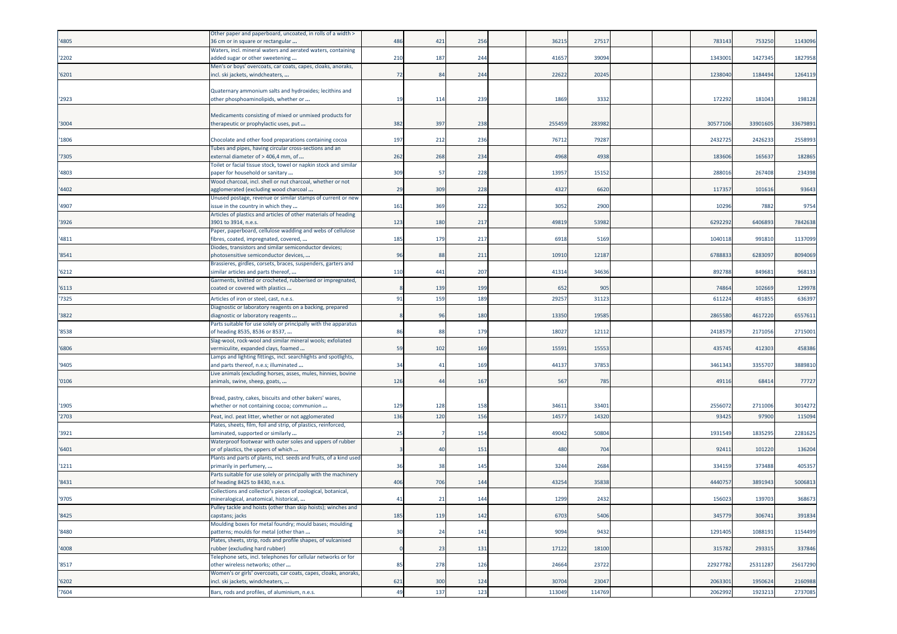| '4805 | Other paper and paperboard, uncoated, in rolls of a width ><br>36 cm or in square or rectangular                       | 486        | 421             | 256        | 3621         | 27517          |  | 783143         | 753250           | 1143096  |
|-------|------------------------------------------------------------------------------------------------------------------------|------------|-----------------|------------|--------------|----------------|--|----------------|------------------|----------|
| '2202 | Waters, incl. mineral waters and aerated waters, containing<br>added sugar or other sweetening                         | 210        | 187             | 244        | 41657        | 39094          |  | 134300         | 1427345          | 1827958  |
| '6201 | Men's or boys' overcoats, car coats, capes, cloaks, anoraks,<br>incl. ski jackets, windcheaters,                       | 72         | 84              | 244        | 22622        | 20245          |  | 1238040        | 1184494          | 1264119  |
| '2923 | Quaternary ammonium salts and hydroxides; lecithins and<br>other phosphoaminolipids, whether or                        | 19         | 11 <sup>2</sup> | 239        | 1869         | 3332           |  | 17229          | 18104            | 198128   |
| '3004 | Medicaments consisting of mixed or unmixed products for<br>therapeutic or prophylactic uses, put                       | 382        | 397             | 238        | 255459       | 283982         |  | 3057710        | 33901605         | 33679891 |
| '1806 | Chocolate and other food preparations containing cocoa                                                                 | 197        | 212             | 236        | 76712        | 7928           |  | 243272         | 242623           | 2558993  |
| '7305 | Tubes and pipes, having circular cross-sections and an<br>external diameter of > 406,4 mm, of                          | 262        | 268             | 234        | 4968         | 4938           |  | 18360          | 16563            | 182865   |
| '4803 | Toilet or facial tissue stock, towel or napkin stock and similar<br>paper for household or sanitary                    | 309        | 57              | 228        | 13957        | 15152          |  | 28801          | 267408           | 234398   |
| '4402 | Wood charcoal, incl. shell or nut charcoal, whether or not<br>agglomerated (excluding wood charcoal                    | 29         | 309             | 228        | 4327         | 6620           |  | 11735          | 101616           | 93643    |
| '4907 | Unused postage, revenue or similar stamps of current or new<br>issue in the country in which they                      | 161        | 369             | 222        | 3052         | 2900           |  | 10296          | 7882             | 9754     |
| '3926 | Articles of plastics and articles of other materials of heading<br>3901 to 3914, n.e.s.                                | 123        | 180             | 217        | 49819        | 53982          |  | 629229         | 6406893          | 7842638  |
| '4811 | Paper, paperboard, cellulose wadding and webs of cellulose<br>fibres, coated, impregnated, covered,                    | 185        | 179             | 217        | 6918         | 5169           |  | 104011         | 991810           | 1137099  |
| '8541 | Diodes, transistors and similar semiconductor devices;<br>ohotosensitive semiconductor devices,                        | 96         | 88              | 211        | 10910        | 12187          |  | 678883         | 628309           | 8094069  |
| '6212 | Brassieres, girdles, corsets, braces, suspenders, garters and<br>imilar articles and parts thereof,                    | 110        | 441             | 207        | 41314        | 34636          |  | 89278          | 849681           | 968133   |
| '6113 | Garments, knitted or crocheted, rubberised or impregnated,<br>coated or covered with plastics                          |            | 139             | 199        | 652          | 905            |  | 74864          | 10266            | 129978   |
| '7325 | Articles of iron or steel, cast, n.e.s.                                                                                | 91         | 159             | 189        | 29257        | 31123          |  | 61122          | 49185            | 636397   |
| '3822 | Diagnostic or laboratory reagents on a backing, prepared<br>diagnostic or laboratory reagents                          |            | 96              | 180        | 13350        | 1958           |  | 286558         | 4617220          | 6557611  |
| '8538 | Parts suitable for use solely or principally with the apparatus<br>of heading 8535, 8536 or 8537,                      | 86         | 88              | 179        | 18027        | 1211           |  | 241857         | 217105           | 2715001  |
| '6806 | Slag-wool, rock-wool and similar mineral wools; exfoliated<br>vermiculite, expanded clays, foamed                      | 59         | 102             | 169        | 15591        | 15553          |  | 43574          | 412303           | 458386   |
| '9405 | Lamps and lighting fittings, incl. searchlights and spotlights,<br>and parts thereof, n.e.s; illuminated               | 34         | 41              | 169        | 44137        | 37853          |  | 346134         | 335570           | 3889810  |
| '0106 | Live animals (excluding horses, asses, mules, hinnies, bovine<br>animals, swine, sheep, goats,                         | 126        | 44              | 167        | 567          | 785            |  | 49116          | 68414            | 77727    |
|       | Bread, pastry, cakes, biscuits and other bakers' wares,                                                                |            |                 |            |              |                |  |                |                  |          |
| '1905 | whether or not containing cocoa; communion                                                                             | 129<br>136 | 128<br>120      | 158<br>156 | 3461<br>1457 | 33401<br>14320 |  | 255607<br>9342 | 2711006<br>97900 | 3014272  |
| '2703 | Peat, incl. peat litter, whether or not agglomerated<br>Plates, sheets, film, foil and strip, of plastics, reinforced, |            |                 |            |              |                |  |                |                  | 115094   |
| '3921 | laminated, supported or similarly<br>Waterproof footwear with outer soles and uppers of rubber                         | 25         |                 | 154        | 49042        | 50804          |  | 1931549        | 1835295          | 2281625  |
| '6401 | or of plastics, the uppers of which<br>Plants and parts of plants, incl. seeds and fruits, of a kind used              |            | 4(              | 151        | 480          | 704            |  | 9241           | 101220           | 136204   |
| '1211 | orimarily in perfumery,<br>Parts suitable for use solely or principally with the machinery                             | 36         | 38              | 145        | 3244         | 2684           |  | 334159         | 373488           | 405357   |
| '8431 | of heading 8425 to 8430, n.e.s.                                                                                        | 406        | 706             | 144        | 43254        | 35838          |  | 444075         | 3891943          | 5006813  |
| '9705 | Collections and collector's pieces of zoological, botanical,<br>mineralogical, anatomical, historical,                 | 41         | 21              | 144        | 1299         | 2432           |  | 156023         | 139703           | 368673   |
| '8425 | ulley tackle and hoists (other than skip hoists); wincnes and<br>capstans; jacks                                       | 185        | 119             | 142        | 6703         | 5406           |  | 345779         | 306741           | 391834   |
| '8480 | Moulding boxes for metal foundry; mould bases; moulding<br>patterns; moulds for metal (other than                      | 30         | 24              | 141        | 9094         | 9432           |  | 1291405        | 1088191          | 1154499  |
| '4008 | Plates, sheets, strip, rods and profile shapes, of vulcanised<br>rubber (excluding hard rubber)                        |            | 23              | 131        | 17122        | 18100          |  | 315782         | 293315           | 337846   |
| '8517 | Telephone sets, incl. telephones for cellular networks or for<br>other wireless networks; other                        | 85         | 278             | 126        | 24664        | 23722          |  | 22927782       | 25311287         | 25617290 |
| '6202 | Women's or girls' overcoats, car coats, capes, cloaks, anoraks,<br>incl. ski jackets, windcheaters,                    | 621        | 300             | 124        | 30704        | 23047          |  | 2063301        | 1950624          | 2160988  |
| '7604 | Bars, rods and profiles, of aluminium, n.e.s.                                                                          | 49         | 137             | 123        | 113049       | 114769         |  | 2062992        | 1923213          | 2737085  |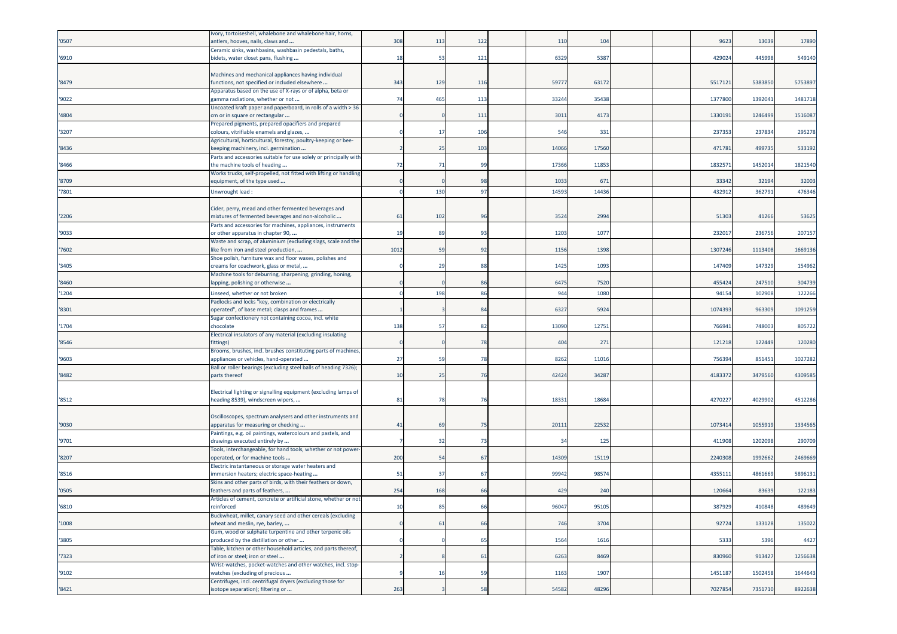| '0507 | Ivory, tortoiseshell, whalebone and whalebone hair, horns,<br>antlers, hooves, nails, claws and          | 308  | 113 | 122 | 110            | 104             |  | 9623    | 13039   | 17890   |
|-------|----------------------------------------------------------------------------------------------------------|------|-----|-----|----------------|-----------------|--|---------|---------|---------|
|       | Ceramic sinks, washbasins, washbasin pedestals, baths,                                                   |      |     |     |                |                 |  |         |         |         |
| '6910 | bidets, water closet pans, flushing                                                                      | 18   | 53  | 121 | 6329           | 5387            |  | 429024  | 445998  | 549140  |
|       | Machines and mechanical appliances having individual                                                     |      |     |     |                |                 |  |         |         |         |
| '8479 | functions, not specified or included elsewhere                                                           | 343  | 129 | 116 | 5977           | 6317            |  | 551712  | 5383850 | 5753897 |
| '9022 | Apparatus based on the use of X-rays or of alpha, beta or<br>gamma radiations, whether or not            | 74   | 465 | 113 | 33244          | 35438           |  | 1377800 | 139204  | 1481718 |
|       | Uncoated kraft paper and paperboard, in rolls of a width > 36                                            |      |     |     |                |                 |  |         |         |         |
| '4804 | cm or in square or rectangular                                                                           |      |     | 111 | 3011           | 4173            |  | 133019: | 1246499 | 1516087 |
| '3207 | Prepared pigments, prepared opacifiers and prepared<br>colours, vitrifiable enamels and glazes,          |      | -17 | 106 | 546            | 331             |  | 23735   | 237834  | 295278  |
|       | Agricultural, horticultural, forestry, poultry-keeping or bee-                                           |      |     |     |                |                 |  |         |         |         |
| '8436 | keeping machinery, incl. germination                                                                     |      | 25  | 103 | 14066          | 17560           |  | 47178   | 499735  | 533192  |
| '8466 | Parts and accessories suitable for use solely or principally with<br>the machine tools of heading        | 72   | 71  | 99  | 17366          | 11853           |  | 183257  | 1452014 | 1821540 |
|       | Works trucks, self-propelled, not fitted with lifting or handling                                        |      |     |     |                |                 |  |         |         |         |
| '8709 | equipment, of the type used                                                                              |      |     | 98  | 1033           | 67              |  | 33342   | 32194   | 32003   |
| '7801 | Unwrought lead:                                                                                          |      | 130 | 97  | 1459           | 1443            |  | 43291   | 36279   | 476346  |
|       | Cider, perry, mead and other fermented beverages and                                                     |      |     |     |                |                 |  |         |         |         |
| '2206 | mixtures of fermented beverages and non-alcoholic                                                        | 61   | 102 | 96  | 3524           | 2994            |  | 5130    | 41266   | 53625   |
|       | Parts and accessories for machines, appliances, instruments                                              |      |     |     |                |                 |  |         |         |         |
| '9033 | or other apparatus in chapter 90,<br>Waste and scrap, of aluminium (excluding slags, scale and the       | 19   | 89  | 93  | 1203           | 1077            |  | 23201   | 236756  | 207157  |
| '7602 | ike from iron and steel production,                                                                      | 1012 | 59  | 92  | 1156           | 1398            |  | 1307246 | 1113408 | 1669136 |
|       | Shoe polish, furniture wax and floor waxes, polishes and                                                 |      |     |     |                |                 |  |         |         |         |
| '3405 | creams for coachwork, glass or metal,                                                                    |      | 29  | 88  | 1425           | 1093            |  | 147409  | 147329  | 154962  |
| '8460 | Machine tools for deburring, sharpening, grinding, honing,<br>lapping, polishing or otherwise            |      |     | 86  | 6475           | 7520            |  | 455424  | 247510  | 304739  |
| '1204 | Linseed, whether or not broken                                                                           |      | 198 | 86  | 944            | 1080            |  | 94154   | 102908  | 122266  |
|       | Padlocks and locks "key, combination or electrically                                                     |      |     |     |                |                 |  |         |         |         |
| '8301 | operated", of base metal; clasps and frames<br>Sugar confectionery not containing cocoa, incl. white     |      |     | 84  | 6327           | 5924            |  | 1074393 | 963309  | 1091259 |
| '1704 | chocolate                                                                                                | 138  | -57 | 82  | 13090          | 1275            |  | 76694   | 74800   | 805722  |
|       | Electrical insulators of any material (excluding insulating                                              |      |     |     |                |                 |  |         |         |         |
| '8546 | fittings)<br>Brooms, brushes, incl. brushes constituting parts of machines,                              |      |     | 78  | 404            | 27 <sup>2</sup> |  | 121218  | 122449  | 120280  |
| '9603 | appliances or vehicles, hand-operated                                                                    | 27   | 59  | 78  | 8262           | 11016           |  | 75639   | 851451  | 1027282 |
|       | Ball or roller bearings (excluding steel balls of heading 7326);                                         |      |     |     |                |                 |  |         |         |         |
| '8482 | parts thereof                                                                                            | 10   | 25  | 76  | 42424          | 34287           |  | 418337  | 3479560 | 4309585 |
|       | Electrical lighting or signalling equipment (excluding lamps of                                          |      |     |     |                |                 |  |         |         |         |
| '8512 | heading 8539), windscreen wipers,                                                                        | 81   | 78  | 76  | 18331          | 18684           |  | 427022  | 4029902 | 4512286 |
|       | Oscilloscopes, spectrum analysers and other instruments and                                              |      |     |     |                |                 |  |         |         |         |
| '9030 | apparatus for measuring or checking                                                                      | 41   | 69  | 75  | 2011           | 22532           |  | 107341  | 105591  | 1334565 |
|       | Paintings, e.g. oil paintings, watercolours and pastels, and                                             |      |     |     |                |                 |  |         |         |         |
| '9701 | drawings executed entirely by<br>Tools, interchangeable, for hand tools, whether or not power-           |      | 32  | 73  | 3 <sup>i</sup> | 125             |  | 41190   | 120209  | 290709  |
| '8207 | operated, or for machine tools                                                                           | 200  | 54  | 67  | 14309          | 15119           |  | 224030  | 1992662 | 2469669 |
|       | Electric instantaneous or storage water heaters and                                                      |      |     |     |                |                 |  |         |         |         |
| '8516 | mmersion heaters; electric space-heating<br>Skins and other parts of birds, with their feathers or down, | 51   | 37  | 67  | 99942          | 98574           |  | 435511  | 4861669 | 5896131 |
| '0505 | feathers and parts of feathers,                                                                          | 254  | 168 | 66  | 429            | 240             |  | 12066   | 83639   | 122183  |
|       | Articles of cement, concrete or artificial stone, whether or not                                         |      |     |     |                |                 |  |         |         |         |
| '6810 | einforced<br>Buckwheat, millet, canary seed and other cereals (excluding                                 |      |     |     | 96047          | 95105           |  | 387929  | 410848  | 489649  |
| '1008 | wheat and meslin, rye, barley,                                                                           |      | 61  | 66  | 746            | 3704            |  | 92724   | 133128  | 135022  |
|       | Gum, wood or sulphate turpentine and other terpenic oils                                                 |      |     |     |                |                 |  |         |         |         |
| '3805 | produced by the distillation or other<br>Table, kitchen or other household articles, and parts thereof,  |      |     | 65  | 1564           | 1616            |  | 5333    | 5396    | 4427    |
| '7323 | of iron or steel; iron or steel                                                                          |      |     | 61  | 6263           | 8469            |  | 830960  | 913427  | 1256638 |
|       | Wrist-watches, pocket-watches and other watches, incl. stop-                                             |      |     |     |                |                 |  |         |         |         |
| '9102 | watches (excluding of precious<br>Centrifuges, incl. centrifugal dryers (excluding those for             |      | 16  | 59  | 1163           | 1907            |  | 1451187 | 1502458 | 1644643 |
| '8421 | isotope separation); filtering or                                                                        | 263  |     | 58  | 54582          | 48296           |  | 7027854 | 7351710 | 8922638 |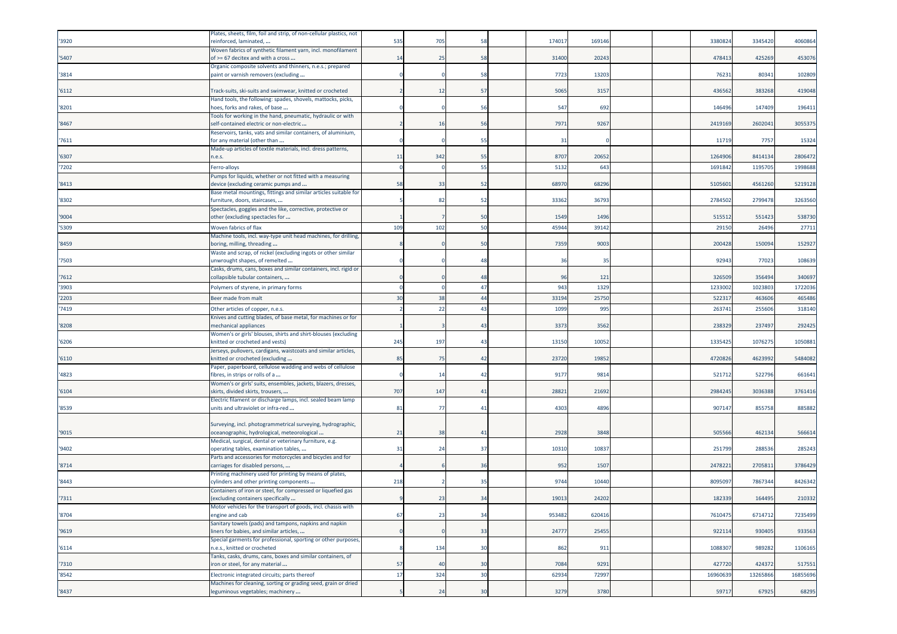| '3920 | Plates, sheets, film, foil and strip, of non-cellular plastics, not<br>reinforced, laminated,              | 535 | 705            | 58             | 17401  | 16914  |  | 338082  | 3345420 | 4060864  |
|-------|------------------------------------------------------------------------------------------------------------|-----|----------------|----------------|--------|--------|--|---------|---------|----------|
| '5407 | Woven fabrics of synthetic filament yarn, incl. monofilament<br>of >= 67 decitex and with a cross          | 14  | -25            | 58             | 31400  | 2024   |  | 47841   | 425269  | 453076   |
| '3814 | Organic composite solvents and thinners, n.e.s.; prepared<br>paint or varnish removers (excluding          |     |                | 58             | 7723   | 1320   |  | 76231   | 80341   | 102809   |
| '6112 | Track-suits, ski-suits and swimwear, knitted or crocheted                                                  |     | 12             | 57             | 5065   | 3157   |  | 436562  | 383268  | 419048   |
| '8201 | Hand tools, the following: spades, shovels, mattocks, picks,<br>hoes, forks and rakes, of base             |     |                | 56             | 547    | 692    |  | 146496  | 147409  | 196411   |
| '8467 | Tools for working in the hand, pneumatic, hydraulic or with<br>self-contained electric or non-electric     |     | 1              | 56             | 797    | 9267   |  | 2419169 | 260204  | 3055375  |
| '7611 | Reservoirs, tanks, vats and similar containers, of aluminium,<br>for any material (other than              |     |                | 55             | 31     |        |  | 1171    | 775     | 15324    |
| '6307 | Made-up articles of textile materials, incl. dress patterns,<br>n.e.s.                                     | 11  | 342            | 55             | 8707   | 20652  |  | 126490  | 8414134 | 2806472  |
| '7202 | Ferro-alloys                                                                                               |     |                | 55             | 513    | 643    |  | 169184  | 119570  | 1998688  |
| '8413 | Pumps for liquids, whether or not fitted with a measuring<br>device (excluding ceramic pumps and           | 58  | 33             | 52             | 68970  | 6829   |  | 510560  | 4561260 | 5219128  |
| '8302 | Base metal mountings, fittings and similar articles suitable for<br>furniture, doors, staircases,          |     | 82             | 52             | 33362  | 3679   |  | 278450  | 2799478 | 3263560  |
| '9004 | Spectacles, goggles and the like, corrective, protective or<br>other (excluding spectacles for             |     |                | 50             | 1549   | 149    |  | 515512  | 551423  | 538730   |
| '5309 | Woven fabrics of flax                                                                                      | 109 | 102            | 50             | 4594   | 39142  |  | 2915    | 26496   | 27711    |
| '8459 | Machine tools, incl. way-type unit head machines, for drilling,<br>boring, milling, threading              |     |                | 50             | 7359   | 900    |  | 200428  | 150094  | 152927   |
| '7503 | Waste and scrap, of nickel (excluding ingots or other similar<br>unwrought shapes, of remelted             |     |                | 48             | 36     | 35     |  | 9294    | 77023   | 108639   |
| '7612 | Casks, drums, cans, boxes and similar containers, incl. rigid or<br>collapsible tubular containers,        |     |                | 48             | 96     | 121    |  | 32650   | 356494  | 340697   |
| '3903 | Polymers of styrene, in primary forms                                                                      |     |                | 47             | 943    | 1329   |  | 123300  | 102380  | 1722036  |
| '2203 | Beer made from malt                                                                                        | 30  | 38             | 44             | 33194  | 2575   |  | 52231   | 463606  | 465486   |
| '7419 | Other articles of copper, n.e.s.                                                                           |     | 22             | 43             | 1099   | 995    |  | 26374   | 25560   | 318140   |
| '8208 | Knives and cutting blades, of base metal, for machines or for<br>nechanical appliances                     |     |                | 43             | 3373   | 3562   |  | 23832   | 23749   | 292425   |
| '6206 | Women's or girls' blouses, shirts and shirt-blouses (excluding<br>knitted or crocheted and vests)          | 245 | 197            | $\overline{4}$ | 13150  | 10052  |  | 133542  | 107627  | 105088   |
| '6110 | Jerseys, pullovers, cardigans, waistcoats and similar articles,<br>knitted or crocheted (excluding         | 85  | 75             | 42             | 23720  | 1985   |  | 472082  | 4623992 | 5484082  |
| '4823 | Paper, paperboard, cellulose wadding and webs of cellulose<br>fibres, in strips or rolls of a              |     | 1 <sup>2</sup> | 42             | 917    | 981    |  | 52171   | 52279   | 661641   |
| '6104 | Women's or girls' suits, ensembles, jackets, blazers, dresses,<br>skirts, divided skirts, trousers,        | 707 | 147            | 41             | 2882   | 21692  |  | 2984245 | 3036388 | 3761416  |
| '8539 | Electric filament or discharge lamps, incl. sealed beam lamp<br>units and ultraviolet or infra-red         | 81  | 77             | 41             | 4303   | 489    |  | 907147  | 855758  | 885882   |
| '9015 | Surveying, incl. photogrammetrical surveying, hydrographic,<br>oceanographic, hydrological, meteorological | 21  | 38             | 41             | 2928   | 3848   |  | 50556   | 462134  | 56661    |
| '9402 | Medical, surgical, dental or veterinary furniture, e.g.<br>operating tables, examination tables,           | 31  | 2 <sup>2</sup> | 37             | 10310  | 1083   |  | 25179   | 288536  | 285243   |
| '8714 | Parts and accessories for motorcycles and bicycles and for<br>carriages for disabled persons,              |     |                | 36             | 952    | 150    |  | 247822  | 270581  | 3786429  |
| '8443 | Printing machinery used for printing by means of plates,<br>cylinders and other printing components        | 218 |                | 35             | 974    | 1044   |  | 809509  | 786734  | 8426342  |
| '7311 | Containers of iron or steel, for compressed or liquefied gas<br>(excluding containers specifically         |     | 23             | 34             | 19013  | 24202  |  | 182339  | 164495  | 210332   |
| '8704 | Aotor vehicles for the transport of goods, incl. chassis<br>engine and cab                                 | 67  | 23             | 34             | 953482 | 620416 |  | 7610475 | 6714712 | 7235499  |
| '9619 | Sanitary towels (pads) and tampons, napkins and napkin<br>liners for babies, and similar articles,         |     |                | 33             | 24777  | 25455  |  | 922114  | 930405  | 933563   |
| '6114 | Special garments for professional, sporting or other purposes,<br>n.e.s., knitted or crocheted             |     | 134            | 30             | 862    | 911    |  | 1088307 | 989282  | 1106165  |
| '7310 | Tanks, casks, drums, cans, boxes and similar containers, of<br>iron or steel, for any material             | 57  | 40             | 30             | 7084   | 9291   |  | 427720  | 424372  | 517551   |
| '8542 | Electronic integrated circuits; parts thereof                                                              | 17  | 324            | 30             | 62934  | 72997  |  | 1696063 | 1326586 | 16855696 |
| '8437 | Machines for cleaning, sorting or grading seed, grain or dried<br>leguminous vegetables; machinery         |     | 2 <sup>2</sup> | 30             | 3279   | 3780   |  | 59717   | 67925   | 68295    |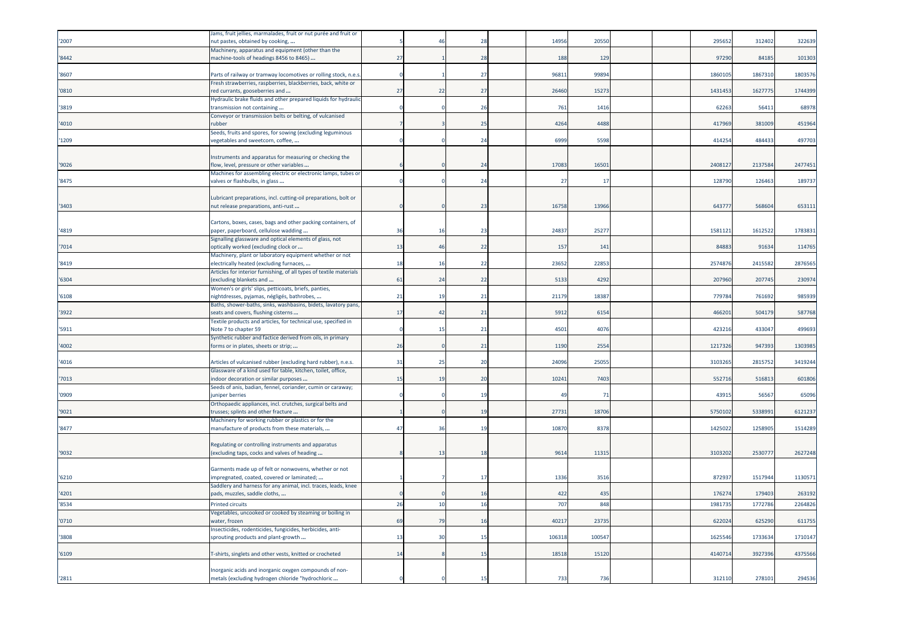|       | Jams, fruit jellies, marmalades, fruit or nut purée and fruit or                                   |    |                           |                |        |                |  |         |         |         |
|-------|----------------------------------------------------------------------------------------------------|----|---------------------------|----------------|--------|----------------|--|---------|---------|---------|
| '2007 | nut pastes, obtained by cooking,                                                                   |    | $\Delta$                  | 28             | 1495   | 2055           |  | 29565   | 31240   | 322639  |
|       | Machinery, apparatus and equipment (other than the                                                 |    |                           |                |        |                |  |         |         |         |
| '8442 | machine-tools of headings 8456 to 8465)                                                            | 27 |                           | 28             | 188    | 129            |  | 97290   | 84185   | 101303  |
| '8607 | Parts of railway or tramway locomotives or rolling stock, n.e.s.                                   |    |                           | 27             | 9681   | 9989           |  | 1860109 | 1867310 | 1803576 |
|       | Fresh strawberries, raspberries, blackberries, back, white or                                      |    |                           |                |        |                |  |         |         |         |
| '0810 | red currants, gooseberries and                                                                     | 27 | 22                        | 27             | 26460  | 1527           |  | 143145  | 162777  | 1744399 |
|       | Hydraulic brake fluids and other prepared liquids for hydraulic                                    |    |                           |                |        |                |  |         |         |         |
| '3819 | transmission not containing                                                                        |    |                           | 26             | 761    | 1416           |  | 6226    | 56411   | 68978   |
|       | Conveyor or transmission belts or belting, of vulcanised                                           |    |                           |                |        |                |  |         |         |         |
| '4010 | rubber                                                                                             |    |                           | 25             | 4264   | 4488           |  | 417969  | 381009  | 451964  |
|       | Seeds, fruits and spores, for sowing (excluding leguminous                                         |    |                           |                |        |                |  |         |         |         |
| '1209 | regetables and sweetcorn, coffee,                                                                  |    |                           | 24             | 6999   | 5598           |  | 41425   | 484433  | 497703  |
|       | Instruments and apparatus for measuring or checking the                                            |    |                           |                |        |                |  |         |         |         |
| '9026 | flow, level, pressure or other variables                                                           |    |                           | 24             | 1708   | 1650           |  | 240812  | 2137584 | 2477451 |
|       | Machines for assembling electric or electronic lamps, tubes or                                     |    |                           |                |        |                |  |         |         |         |
| '8475 | valves or flashbulbs, in glass                                                                     |    |                           | 24             | 27     | $-17$          |  | 12879   | 12646   | 189737  |
|       |                                                                                                    |    |                           |                |        |                |  |         |         |         |
|       | Lubricant preparations, incl. cutting-oil preparations, bolt or                                    |    |                           |                |        |                |  |         |         |         |
| '3403 | nut release preparations, anti-rust                                                                |    |                           | 23             | 16758  | 13966          |  | 643777  | 568604  | 653111  |
|       | Cartons, boxes, cases, bags and other packing containers, of                                       |    |                           |                |        |                |  |         |         |         |
| '4819 | paper, paperboard, cellulose wadding                                                               | 36 | 1(                        | 23             | 2483   | 2527           |  | 1581121 | 1612522 | 1783831 |
|       | Signalling glassware and optical elements of glass, not                                            |    |                           |                |        |                |  |         |         |         |
| '7014 | pptically worked (excluding clock or                                                               | 13 | 46                        | 22             | 157    | 141            |  | 8488    | 91634   | 114765  |
|       | Machinery, plant or laboratory equipment whether or not                                            |    |                           |                |        |                |  |         |         |         |
| '8419 | electrically heated (excluding furnaces,                                                           | 18 | $\overline{1}$            | 22             | 2365   | 2285           |  | 257487  | 241558  | 287656  |
| '6304 | Articles for interior furnishing, of all types of textile materials<br>excluding blankets and      | 61 | 2 <sup>2</sup>            | 22             | 5133   | 4292           |  | 207960  | 207745  | 230974  |
|       | Women's or girls' slips, petticoats, briefs, panties,                                              |    |                           |                |        |                |  |         |         |         |
| '6108 | nightdresses, pyjamas, négligés, bathrobes,                                                        | 21 | $\mathbf{1}^{\mathsf{c}}$ | 21             | 21179  | 1838           |  | 77978   | 761692  | 985939  |
|       | Baths, shower-baths, sinks, washbasins, bidets, lavatory pans                                      |    |                           |                |        |                |  |         |         |         |
| '3922 | seats and covers, flushing cisterns                                                                | 17 | $\overline{A}$            | 21             | 5912   | 615            |  | 46620   | 504179  | 587768  |
|       | Textile products and articles, for technical use, specified in                                     |    |                           |                |        |                |  |         |         |         |
| '5911 | Note 7 to chapter 59                                                                               |    | 1!                        | 21             | 4501   | 407            |  | 42321   | 43304   | 49969   |
| '4002 | Synthetic rubber and factice derived from oils, in primary<br>forms or in plates, sheets or strip; | 26 |                           | 21             | 1190   | 2554           |  | 121732  | 947393  | 1303985 |
|       |                                                                                                    |    |                           |                |        |                |  |         |         |         |
| '4016 | Articles of vulcanised rubber (excluding hard rubber), n.e.s.                                      | 31 | 25                        | 20             | 24096  | 2505           |  | 310326  | 2815752 | 3419244 |
|       | Glassware of a kind used for table, kitchen, toilet, office,                                       |    |                           |                |        |                |  |         |         |         |
| '7013 | ndoor decoration or similar purposes                                                               | 15 | 1 <sup>1</sup>            | 2 <sup>c</sup> | 1024   | 7403           |  | 55271   | 51681   | 601806  |
|       | Seeds of anis, badian, fennel, coriander, cumin or caraway;                                        |    |                           |                |        |                |  |         |         |         |
| '0909 | uniper berries                                                                                     |    |                           | 1 <sup>c</sup> | 49     | $\overline{7}$ |  | 4391    | 56567   | 65096   |
| '9021 | Orthopaedic appliances, incl. crutches, surgical belts and<br>trusses; splints and other fracture  |    |                           | 1 <sup>5</sup> | 2773   | 1870           |  | 575010  | 533899  | 612123  |
|       | Machinery for working rubber or plastics or for the                                                |    |                           |                |        |                |  |         |         |         |
| '8477 | manufacture of products from these materials,                                                      | 47 | $-36$                     | 19             | 10870  | 8378           |  | 142502  | 1258905 | 1514289 |
|       |                                                                                                    |    |                           |                |        |                |  |         |         |         |
|       | Regulating or controlling instruments and apparatus                                                |    |                           |                |        |                |  |         |         |         |
| '9032 | excluding taps, cocks and valves of heading                                                        |    | $-12$                     | 18             | 9614   | 11315          |  | 3103202 | 253077  | 2627248 |
|       | Garments made up of felt or nonwovens, whether or not                                              |    |                           |                |        |                |  |         |         |         |
| '6210 | mpregnated, coated, covered or laminated;                                                          |    |                           | 17             | 1336   | 351            |  | 87293   | 151794  | 113057  |
|       | Saddlery and harness for any animal, incl. traces, leads, knee                                     |    |                           |                |        |                |  |         |         |         |
| '4201 | pads, muzzles, saddle cloths,                                                                      |    |                           | 16             | 422    | 435            |  | 17627   | 17940   | 263192  |
| '8534 | Printed circuits                                                                                   | 26 | 10                        | 16             | 707    | 848            |  | 1981735 | 1772786 | 2264826 |
|       | Vegetables, uncooked or cooked by steaming or boiling in                                           |    |                           |                |        |                |  |         |         |         |
| '0710 | water, frozen                                                                                      | 69 | 7 <sup>0</sup>            | 16             | 4021   | 2373           |  | 62202   | 625290  | 611755  |
|       | nsecticides, rodenticides, fungicides, herbicides, anti-                                           |    |                           |                |        |                |  |         |         |         |
| '3808 | sprouting products and plant-growth                                                                | 13 | $\overline{3}$            | 15             | 106318 | 10054          |  | 162554  | 1733634 | 1710147 |
| '6109 | T-shirts, singlets and other vests, knitted or crocheted                                           | 14 |                           | 15             | 18518  | 1512           |  | 4140714 | 392739  | 4375566 |
|       |                                                                                                    |    |                           |                |        |                |  |         |         |         |
|       | norganic acids and inorganic oxygen compounds of non-                                              |    |                           |                |        |                |  |         |         |         |
| '2811 | metals (excluding hydrogen chloride "hydrochloric                                                  |    |                           | 15             | 733    | 736            |  | 312110  | 278101  | 294536  |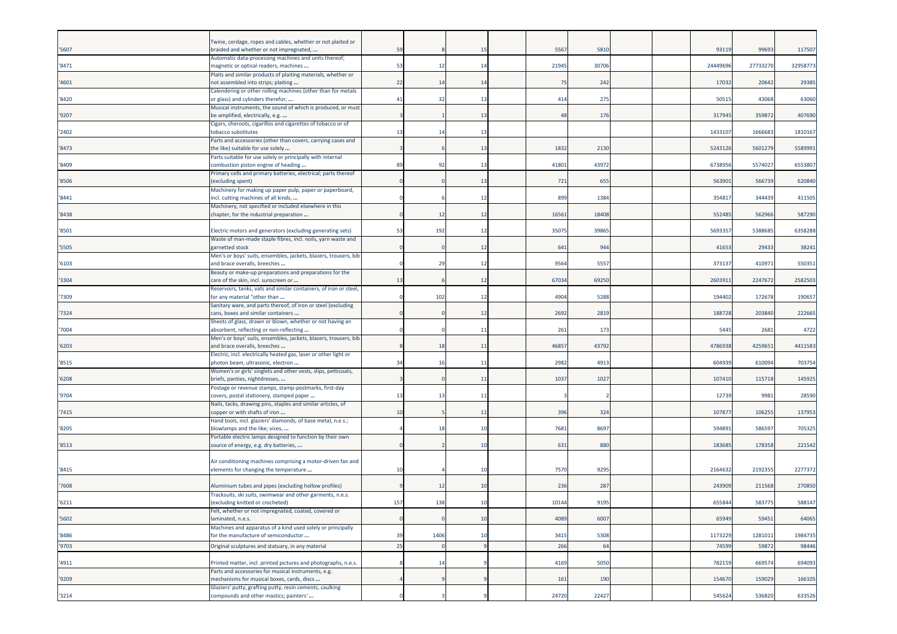|       | Twine, cordage, ropes and cables, whether or not plaited or                                               |     |                 |         |       |       |  |          |          |          |
|-------|-----------------------------------------------------------------------------------------------------------|-----|-----------------|---------|-------|-------|--|----------|----------|----------|
| '5607 | braided and whether or not impregnated,                                                                   | 59  |                 | -15     | 5567  | 5810  |  | 93119    | 99693    | 117507   |
| '8471 | Automatic data-processing machines and units thereof;<br>magnetic or optical readers, machines            | 53  | 12              | 14      | 21945 | 30706 |  | 24449696 | 27733270 | 32958773 |
|       | Plaits and similar products of plaiting materials, whether or                                             |     |                 |         |       |       |  |          |          |          |
| '4601 | not assembled into strips; plaiting<br>Calendering or other rolling machines (other than for metals       | 22  | 1 <sup>2</sup>  | 14      | 75    | 242   |  | 17032    | 20642    | 29385    |
| '8420 | or glass) and cylinders therefor;                                                                         | 41  | -32             | -13     | 414   | 275   |  | 5051     | 43068    | 63060    |
| '9207 | Musical instruments, the sound of which is produced, or must<br>be amplified, electrically, e.g.          |     |                 | 13      | 48    | 176   |  | 317945   | 35987    | 407690   |
|       | Cigars, cheroots, cigarillos and cigarettes of tobacco or of                                              |     |                 |         |       |       |  |          |          |          |
| 2402  | tobacco substitutes<br>Parts and accessories (other than covers, carrying cases and                       | 13  | -14             | -13     |       |       |  | 143310   | 166668   | 1810167  |
| 8473  | the like) suitable for use solely                                                                         |     |                 | -13     | 1832  | 2130  |  | 524312   | 560127   | 5589991  |
| '8409 | Parts suitable for use solely or principally with internal<br>combustion piston engine of heading         | 89  | 92              | 13      | 41801 | 43972 |  | 6738956  | 5574027  | 6553807  |
| '8506 | Primary cells and primary batteries, electrical; parts thereof<br>(excluding spent)                       |     |                 | 13      | 721   | 655   |  | 563901   | 566739   | 620840   |
|       | Machinery for making up paper pulp, paper or paperboard,                                                  |     |                 |         |       |       |  |          |          |          |
| 8441  | incl. cutting machines of all kinds,<br>Machinery, not specified or included elsewhere in this            |     |                 | 12      | 899   | 1384  |  | 35481    | 344439   | 411505   |
| '8438 | chapter, for the industrial preparation                                                                   |     | $\overline{12}$ | 12      | 1656  | 18408 |  | 55248    | 562966   | 587290   |
| '8501 | Electric motors and generators (excluding generating sets)                                                | 53  | 192             | 12      | 3507  | 3986  |  | 569335   | 538868   | 6358288  |
| '5505 | Waste of man-made staple fibres, incl. noils, yarn waste and<br>garnetted stock                           |     |                 | 12      | 641   | 944   |  | 41653    | 29433    | 38241    |
|       | Men's or boys' suits, ensembles, jackets, blazers, trousers, bib                                          |     | 29              | -12     | 9564  | 5557  |  | 37313    | 410971   | 550351   |
| '6103 | and brace overalls, breeches<br>Beauty or make-up preparations and preparations for the                   |     |                 |         |       |       |  |          |          |          |
| '3304 | care of the skin, incl. sunscreen or<br>Reservoirs, tanks, vats and similar containers, of iron or steel, | 13  |                 | 12      | 67034 | 69250 |  | 2603911  | 2247672  | 2582503  |
| 7309  | for any material "other than                                                                              |     | 102             | 12      | 4904  | 5288  |  | 194402   | 172678   | 190657   |
| '7324 | Sanitary ware, and parts thereof, of iron or steel (excluding<br>cans, boxes and similar containers       |     |                 | 12      | 2692  | 2819  |  | 188728   | 203840   | 222665   |
| 7004  | Sheets of glass, drawn or blown, whether or not having an<br>absorbent, reflecting or non-reflecting      |     |                 | -11     | 261   | 173   |  | 5445     | 2681     | 4722     |
|       | Men's or boys' suits, ensembles, jackets, blazers, trousers, bib                                          |     |                 |         |       |       |  |          |          |          |
| 6203  | and brace overalls, breeches<br>Electric, incl. electrically heated gas, laser or other light or          |     | 18              | -11     | 4685  | 43792 |  | 4786938  | 4259651  | 4411583  |
| '8515 | photon beam, ultrasonic, electron                                                                         | 34  | 10              | -11     | 2982  | 4913  |  | 60493    | 610094   | 703754   |
| '6208 | Women's or girls' singlets and other vests, slips, petticoats,<br>briefs, panties, nightdresses,          |     |                 | 11      | 1037  | 1027  |  | 107410   | 115718   | 145925   |
| '9704 | Postage or revenue stamps, stamp-postmarks, first-day<br>covers, postal stationery, stamped paper         | 13  | -13             | $-11$   |       |       |  | 12739    | 9981     | 28590    |
|       | Nails, tacks, drawing pins, staples and similar articles, of                                              |     |                 |         |       |       |  |          |          |          |
| 7415  | copper or with shafts of iron                                                                             | 10  |                 | $_{11}$ | 396   | 324   |  | 10787    | 10625    | 137953   |
| '8205 | Hand tools, incl. glaziers' diamonds, of base metal, n.e.s.;<br>blowlamps and the like; vices,            |     |                 | 10      | 768   | 8697  |  | 59489    | 58659    | 705325   |
| '8513 | Portable electric lamps designed to function by their own<br>source of energy, e.g. dry batteries,        |     |                 | 10      | 631   | 880   |  | 183685   | 178358   | 221542   |
|       |                                                                                                           |     |                 |         |       |       |  |          |          |          |
| '8415 | Air conditioning machines comprising a motor-driven fan and<br>elements for changing the temperature      | 10  |                 | -10     | 7570  | 9295  |  | 2164632  | 219235   | 2277372  |
| 7608  | Aluminium tubes and pipes (excluding hollow profiles)                                                     |     | 1               | 10      | 236   | 287   |  | 24390    | 211568   | 270850   |
| '6211 | Tracksuits, ski suits, swimwear and other garments, n.e.s.<br>(excluding knitted or crocheted)            | 157 | 138             | 10      | 10144 | 9195  |  | 655844   | 583775   | 588147   |
|       | Felt, whether or not impregnated, coated, covered or                                                      |     |                 |         |       |       |  |          |          |          |
| '5602 | laminated, n.e.s.<br>Machines and apparatus of a kind used solely or principally                          |     |                 | 10      | 4089  | 6007  |  | 65949    | 59451    | 64065    |
| '8486 | for the manufacture of semiconductor                                                                      | 39  | 1406            | 10      | 3415  | 5308  |  | 1173229  | 1281011  | 1984735  |
| '9703 | Original sculptures and statuary, in any material                                                         | 25  |                 |         | 266   | 64    |  | 74599    | 5987     | 98446    |
| '4911 | Printed matter, incl. printed pictures and photographs, n.e.s.                                            |     |                 |         | 4169  | 5050  |  | 782159   | 66957    | 694093   |
| '9209 | Parts and accessories for musical instruments, e.g.<br>mechanisms for musical boxes, cards, discs         |     |                 |         | 161   | 190   |  | 154670   | 159029   | 166105   |
|       | Glaziers' putty, grafting putty, resin cements, caulking                                                  |     |                 |         |       |       |  |          |          |          |
| '3214 | compounds and other mastics; painters'                                                                    |     |                 |         | 24720 | 22427 |  | 545624   | 536820   | 633526   |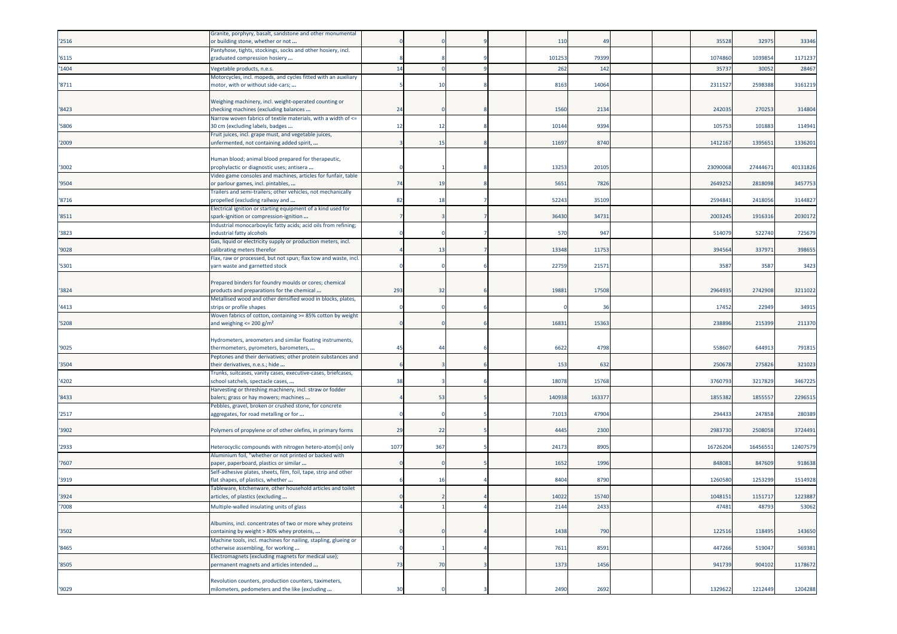| '2516 | Granite, porphyry, basalt, sandstone and other monumental<br>or building stone, whether or not          |      |                |  | 110    | 4 <sup>c</sup> |  | 35528   | 32975    | 33346    |
|-------|---------------------------------------------------------------------------------------------------------|------|----------------|--|--------|----------------|--|---------|----------|----------|
| '6115 | Pantyhose, tights, stockings, socks and other hosiery, incl.                                            |      |                |  | 101253 | 79399          |  | 1074860 | 1039854  | 1171237  |
| '1404 | graduated compression hosiery<br>/egetable products, n.e.s.                                             | 14   |                |  | 262    | 142            |  | 3573    | 30052    | 28467    |
|       | Motorcycles, incl. mopeds, and cycles fitted with an auxiliary                                          |      |                |  |        |                |  |         |          |          |
| '8711 | motor, with or without side-cars;                                                                       |      | 10             |  | 8163   | 14064          |  | 231152  | 2598388  | 3161219  |
| '8423 | Weighing machinery, incl. weight-operated counting or<br>checking machines (excluding balances          | 24   |                |  | 1560   | 2134           |  | 242035  | 270253   | 314804   |
| '5806 | Narrow woven fabrics of textile materials, with a width of <=<br>30 cm (excluding labels, badges        | 12   | 12             |  | 10144  | 9394           |  | 105753  | 101883   | 114941   |
|       | Fruit juices, incl. grape must, and vegetable juices,                                                   |      |                |  |        |                |  |         |          |          |
| '2009 | unfermented, not containing added spirit,                                                               |      | 15             |  | 11697  | 8740           |  | 1412167 | 139565   | 1336201  |
| '3002 | Human blood; animal blood prepared for therapeutic,<br>prophylactic or diagnostic uses; antisera        |      |                |  | 13253  | 20105          |  | 2309006 | 27444671 | 40131826 |
| '9504 | Video game consoles and machines, articles for funfair, table<br>or parlour games, incl. pintables,     | 74   | 19             |  | 5651   | 7826           |  | 264925  | 2818098  | 3457753  |
|       | Trailers and semi-trailers; other vehicles, not mechanically                                            |      |                |  |        |                |  |         |          |          |
| '8716 | propelled (excluding railway and<br>Electrical ignition or starting equipment of a kind used for        | 82   | 18             |  | 52243  | 35109          |  | 259484  | 2418056  | 3144827  |
| '8511 | spark-ignition or compression-ignition                                                                  |      |                |  | 36430  | 34731          |  | 2003245 | 191631   | 2030172  |
| '3823 | Industrial monocarboxylic fatty acids; acid oils from refining;<br>ndustrial fatty alcohols             |      |                |  | 570    | 947            |  | 51407   | 522740   | 725679   |
| '9028 | Gas, liquid or electricity supply or production meters, incl.<br>calibrating meters therefor            |      | 13             |  | 13348  | 11753          |  | 39456   | 33797    | 398655   |
| '5301 | Flax, raw or processed, but not spun; flax tow and waste, incl.<br>yarn waste and garnetted stock       |      |                |  | 22759  | 2157           |  | 3587    | 3587     | 3423     |
| '3824 | Prepared binders for foundry moulds or cores; chemical<br>products and preparations for the chemical    | 293  | 32             |  | 19881  | 17508          |  | 2964935 | 2742908  | 3211022  |
| '4413 | Metallised wood and other densified wood in blocks, plates,<br>strips or profile shapes                 |      |                |  |        | 36             |  | 17452   | 22949    | 34915    |
| '5208 | Woven fabrics of cotton, containing >= 85% cotton by weight<br>and weighing $\leq$ 200 g/m <sup>2</sup> |      |                |  | 16831  | 15363          |  | 23889   | 21539    | 211370   |
|       |                                                                                                         |      |                |  |        |                |  |         |          |          |
| '9025 | Hydrometers, areometers and similar floating instruments,<br>hermometers, pyrometers, barometers,       | 45   | $\overline{4}$ |  | 6622   | 4798           |  | 55860   | 644913   | 791815   |
| '3504 | Peptones and their derivatives; other protein substances and<br>their derivatives, n.e.s.; hide         |      |                |  | 153    | 632            |  | 25067   | 275826   | 321023   |
|       | Trunks, suitcases, vanity cases, executive-cases, briefcases,                                           |      |                |  |        |                |  |         |          |          |
| '4202 | school satchels, spectacle cases,<br>Harvesting or threshing machinery, incl. straw or fodder           | 38   |                |  | 18078  | 15768          |  | 376079  | 3217829  | 3467225  |
| '8433 | balers; grass or hay mowers; machines<br>Pebbles, gravel, broken or crushed stone, for concrete         |      | 53             |  | 140938 | 16337          |  | 1855382 | 185555   | 2296515  |
| '2517 | aggregates, for road metalling or for                                                                   |      |                |  | 7101   | 47904          |  | 294433  | 247858   | 280389   |
| '3902 | Polymers of propylene or of other olefins, in primary forms                                             | 29   | 22             |  | 4445   | 2300           |  | 298373  | 250805   | 3724491  |
| '2933 | Heterocyclic compounds with nitrogen hetero-atom[s] only                                                | 1077 | 367            |  | 24173  | 8905           |  | 1672620 | 1645655  | 12407579 |
| '7607 | Aluminium foil, "whether or not printed or backed with<br>paper, paperboard, plastics or similar        |      |                |  | 1652   | 1996           |  | 84808   | 847609   | 918638   |
| '3919 | Self-adhesive plates, sheets, film, foil, tape, strip and other<br>flat shapes, of plastics, whether    |      | 16             |  | 8404   | 8790           |  | 1260580 | 125329   | 1514928  |
| '3924 | Tableware, kitchenware, other household articles and toilet<br>articles, of plastics (excluding         |      |                |  | 14022  | 15740          |  | 1048151 | 1151717  | 1223887  |
| 7008  | Multiple-walled insulating units of glass                                                               |      |                |  | 2144   | 2433           |  | 47481   | 48793    | 53062    |
|       | Albumins, incl. concentrates of two or more whey proteins                                               |      |                |  |        |                |  |         |          |          |
| '3502 | containing by weight > 80% whey proteins,                                                               |      |                |  | 1438   | 790            |  | 122516  | 118495   | 143650   |
| '8465 | Machine tools, incl. machines for nailing, stapling, glueing or<br>otherwise assembling, for working    |      |                |  | 7611   | 8591           |  | 447266  | 519047   | 569381   |
| '8505 | Electromagnets (excluding magnets for medical use);<br>permanent magnets and articles intended          | 73   | 70             |  | 1373   | 1456           |  | 941739  | 904102   | 1178672  |
|       | Revolution counters, production counters, taximeters,                                                   |      |                |  |        |                |  |         |          |          |
| '9029 | milometers, pedometers and the like (excluding                                                          | 30   |                |  | 2490   | 2692           |  | 1329622 | 1212449  | 1204288  |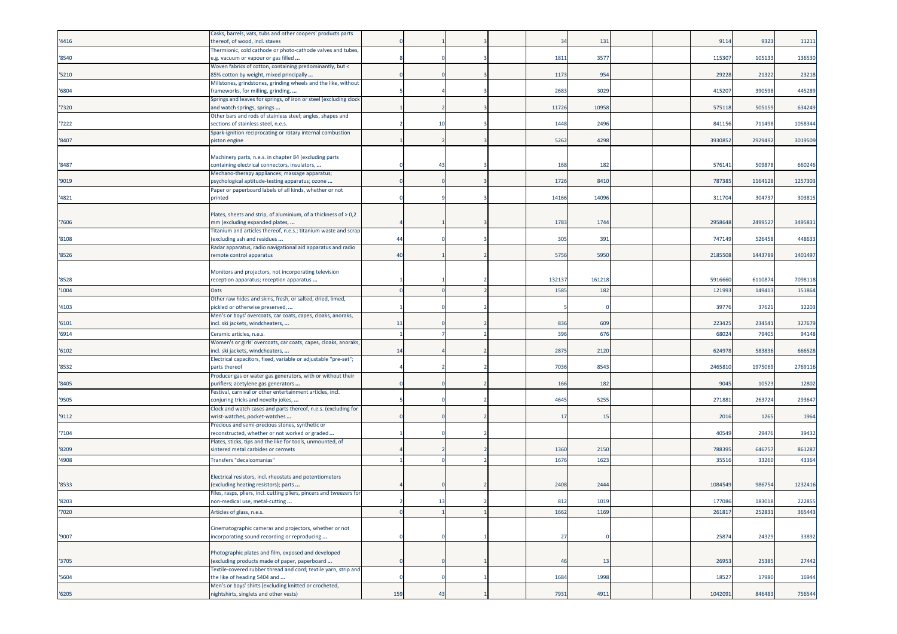|       | Casks, barrels, vats, tubs and other coopers' products parts                                         |          |    |  |        |       |  |         |         |         |
|-------|------------------------------------------------------------------------------------------------------|----------|----|--|--------|-------|--|---------|---------|---------|
| '4416 | thereof, of wood, incl. staves                                                                       |          |    |  | 34     | 131   |  | 9114    | 9323    | 11211   |
|       | Thermionic, cold cathode or photo-cathode valves and tubes,                                          |          |    |  |        |       |  |         |         |         |
| '8540 | e.g. vacuum or vapour or gas filled                                                                  |          |    |  | 1811   | 357   |  | 11530   | 105133  | 136530  |
|       | Woven fabrics of cotton, containing predominantly, but <                                             |          |    |  |        |       |  |         |         |         |
| '5210 | 85% cotton by weight, mixed principally                                                              |          |    |  | 1173   | 954   |  | 29228   | 21322   | 23218   |
|       | Millstones, grindstones, grinding wheels and the like, without                                       |          |    |  |        |       |  |         |         |         |
| '6804 | frameworks, for milling, grinding,                                                                   |          |    |  | 2683   | 3029  |  | 41520   | 390598  | 445289  |
|       | Springs and leaves for springs, of iron or steel (excluding clock                                    |          |    |  |        |       |  |         |         |         |
| '7320 | and watch springs, springs                                                                           |          |    |  | 11726  | 10958 |  | 575118  | 505159  | 634249  |
| '7222 | Other bars and rods of stainless steel; angles, shapes and<br>sections of stainless steel, n.e.s.    |          | 10 |  | 1448   | 2496  |  | 84115   | 711498  | 1058344 |
|       | Spark-ignition reciprocating or rotary internal combustion                                           |          |    |  |        |       |  |         |         |         |
| '8407 | piston engine                                                                                        |          |    |  | 5262   | 4298  |  | 393085  | 2929492 | 3019509 |
|       |                                                                                                      |          |    |  |        |       |  |         |         |         |
|       | Machinery parts, n.e.s. in chapter 84 (excluding parts                                               |          |    |  |        |       |  |         |         |         |
| '8487 | containing electrical connectors, insulators,                                                        |          | 43 |  | 168    | 182   |  | 57614   | 509878  | 660246  |
|       | Mechano-therapy appliances; massage apparatus;                                                       |          |    |  |        |       |  |         |         |         |
| '9019 | psychological aptitude-testing apparatus; ozone                                                      |          |    |  | 1726   | 8410  |  | 78738   | 116412  | 1257303 |
| '4821 | Paper or paperboard labels of all kinds, whether or not<br>printed                                   |          |    |  | 14166  | 14096 |  | 31170   | 30473   | 303815  |
|       |                                                                                                      |          |    |  |        |       |  |         |         |         |
|       | Plates, sheets and strip, of aluminium, of a thickness of > 0,2                                      |          |    |  |        |       |  |         |         |         |
| '7606 | mm (excluding expanded plates,                                                                       |          |    |  | 1783   | 1744  |  | 2958648 | 249952  | 3495831 |
|       | Titanium and articles thereof, n.e.s.; titanium waste and scrap                                      |          |    |  |        |       |  |         |         |         |
| '8108 | excluding ash and residues                                                                           | 44       |    |  | 305    | 391   |  | 747149  | 526458  | 448633  |
|       | Radar apparatus, radio navigational aid apparatus and radio                                          |          |    |  |        |       |  |         |         |         |
| '8526 | remote control apparatus                                                                             | 40       |    |  | 5756   | 5950  |  | 2185508 | 1443789 | 1401497 |
|       |                                                                                                      |          |    |  |        |       |  |         |         |         |
|       | Monitors and projectors, not incorporating television                                                |          |    |  |        |       |  |         |         |         |
| '8528 | reception apparatus; reception apparatus                                                             |          |    |  | 132137 | 16121 |  | 5916660 | 611087  | 7098118 |
| '1004 | Oats                                                                                                 |          |    |  | 1585   | 182   |  | 12199   | 149413  | 151864  |
|       | Other raw hides and skins, fresh, or salted, dried, limed,                                           |          |    |  |        |       |  |         |         |         |
| '4103 | pickled or otherwise preserved,                                                                      |          |    |  |        |       |  | 3977    | 37621   | 32203   |
| '6101 | Men's or boys' overcoats, car coats, capes, cloaks, anoraks,<br>incl. ski jackets, windcheaters,     | 11       |    |  | 836    | 609   |  | 223425  | 234541  | 327679  |
|       |                                                                                                      |          |    |  |        |       |  |         |         |         |
| '6914 | Ceramic articles, n.e.s.                                                                             |          |    |  | 396    | 676   |  | 6802    | 79405   | 94148   |
| '6102 | Women's or girls' overcoats, car coats, capes, cloaks, anoraks,<br>ncl. ski jackets, windcheaters,   | 14       |    |  | 2875   | 2120  |  | 62497   | 58383   | 666528  |
|       | Electrical capacitors, fixed, variable or adjustable "pre-set";                                      |          |    |  |        |       |  |         |         |         |
| '8532 | parts thereof                                                                                        |          |    |  | 7036   | 8543  |  | 246581  | 197506  | 2769116 |
|       | Producer gas or water gas generators, with or without their                                          |          |    |  |        |       |  |         |         |         |
| '8405 | purifiers; acetylene gas generators                                                                  |          |    |  | 166    | 182   |  | 9045    | 10523   | 12802   |
|       | Festival, carnival or other entertainment articles, incl.                                            |          |    |  |        |       |  |         |         |         |
| '9505 | conjuring tricks and novelty jokes,                                                                  |          |    |  | 4645   | 5255  |  | 271883  | 263724  | 293647  |
|       | Clock and watch cases and parts thereof, n.e.s. (excluding for                                       |          |    |  |        |       |  |         |         |         |
| '9112 | wrist-watches, pocket-watches                                                                        |          |    |  | 17     | 15    |  | 2016    | 1265    | 1964    |
| '7104 | Precious and semi-precious stones, synthetic or<br>reconstructed, whether or not worked or graded    |          |    |  |        |       |  | 40549   | 29476   | 39432   |
|       | Plates, sticks, tips and the like for tools, unmounted, of                                           |          |    |  |        |       |  |         |         |         |
| '8209 | sintered metal carbides or cermets                                                                   |          |    |  | 1360   | 2150  |  | 78839   | 64675   | 861287  |
| '4908 | <b>Transfers "decalcomanias"</b>                                                                     |          |    |  | 1676   | 1623  |  | 3551    | 33260   | 43364   |
|       |                                                                                                      |          |    |  |        |       |  |         |         |         |
|       | Electrical resistors, incl. rheostats and potentiometers                                             |          |    |  |        |       |  |         |         |         |
| '8533 | excluding heating resistors); parts                                                                  |          |    |  | 2408   | 2444  |  | 1084549 | 98675   | 1232416 |
|       | Files, rasps, pliers, incl. cutting pliers, pincers and tweezers for                                 |          |    |  |        |       |  |         |         |         |
| '8203 | non-medical use, metal-cutting                                                                       |          | 13 |  | 812    | 1019  |  | 177086  | 183018  | 222855  |
| '7020 | Articles of glass, n.e.s.                                                                            | $\Omega$ |    |  | 1662   | 1169  |  | 261817  | 252831  | 365443  |
|       |                                                                                                      |          |    |  |        |       |  |         |         |         |
|       | Cinematographic cameras and projectors, whether or not                                               |          |    |  |        |       |  |         |         |         |
| '9007 | incorporating sound recording or reproducing                                                         |          |    |  | 27     |       |  | 25874   | 24329   | 33892   |
|       |                                                                                                      |          |    |  |        |       |  |         |         |         |
|       | Photographic plates and film, exposed and developed<br>(excluding products made of paper, paperboard |          |    |  | 46     | 13    |  | 26953   | 25385   | 27442   |
| '3705 | Textile-covered rubber thread and cord; textile yarn, strip and                                      |          |    |  |        |       |  |         |         |         |
| '5604 | the like of heading 5404 and                                                                         |          |    |  | 1684   | 1998  |  | 18527   | 17980   | 16944   |
|       | Men's or boys' shirts (excluding knitted or crocheted,                                               |          |    |  |        |       |  |         |         |         |
| '6205 | nightshirts, singlets and other vests)                                                               | 159      | 43 |  | 7931   | 4911  |  | 1042091 | 846483  | 756544  |
|       |                                                                                                      |          |    |  |        |       |  |         |         |         |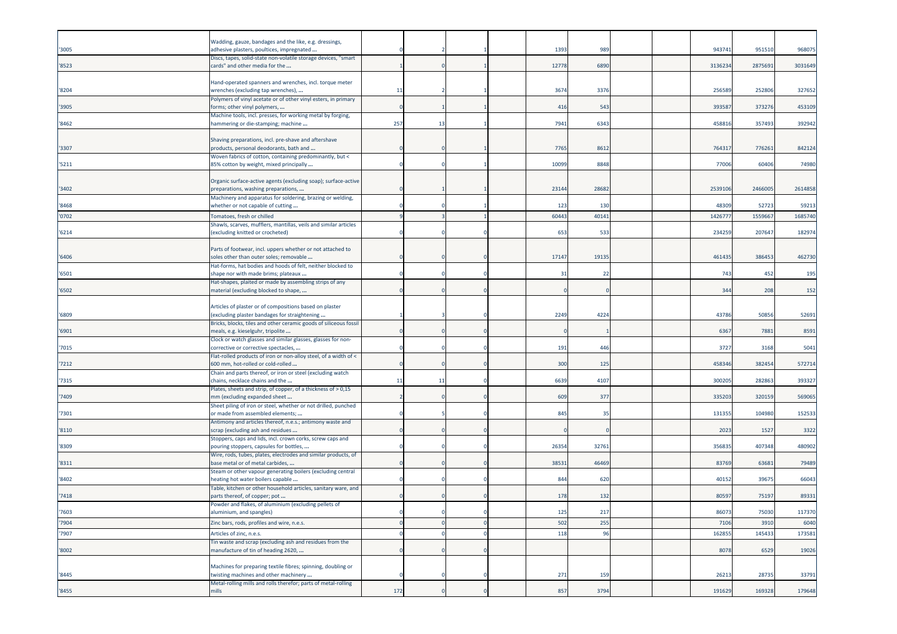| '3005  | Wadding, gauze, bandages and the like, e.g. dressings,<br>adhesive plasters, poultices, impregnated      |     |     |  | 1393  | 989   |  | 943741 | 951510  | 968075  |
|--------|----------------------------------------------------------------------------------------------------------|-----|-----|--|-------|-------|--|--------|---------|---------|
|        | Discs, tapes, solid-state non-volatile storage devices, "smart                                           |     |     |  |       |       |  |        |         |         |
| '8523  | cards" and other media for the                                                                           |     |     |  | 12778 | 6890  |  | 313623 | 2875691 | 3031649 |
|        | Hand-operated spanners and wrenches, incl. torque meter                                                  |     |     |  |       |       |  |        |         |         |
| '8204  | wrenches (excluding tap wrenches),                                                                       | 11  |     |  | 3674  | 3376  |  | 25658  | 252806  | 327652  |
|        | Polymers of vinyl acetate or of other vinyl esters, in primary                                           |     |     |  |       |       |  |        |         |         |
| '3905  | forms; other vinyl polymers,<br>Machine tools, incl. presses, for working metal by forging,              |     |     |  | 416   | 543   |  | 39358  | 373276  | 453109  |
| '8462  | hammering or die-stamping; machine                                                                       | 257 | 13  |  | 7941  | 6343  |  | 45881  | 357493  | 392942  |
|        |                                                                                                          |     |     |  |       |       |  |        |         |         |
| '3307  | Shaving preparations, incl. pre-shave and aftershave<br>products, personal deodorants, bath and          |     |     |  | 7765  | 8612  |  | 76431  | 776261  | 842124  |
|        | Woven fabrics of cotton, containing predominantly, but <                                                 |     |     |  |       |       |  |        |         |         |
| '5211  | 85% cotton by weight, mixed principally                                                                  |     |     |  | 10099 | 8848  |  | 77006  | 60406   | 74980   |
|        | Organic surface-active agents (excluding soap); surface-active                                           |     |     |  |       |       |  |        |         |         |
| '3402  | preparations, washing preparations,                                                                      |     |     |  | 23144 | 28682 |  | 253910 | 246600  | 2614858 |
| '8468  | Machinery and apparatus for soldering, brazing or welding,<br>whether or not capable of cutting          |     |     |  | 123   | 130   |  | 4830   | 52723   | 59213   |
| '0702  | Tomatoes, fresh or chilled                                                                               |     |     |  | 60443 | 40141 |  | 142677 | 155966  | 1685740 |
|        | Shawls, scarves, mufflers, mantillas, veils and similar articles                                         |     |     |  |       |       |  |        |         |         |
| '6214  | (excluding knitted or crocheted)                                                                         |     |     |  | 653   | 533   |  | 234259 | 207647  | 182974  |
|        | Parts of footwear, incl. uppers whether or not attached to                                               |     |     |  |       |       |  |        |         |         |
| '6406' | soles other than outer soles; removable                                                                  |     |     |  | 17147 | 19135 |  | 461435 | 386453  | 462730  |
|        | Hat-forms, hat bodies and hoods of felt, neither blocked to                                              |     |     |  |       |       |  |        |         |         |
| '6501  | shape nor with made brims; plateaux<br>Hat-shapes, plaited or made by assembling strips of any           |     |     |  | 31    | 22    |  | 743    | 452     | 195     |
| '6502  | material (excluding blocked to shape,                                                                    |     |     |  |       |       |  | 344    | 208     | 152     |
|        |                                                                                                          |     |     |  |       |       |  |        |         |         |
| '6809  | Articles of plaster or of compositions based on plaster<br>(excluding plaster bandages for straightening |     |     |  | 2249  | 4224  |  | 43786  | 50856   | 52691   |
|        | Bricks, blocks, tiles and other ceramic goods of siliceous fossil                                        |     |     |  |       |       |  |        |         |         |
| '6901  | meals, e.g. kieselguhr, tripolite                                                                        |     |     |  |       |       |  | 6367   | 7881    | 8591    |
| '7015  | Clock or watch glasses and similar glasses, glasses for non-<br>corrective or corrective spectacles,     |     |     |  | 191   | 446   |  | 3727   | 3168    | 5041    |
|        | Flat-rolled products of iron or non-alloy steel, of a width of <                                         |     |     |  |       |       |  |        |         |         |
| '7212  | 600 mm, hot-rolled or cold-rolled<br>Chain and parts thereof, or iron or steel (excluding watch          |     |     |  | 300   | 125   |  | 458346 | 38245   | 572714  |
| '7315  | chains, necklace chains and the                                                                          | 11  | -11 |  | 6639  | 4107  |  | 30020  | 282863  | 393327  |
|        | Plates, sheets and strip, of copper, of a thickness of > 0,15                                            |     |     |  |       |       |  |        |         |         |
| '7409  | mm (excluding expanded sheet<br>Sheet piling of iron or steel, whether or not drilled, punched           |     |     |  | 609   | 377   |  | 33520  | 320159  | 569065  |
| '7301  | or made from assembled elements;                                                                         |     |     |  | 845   | 35    |  | 13135  | 104980  | 152533  |
|        | Antimony and articles thereof, n.e.s.; antimony waste and                                                |     |     |  |       |       |  |        |         |         |
| '8110  | scrap (excluding ash and residues<br>Stoppers, caps and lids, incl. crown corks, screw caps and          |     |     |  |       |       |  | 2023   | 1527    | 3322    |
| '8309  | pouring stoppers, capsules for bottles,                                                                  |     |     |  | 26354 | 3276  |  | 356835 | 407348  | 480902  |
|        | Wire, rods, tubes, plates, electrodes and similar products, of                                           |     |     |  |       |       |  |        |         |         |
| '8311  | base metal or of metal carbides,<br>Steam or other vapour generating boilers (excluding central          |     |     |  | 3853  | 46469 |  | 83769  | 63681   | 79489   |
| '8402  | neating hot water boilers capable                                                                        |     |     |  | 844   | 620   |  | 4015   | 3967    | 66043   |
|        | Table, kitchen or other household articles, sanitary ware, and                                           |     |     |  |       |       |  |        |         |         |
| '7418  | parts thereof, of copper; pot<br>Powder and flakes, of aluminium (excluding pellets of                   |     |     |  | 178   | 132   |  | 8059   | 75197   | 89331   |
| '7603  | aluminium, and spangles)                                                                                 |     |     |  | 125   | 217   |  | 86073  | 75030   | 117370  |
| '7904  | Zinc bars, rods, profiles and wire, n.e.s.                                                               |     |     |  | 502   | 255   |  | 7106   | 3910    | 6040    |
| '7907  | Articles of zinc, n.e.s.                                                                                 |     |     |  | 118   | 96    |  | 16285  | 145433  | 173581  |
| '8002  | Fin waste and scrap (excluding ash and residues from the<br>manufacture of tin of heading 2620,          |     |     |  |       |       |  | 8078   | 6529    | 19026   |
|        |                                                                                                          |     |     |  |       |       |  |        |         |         |
|        | Machines for preparing textile fibres; spinning, doubling or                                             |     |     |  |       |       |  |        |         |         |
| '8445  | twisting machines and other machinery<br>Metal-rolling mills and rolls therefor; parts of metal-rolling  |     |     |  | 271   | 159   |  | 26213  | 28735   | 33791   |
| '8455  | mills                                                                                                    | 172 |     |  | 857   | 3794  |  | 191629 | 169328  | 179648  |
|        |                                                                                                          |     |     |  |       |       |  |        |         |         |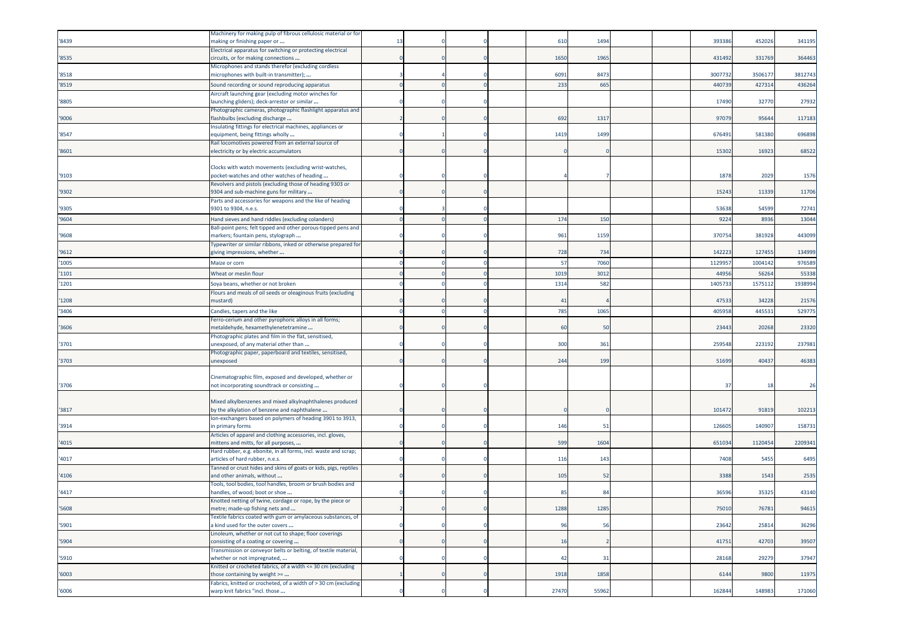|        | Machinery for making pulp of fibrous cellulosic material or for                                       |    |  |       |       |  |        |         |         |
|--------|-------------------------------------------------------------------------------------------------------|----|--|-------|-------|--|--------|---------|---------|
| '8439  | making or finishing paper or                                                                          | 13 |  | 610   | 1494  |  | 39338  | 452026  | 341195  |
|        | Electrical apparatus for switching or protecting electrical                                           |    |  |       |       |  |        |         |         |
| '8535  | circuits, or for making connections                                                                   |    |  | 1650  | 1965  |  | 431492 | 331769  | 364463  |
|        | Microphones and stands therefor (excluding cordless                                                   |    |  |       |       |  |        |         |         |
| '8518  | microphones with built-in transmitter);                                                               |    |  | 6091  | 8473  |  | 300773 | 3506177 | 3812743 |
| '8519  | Sound recording or sound reproducing apparatus                                                        |    |  | 233   | 665   |  | 44073  | 42731   | 436264  |
|        | Aircraft launching gear (excluding motor winches for                                                  |    |  |       |       |  |        |         |         |
| '8805  | launching gliders); deck-arrestor or similar                                                          |    |  |       |       |  | 17490  | 32770   | 27932   |
|        | Photographic cameras, photographic flashlight apparatus and                                           |    |  |       |       |  |        |         |         |
| '9006  | lashbulbs (excluding discharge                                                                        |    |  | 692   | 1317  |  | 9707   | 95644   | 117183  |
| '8547  | Insulating fittings for electrical machines, appliances or<br>equipment, being fittings wholly        |    |  | 1419  | 1499  |  | 67649  | 581380  | 696898  |
|        | Rail locomotives powered from an external source of                                                   |    |  |       |       |  |        |         |         |
| '8601  | electricity or by electric accumulators                                                               |    |  |       |       |  | 15302  | 16923   | 68522   |
|        |                                                                                                       |    |  |       |       |  |        |         |         |
|        | Clocks with watch movements (excluding wrist-watches,                                                 |    |  |       |       |  |        |         |         |
| '9103  | pocket-watches and other watches of heading                                                           |    |  |       |       |  | 1878   | 2029    | 1576    |
|        | Revolvers and pistols (excluding those of heading 9303 or                                             |    |  |       |       |  |        |         |         |
| '9302  | 9304 and sub-machine guns for military                                                                |    |  |       |       |  | 15243  | 11339   | 11706   |
|        | Parts and accessories for weapons and the like of heading                                             |    |  |       |       |  |        |         |         |
| '9305  | 9301 to 9304, n.e.s.                                                                                  |    |  |       |       |  | 53638  | 54599   | 72741   |
| '9604  | Hand sieves and hand riddles (excluding colanders)                                                    |    |  | 174   | 150   |  | 9224   | 8936    | 13044   |
|        | Ball-point pens; felt tipped and other porous-tipped pens and                                         |    |  |       |       |  |        |         |         |
| '9608  | markers; fountain pens, stylograph                                                                    |    |  | 961   | 1159  |  | 37075  | 381928  | 443099  |
|        | Typewriter or similar ribbons, inked or otherwise prepared for                                        |    |  |       |       |  |        |         |         |
| '9612  | giving impressions, whether                                                                           |    |  | 728   | 734   |  | 142223 | 127455  | 134999  |
| '1005  | Maize or corn                                                                                         |    |  | 57    | 7060  |  | 112995 | 1004142 | 976589  |
| '1101  | Wheat or meslin flour                                                                                 |    |  | 1019  | 301   |  | 4495   | 5626    | 55338   |
| '1201  | Soya beans, whether or not broken                                                                     |    |  | 1314  | 582   |  | 140573 | 157511  | 1938994 |
|        | Flours and meals of oil seeds or oleaginous fruits (excluding                                         |    |  |       |       |  |        |         |         |
| '1208  | mustard)                                                                                              |    |  | 41    |       |  | 47533  | 34228   | 21576   |
| '3406  | Candles, tapers and the like                                                                          |    |  | 785   | 1065  |  | 405958 | 44553   | 529775  |
|        | Ferro-cerium and other pyrophoric alloys in all forms;                                                |    |  |       |       |  |        |         |         |
| '3606  | metaldehyde, hexamethylenetetramine                                                                   |    |  | 60    | 50    |  | 23443  | 20268   | 23320   |
|        | Photographic plates and film in the flat, sensitised,                                                 |    |  |       |       |  |        |         |         |
| '3701  | inexposed, of any material other than                                                                 |    |  | 300   | 361   |  | 25954  | 22319   | 237981  |
|        | Photographic paper, paperboard and textiles, sensitised,                                              |    |  |       |       |  |        |         |         |
| '3703  | unexposed                                                                                             |    |  | 244   | 199   |  | 51699  | 40437   | 46383   |
|        |                                                                                                       |    |  |       |       |  |        |         |         |
| '3706  | Cinematographic film, exposed and developed, whether or<br>not incorporating soundtrack or consisting |    |  |       |       |  | 37     | 18      | 26      |
|        |                                                                                                       |    |  |       |       |  |        |         |         |
|        | Mixed alkylbenzenes and mixed alkylnaphthalenes produced                                              |    |  |       |       |  |        |         |         |
| '3817  | by the alkylation of benzene and naphthalene                                                          |    |  |       |       |  | 101472 | 91819   | 102213  |
|        | Ion-exchangers based on polymers of heading 3901 to 3913,                                             |    |  |       |       |  |        |         |         |
| '3914  | in primary forms                                                                                      |    |  | 146   | 51    |  | 12660  | 140907  | 158731  |
|        | Articles of apparel and clothing accessories, incl. gloves,                                           |    |  |       |       |  |        |         |         |
| '4015  | mittens and mitts, for all purposes,                                                                  |    |  | 599   | 1604  |  | 651034 | 1120454 | 2209341 |
|        | Hard rubber, e.g. ebonite, in all forms, incl. waste and scrap;                                       |    |  |       |       |  |        |         |         |
| '4017  | articles of hard rubber, n.e.s.                                                                       |    |  | 116   | 143   |  | 7408   | 5455    | 6495    |
|        | Tanned or crust hides and skins of goats or kids, pigs, reptiles                                      |    |  |       |       |  |        |         |         |
| '4106  | and other animals, without                                                                            |    |  | 105   | 52    |  | 3388   | 1543    | 2535    |
| '4417  | Tools, tool bodies, tool handles, broom or brush bodies and<br>handles, of wood; boot or shoe         |    |  | 85    | 84    |  | 36596  | 35325   | 43140   |
|        | Knotted netting of twine, cordage or rope, by the piece or                                            |    |  |       |       |  |        |         |         |
| '5608  | metre; made-up fishing nets and                                                                       |    |  | 1288  | 1285  |  | 75010  | 76781   | 94615   |
|        | Textile fabrics coated with gum or amylaceous substances, of                                          |    |  |       |       |  |        |         |         |
| '5901  | a kind used for the outer covers                                                                      |    |  | 96    | 56    |  | 23642  | 25814   | 36296   |
|        | Linoleum, whether or not cut to shape; floor coverings                                                |    |  |       |       |  |        |         |         |
| '5904  | consisting of a coating or covering                                                                   |    |  | 16    |       |  | 41751  | 42703   | 39507   |
|        | Transmission or conveyor belts or belting, of textile material,                                       |    |  |       |       |  |        |         |         |
| '5910  | whether or not impregnated,                                                                           |    |  | 42    | 31    |  | 28168  | 29279   | 37947   |
|        | Knitted or crocheted fabrics, of a width <= 30 cm (excluding                                          |    |  |       |       |  |        |         |         |
| '6003' | those containing by weight >=                                                                         |    |  | 1918  | 1858  |  | 6144   | 9800    | 11975   |
| '6006  | Fabrics, knitted or crocheted, of a width of > 30 cm (excluding<br>warp knit fabrics "incl. those     |    |  | 27470 | 55962 |  | 162844 | 148983  | 171060  |
|        |                                                                                                       |    |  |       |       |  |        |         |         |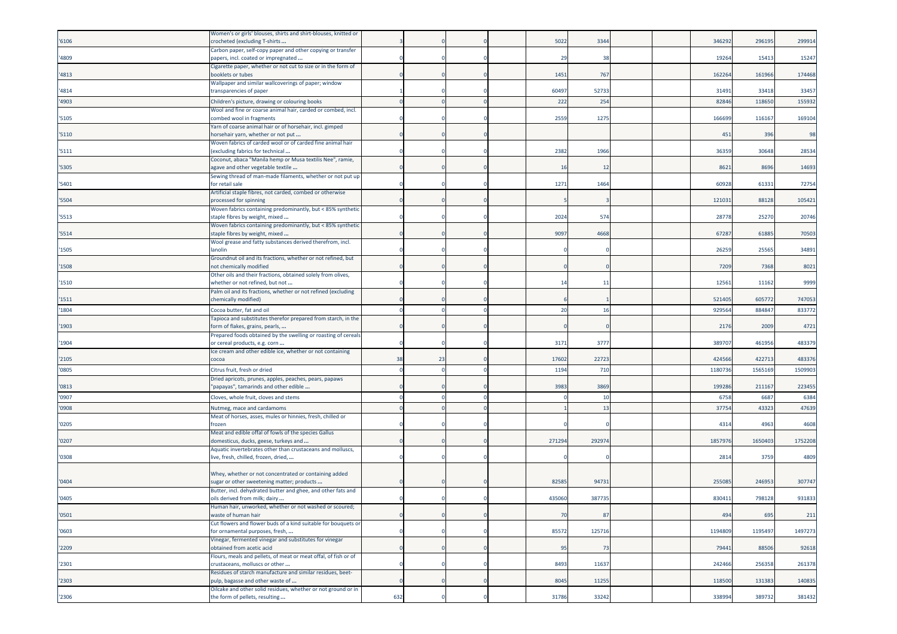|       | Women's or girls' blouses, shirts and shirt-blouses, knitted or                                     |     |    |  |        |        |  |         |         |         |
|-------|-----------------------------------------------------------------------------------------------------|-----|----|--|--------|--------|--|---------|---------|---------|
| '6106 | crocheted (excluding T-shirts<br>Carbon paper, self-copy paper and other copying or transfer        |     |    |  | 5022   | 3344   |  | 346292  | 296195  | 299914  |
| '4809 | papers, incl. coated or impregnated                                                                 |     |    |  | 29     | -38    |  | 1926    | 15413   | 15247   |
| '4813 | Cigarette paper, whether or not cut to size or in the form of<br>booklets or tubes                  |     |    |  | 1451   | 767    |  | 162264  | 161966  | 174468  |
| '4814 | Wallpaper and similar wallcoverings of paper; window<br>transparencies of paper                     |     |    |  | 60497  | 52733  |  | 31491   | 33418   | 33457   |
| '4903 | Children's picture, drawing or colouring books                                                      |     |    |  | 222    | 254    |  | 8284    | 11865   | 155932  |
|       | Wool and fine or coarse animal hair, carded or combed, incl.                                        |     |    |  |        |        |  |         |         |         |
| '5105 | combed wool in fragments<br>Yarn of coarse animal hair or of horsehair, incl. gimped                |     |    |  | 2559   | 1275   |  | 166699  | 116167  | 169104  |
| '5110 | horsehair yarn, whether or not put                                                                  |     |    |  |        |        |  | 451     | 396     | 98      |
| '5111 | Woven fabrics of carded wool or of carded fine animal hair<br>excluding fabrics for technical       |     |    |  | 2382   | 1966   |  | 36359   | 30648   | 28534   |
| '5305 | Coconut, abaca "Manila hemp or Musa textilis Nee", ramie,<br>agave and other vegetable textile      |     |    |  | 16     | -12    |  | 8621    | 8696    | 14693   |
| '5401 | Sewing thread of man-made filaments, whether or not put up<br>for retail sale                       |     |    |  | 1271   | 1464   |  | 6092    | 61331   | 72754   |
|       | Artificial staple fibres, not carded, combed or otherwise                                           |     |    |  |        |        |  |         |         |         |
| '5504 | processed for spinning                                                                              |     |    |  |        |        |  | 121031  | 88128   | 105421  |
| '5513 | Woven fabrics containing predominantly, but < 85% synthetic<br>staple fibres by weight, mixed       |     |    |  | 2024   | 574    |  | 2877    | 2527    | 20746   |
| '5514 | Woven fabrics containing predominantly, but < 85% synthetic<br>taple fibres by weight, mixed        |     |    |  | 9097   | 4668   |  | 6728    | 61885   | 70503   |
|       | Wool grease and fatty substances derived therefrom, incl.                                           |     |    |  |        |        |  |         |         |         |
| '1505 | lanolin<br>Groundnut oil and its fractions, whether or not refined, but                             |     |    |  |        |        |  | 2625    | 25565   | 34891   |
| '1508 | not chemically modified                                                                             |     |    |  |        |        |  | 7209    | 7368    | 8021    |
| '1510 | Other oils and their fractions, obtained solely from olives,<br>whether or not refined, but not     |     |    |  | 14     | -11    |  | 12561   | 11162   | 9999    |
| '1511 | Palm oil and its fractions, whether or not refined (excluding<br>chemically modified)               |     |    |  |        |        |  | 521405  | 60577   | 747053  |
| '1804 | Cocoa butter, fat and oil                                                                           |     |    |  | 20     | 16     |  | 92956   | 88484   | 833772  |
| '1903 | Tapioca and substitutes therefor prepared from starch, in the<br>form of flakes, grains, pearls,    |     |    |  |        |        |  | 2176    | 2009    | 4721    |
|       | Prepared foods obtained by the swelling or roasting of cereals                                      |     |    |  |        |        |  |         |         |         |
| '1904 | or cereal products, e.g. corn<br>Ice cream and other edible ice, whether or not containing          |     |    |  | 3171   | 3777   |  | 38970   | 461956  | 483379  |
| '2105 | cocoa                                                                                               | 38  | 23 |  | 17602  | 2272   |  | 424566  | 422713  | 483376  |
| '0805 | Citrus fruit, fresh or dried                                                                        |     |    |  | 1194   | 710    |  | 118073  | 156516  | 1509903 |
| '0813 | Dried apricots, prunes, apples, peaches, pears, papaws<br>'papayas", tamarinds and other edible     |     |    |  | 3983   | 3869   |  | 199286  | 211167  | 223455  |
| '0907 | Cloves, whole fruit, cloves and stems                                                               |     |    |  |        | 10     |  | 6758    | 6687    | 6384    |
| '0908 | Nutmeg, mace and cardamoms                                                                          |     |    |  |        | 13     |  | 3775    | 43323   | 47639   |
| '0205 | Meat of horses, asses, mules or hinnies, fresh, chilled or<br>rozen                                 |     |    |  |        |        |  | 431     | 4963    | 4608    |
|       | Meat and edible offal of fowls of the species Gallus                                                |     |    |  |        |        |  |         |         |         |
| '0207 | domesticus, ducks, geese, turkeys and<br>Aquatic invertebrates other than crustaceans and molluscs, |     |    |  | 271294 | 29297  |  | 185797  | 1650403 | 1752208 |
| '0308 | ive, fresh, chilled, frozen, dried,                                                                 |     |    |  |        |        |  | 281     | 3759    | 4809    |
|       |                                                                                                     |     |    |  |        |        |  |         |         |         |
| '0404 | Whey, whether or not concentrated or containing added<br>ugar or other sweetening matter; products  |     |    |  | 8258   | 94731  |  | 25508   | 24695   | 307747  |
| '0405 | Butter, incl. dehydrated butter and ghee, and other fats and<br>oils derived from milk; dairy       |     |    |  | 435060 | 387735 |  | 830411  | 798128  | 931833  |
| '0501 | man hair, unworked, whether or not washed or scoured;<br>waste of human hair                        |     |    |  | 70     | 87     |  | 494     | 695     | 211     |
|       | Cut flowers and flower buds of a kind suitable for bouquets or                                      |     |    |  |        |        |  |         |         |         |
| '0603 | for ornamental purposes, fresh,<br>Vinegar, fermented vinegar and substitutes for vinegar           |     |    |  | 85572  | 125716 |  | 1194809 | 1195497 | 1497273 |
| '2209 | obtained from acetic acid                                                                           |     |    |  | 95     | 73     |  | 79441   | 88506   | 92618   |
| '2301 | Flours, meals and pellets, of meat or meat offal, of fish or of<br>crustaceans, molluscs or other   |     |    |  | 8493   | 11637  |  | 242466  | 256358  | 261378  |
| '2303 | Residues of starch manufacture and similar residues, beet-<br>pulp, bagasse and other waste of      |     |    |  | 8045   | 11255  |  | 118500  | 131383  | 140835  |
|       | Oilcake and other solid residues, whether or not ground or in                                       |     |    |  |        |        |  |         |         |         |
| '2306 | the form of pellets, resulting                                                                      | 632 |    |  | 31786  | 33242  |  | 338994  | 389732  | 381432  |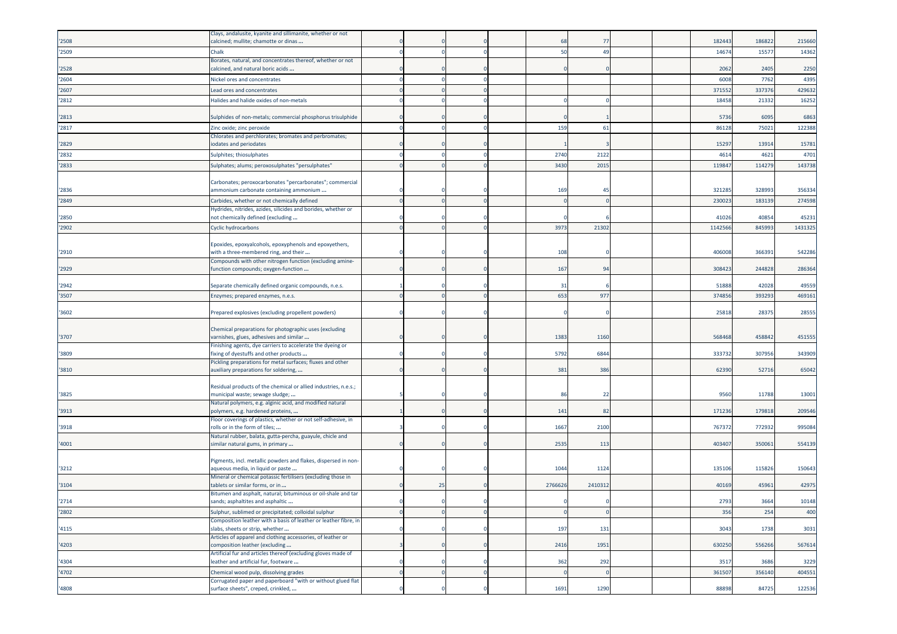|       | Clays, andalusite, kyanite and sillimanite, whether or not                                          |    |   |         |          |  |         |        |         |
|-------|-----------------------------------------------------------------------------------------------------|----|---|---------|----------|--|---------|--------|---------|
| '2508 | calcined; mullite; chamotte or dinas                                                                |    |   | -68     | 77       |  | 182443  | 186822 | 215660  |
| '2509 | Chalk                                                                                               |    |   | 50      | 49       |  | 1467    | 1557   | 14362   |
|       | Borates, natural, and concentrates thereof, whether or not                                          |    |   |         |          |  |         |        |         |
| '2528 | calcined, and natural boric acids                                                                   |    |   |         |          |  | 2062    | 2405   | 2250    |
| '2604 | Nickel ores and concentrates                                                                        |    |   |         |          |  | 600     | 7762   | 4395    |
| '2607 | Lead ores and concentrates                                                                          |    |   |         |          |  | 37155   | 337376 | 429632  |
| '2812 | Halides and halide oxides of non-metals                                                             |    |   |         |          |  | 18458   | 21332  | 16252   |
|       |                                                                                                     |    |   |         |          |  |         |        |         |
| '2813 | Sulphides of non-metals; commercial phosphorus trisulphide                                          |    |   |         |          |  | 5736    | 6095   | 6863    |
| '2817 | Zinc oxide; zinc peroxide                                                                           |    |   | 159     | 61       |  | 8612    | 75021  | 122388  |
|       | Chlorates and perchlorates; bromates and perbromates;                                               |    |   |         |          |  |         |        |         |
| '2829 | iodates and periodates                                                                              |    |   |         |          |  | 15297   | 1391   | 15781   |
| '2832 | Sulphites; thiosulphates                                                                            |    |   | 2740    | 2122     |  | 461     | 4621   | 4701    |
| '2833 | Sulphates; alums; peroxosulphates "persulphates'                                                    |    |   | 3430    | 201      |  | 11984   | 11427  | 143738  |
|       |                                                                                                     |    |   |         |          |  |         |        |         |
|       | Carbonates; peroxocarbonates "percarbonates"; commercial                                            |    |   |         |          |  |         |        |         |
| '2836 | ammonium carbonate containing ammonium                                                              |    |   | 169     | 45       |  | 32128   | 328993 | 356334  |
| '2849 | Carbides, whether or not chemically defined                                                         |    |   |         |          |  | 23002   | 18313  | 274598  |
|       | Hydrides, nitrides, azides, silicides and borides, whether or                                       |    |   |         |          |  |         |        |         |
| '2850 | not chemically defined (excluding                                                                   |    |   |         |          |  | 41026   | 40854  | 45231   |
| '2902 | Cyclic hydrocarbons                                                                                 |    |   | 3973    | 21302    |  | 1142566 | 845993 | 1431325 |
|       |                                                                                                     |    |   |         |          |  |         |        |         |
|       | Epoxides, epoxyalcohols, epoxyphenols and epoxyethers,                                              |    |   |         |          |  |         |        |         |
| '2910 | with a three-membered ring, and their                                                               |    |   | 108     |          |  | 406008  | 366391 | 542286  |
|       | Compounds with other nitrogen function (excluding amine-                                            |    |   |         |          |  |         |        |         |
| '2929 | function compounds; oxygen-function                                                                 |    |   | 167     | 94       |  | 308423  | 244828 | 286364  |
| '2942 | Separate chemically defined organic compounds, n.e.s.                                               |    |   | 31      |          |  | 51888   | 42028  | 49559   |
| '3507 | Enzymes; prepared enzymes, n.e.s.                                                                   |    |   | 653     | 977      |  | 37485   | 393293 | 469161  |
|       |                                                                                                     |    |   |         |          |  |         |        |         |
| '3602 | Prepared explosives (excluding propellent powders)                                                  |    |   |         |          |  | 2581    | 2837   | 28555   |
|       |                                                                                                     |    |   |         |          |  |         |        |         |
| '3707 | Chemical preparations for photographic uses (excluding<br>varnishes, glues, adhesives and similar   |    |   | 1383    | 1160     |  | 568468  | 458842 | 451555  |
|       | Finishing agents, dye carriers to accelerate the dyeing or                                          |    |   |         |          |  |         |        |         |
| '3809 | fixing of dyestuffs and other products                                                              |    |   | 5792    | 6844     |  | 33373   | 307956 | 343909  |
|       | Pickling preparations for metal surfaces; fluxes and other                                          |    |   |         |          |  |         |        |         |
| '3810 | auxiliary preparations for soldering,                                                               |    |   | 381     | 386      |  | 62390   | 52716  | 65042   |
|       |                                                                                                     |    |   |         |          |  |         |        |         |
| '3825 | Residual products of the chemical or allied industries, n.e.s.;<br>municipal waste; sewage sludge;  |    |   | 86      | 22       |  | 9560    | 11788  | 13001   |
|       | Natural polymers, e.g. alginic acid, and modified natural                                           |    |   |         |          |  |         |        |         |
| '3913 | polymers, e.g. hardened proteins,                                                                   |    |   | 141     | 82       |  | 171236  | 179818 | 209546  |
|       | Floor coverings of plastics, whether or not self-adhesive, in                                       |    |   |         |          |  |         |        |         |
| '3918 | rolls or in the form of tiles;                                                                      |    |   | 1667    | 2100     |  | 76737   | 772932 | 995084  |
|       | Natural rubber, balata, gutta-percha, guayule, chicle and                                           |    |   |         |          |  |         |        |         |
| '4001 | similar natural gums, in primary                                                                    |    |   | 2535    | 113      |  | 403407  | 350061 | 554139  |
|       |                                                                                                     |    |   |         |          |  |         |        |         |
| '3212 | Pigments, incl. metallic powders and flakes, dispersed in non-<br>aqueous media, in liquid or paste |    |   | 1044    | 1124     |  | 135106  | 115826 | 150643  |
|       | Mineral or chemical potassic fertilisers (excluding those in                                        |    |   |         |          |  |         |        |         |
| '3104 | tablets or similar forms, or in                                                                     | 25 |   | 2766626 | 2410312  |  | 40169   | 45961  | 42975   |
|       | Bitumen and asphalt, natural; bituminous or oil-shale and tar                                       |    |   |         |          |  |         |        |         |
| '2714 | sands; asphaltites and asphaltic                                                                    |    |   |         |          |  | 2793    | 3664   | 10148   |
| '2802 | Sulphur, sublimed or precipitated; colloidal sulphur                                                |    |   |         | $\Omega$ |  | 356     | 254    | 400     |
|       | Composition leather with a basis of leather or leather fibre, in                                    |    |   |         |          |  |         |        |         |
| '4115 | slabs, sheets or strip, whether                                                                     |    |   | 197     | 131      |  | 3043    | 1738   | 3031    |
| '4203 | Articles of apparel and clothing accessories, of leather or<br>composition leather (excluding       |    |   | 2416    | 1951     |  | 630250  | 556266 | 567614  |
|       | Artificial fur and articles thereof (excluding gloves made of                                       |    |   |         |          |  |         |        |         |
| '4304 | leather and artificial fur, footware                                                                |    |   | 362     | 292      |  | 3517    | 3686   | 3229    |
| '4702 | Chemical wood pulp, dissolving grades                                                               |    | n |         | C        |  | 361507  | 356140 | 404551  |
|       | Corrugated paper and paperboard "with or without glued flat                                         |    |   |         |          |  |         |        |         |
| '4808 | surface sheets", creped, crinkled,                                                                  |    |   | 1691    | 1290     |  | 88898   | 84725  | 122536  |
|       |                                                                                                     |    |   |         |          |  |         |        |         |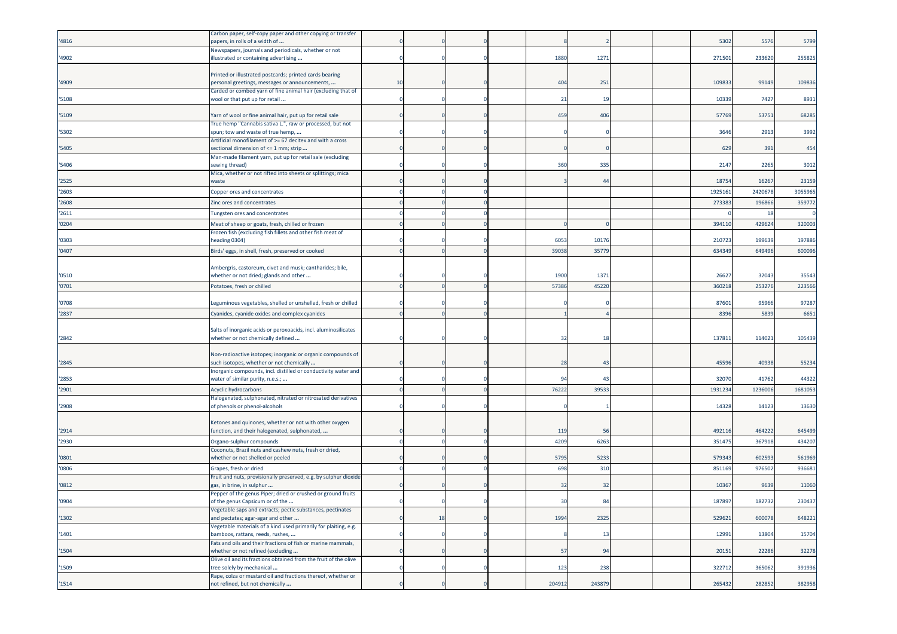| '4816 | Carbon paper, self-copy paper and other copying or transfer<br>papers, in rolls of a width of       |    |    |  |        |        |  | 5302   | 5576   | 5799    |
|-------|-----------------------------------------------------------------------------------------------------|----|----|--|--------|--------|--|--------|--------|---------|
| '4902 | Newspapers, journals and periodicals, whether or not<br>illustrated or containing advertising       |    |    |  | 1880   | 1271   |  | 27150  | 233620 | 255825  |
|       | Printed or illustrated postcards; printed cards bearing                                             |    |    |  |        |        |  |        |        |         |
| '4909 | personal greetings, messages or announcements,                                                      | 10 |    |  | 404    | 251    |  | 10983  | 99149  | 109836  |
| '5108 | Carded or combed yarn of fine animal hair (excluding that of<br>wool or that put up for retail      |    |    |  | 21     | 19     |  | 1033   | 7427   | 8931    |
| '5109 | Yarn of wool or fine animal hair, put up for retail sale                                            |    |    |  | 459    | 406    |  | 57769  | 53751  | 68285   |
|       | True hemp "Cannabis sativa L.", raw or processed, but not                                           |    |    |  |        |        |  |        |        |         |
| '5302 | spun; tow and waste of true hemp,<br>Artificial monofilament of >= 67 decitex and with a cross      |    |    |  |        |        |  | 3646   | 2913   | 3992    |
| '5405 | sectional dimension of <= 1 mm; strip                                                               |    |    |  |        |        |  | 629    | 391    | 454     |
| '5406 | Man-made filament yarn, put up for retail sale (excluding<br>sewing thread)                         |    |    |  | 360    | 335    |  | 2147   | 2265   | 3012    |
| '2525 | Mica, whether or not rifted into sheets or splittings; mica<br>waste                                |    |    |  |        | 44     |  | 1875   | 16267  | 23159   |
| '2603 | Copper ores and concentrates                                                                        |    |    |  |        |        |  | 192516 | 242067 | 3055965 |
| '2608 | Zinc ores and concentrates                                                                          |    |    |  |        |        |  | 27338  | 196866 | 359772  |
| '2611 | Tungsten ores and concentrates                                                                      |    |    |  |        |        |  |        | 18     |         |
| '0204 | Meat of sheep or goats, fresh, chilled or frozen                                                    |    |    |  |        |        |  | 39411  | 429624 | 320003  |
| '0303 | Frozen fish (excluding fish fillets and other fish meat of<br>eading 0304)                          |    |    |  | 6053   | 10176  |  | 21072  | 199639 | 197886  |
| '0407 | Birds' eggs, in shell, fresh, preserved or cooked                                                   |    |    |  | 39038  | 3577   |  | 634349 | 649496 | 600096  |
|       |                                                                                                     |    |    |  |        |        |  |        |        |         |
| '0510 | Ambergris, castoreum, civet and musk; cantharides; bile,<br>whether or not dried; glands and other  |    |    |  | 1900   | 1371   |  | 2662   | 32043  | 35543   |
| '0701 | Potatoes, fresh or chilled                                                                          |    |    |  | 57386  | 45220  |  | 36021  | 25327  | 223566  |
|       |                                                                                                     |    |    |  |        |        |  |        |        |         |
| '0708 | Leguminous vegetables, shelled or unshelled, fresh or chilled                                       |    |    |  |        |        |  | 87601  | 95966  | 97287   |
| '2837 | Cyanides, cyanide oxides and complex cyanides                                                       |    |    |  |        |        |  | 839    | 5839   | 6651    |
|       | Salts of inorganic acids or peroxoacids, incl. aluminosilicates                                     |    |    |  |        |        |  |        |        |         |
| '2842 | whether or not chemically defined                                                                   |    |    |  | 32     | 18     |  | 13781  | 114021 | 105439  |
|       | Non-radioactive isotopes; inorganic or organic compounds of                                         |    |    |  |        |        |  |        |        |         |
| '2845 | such isotopes, whether or not chemically                                                            |    |    |  | 28     | 43     |  | 45596  | 40938  | 55234   |
| '2853 | Inorganic compounds, incl. distilled or conductivity water and<br>water of similar purity, n.e.s.;  |    |    |  | 94     | 43     |  | 32070  | 41762  | 44322   |
| '2901 | Acyclic hydrocarbons                                                                                |    |    |  | 76222  | 39533  |  | 193123 | 123600 | 1681053 |
|       | Halogenated, sulphonated, nitrated or nitrosated derivatives                                        |    |    |  |        |        |  |        |        |         |
| '2908 | of phenols or phenol-alcohols                                                                       |    |    |  |        |        |  | 1432   | 14123  | 13630   |
|       | Ketones and quinones, whether or not with other oxygen                                              |    |    |  |        |        |  |        |        |         |
| '2914 | function, and their halogenated, sulphonated,                                                       |    |    |  | 119    | 56     |  | 49211  | 464222 | 645499  |
| '2930 | Organo-sulphur compounds<br>Coconuts, Brazil nuts and cashew nuts, fresh or dried,                  |    |    |  | 4209   | 6263   |  | 35147  | 36791  | 434207  |
| '0801 | whether or not shelled or peeled                                                                    |    |    |  | 5795   | 5233   |  | 579343 | 602593 | 561969  |
| '0806 | Grapes, fresh or dried                                                                              |    |    |  | 698    | 310    |  | 851169 | 976502 | 936681  |
| '0812 | Fruit and nuts, provisionally preserved, e.g. by sulphur dioxide<br>gas, in brine, in sulphur       |    |    |  | 32     | 32     |  | 10367  | 9639   | 11060   |
|       | Pepper of the genus Piper; dried or crushed or ground fruits                                        |    |    |  |        |        |  |        |        |         |
| '0904 | of the genus Capsicum or of the<br>Vegetable saps and extracts; pectic substances, pectinates       |    |    |  | 30     | 84     |  | 187897 | 182732 | 230437  |
| '1302 | and pectates; agar-agar and other                                                                   |    | 18 |  | 1994   | 2325   |  | 529621 | 600078 | 648221  |
| '1401 | Vegetable materials of a kind used primarily for plaiting, e.g.<br>bamboos, rattans, reeds, rushes, |    |    |  |        | 13     |  | 12991  | 13804  | 15704   |
| '1504 | Fats and oils and their fractions of fish or marine mammals,<br>whether or not refined (excluding   |    |    |  | 57     | 94     |  | 20151  | 22286  | 32278   |
|       | Olive oil and its fractions obtained from the fruit of the olive                                    |    |    |  |        |        |  |        |        |         |
| '1509 | tree solely by mechanical<br>Rape, colza or mustard oil and fractions thereof, whether or           |    |    |  | 123    | 238    |  | 322712 | 365062 | 391936  |
| '1514 | not refined, but not chemically                                                                     |    |    |  | 204912 | 243879 |  | 265432 | 282852 | 382958  |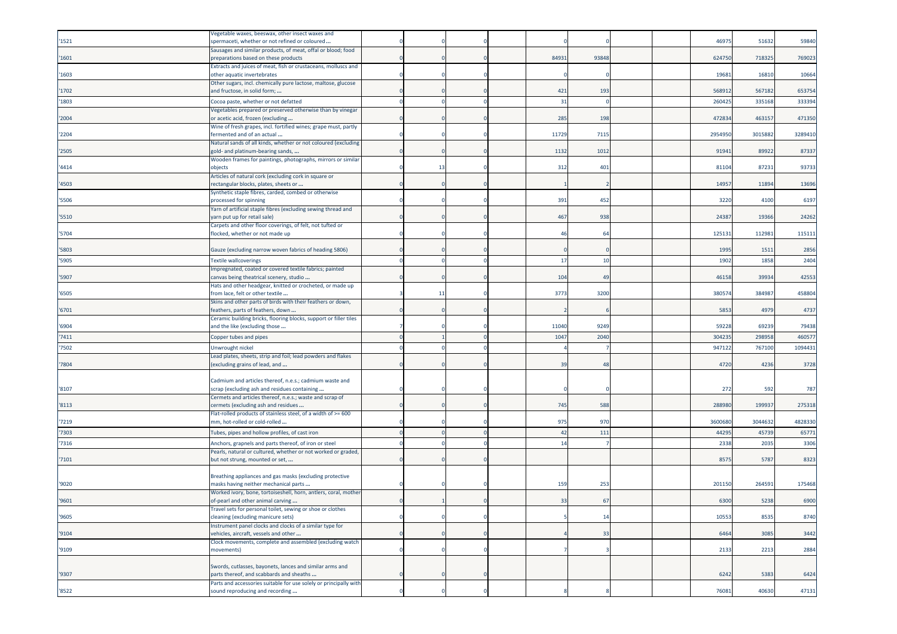|       | Vegetable waxes, beeswax, other insect waxes and                                                               |    |  |       |                |  |        |         |         |
|-------|----------------------------------------------------------------------------------------------------------------|----|--|-------|----------------|--|--------|---------|---------|
| '1521 | spermaceti, whether or not refined or coloured<br>Sausages and similar products, of meat, offal or blood; food |    |  |       |                |  | 4697   | 51632   | 59840   |
| '1601 | preparations based on these products                                                                           |    |  | 8493  | 93848          |  | 62475  | 718325  | 769023  |
|       | Extracts and juices of meat, fish or crustaceans, molluscs and                                                 |    |  |       |                |  |        |         |         |
| '1603 | other aquatic invertebrates                                                                                    |    |  |       |                |  | 19681  | 16810   | 10664   |
|       | Other sugars, incl. chemically pure lactose, maltose, glucose                                                  |    |  |       |                |  |        |         |         |
| '1702 | and fructose, in solid form;                                                                                   |    |  | 421   | 193            |  | 56891  | 567182  | 653754  |
| '1803 | Cocoa paste, whether or not defatted<br>Vegetables prepared or preserved otherwise than by vinegar             |    |  | 31    |                |  | 26042  | 335168  | 333394  |
| '2004 | or acetic acid, frozen (excluding                                                                              |    |  | 285   | 198            |  | 472834 | 463157  | 471350  |
|       | Wine of fresh grapes, incl. fortified wines; grape must, partly                                                |    |  |       |                |  |        |         |         |
| '2204 | ermented and of an actual                                                                                      |    |  | 11729 | 7115           |  | 295495 | 301588  | 3289410 |
| '2505 | Natural sands of all kinds, whether or not coloured (excluding                                                 |    |  | 1132  | 1012           |  | 91941  | 89922   | 87337   |
|       | gold- and platinum-bearing sands,<br>Wooden frames for paintings, photographs, mirrors or similar              |    |  |       |                |  |        |         |         |
| '4414 | objects                                                                                                        | 13 |  | 312   | 401            |  | 8110   | 87231   | 93733   |
|       | Articles of natural cork (excluding cork in square or                                                          |    |  |       |                |  |        |         |         |
| '4503 | rectangular blocks, plates, sheets or                                                                          |    |  |       |                |  | 1495   | 1189    | 13696   |
| '5506 | Synthetic staple fibres, carded, combed or otherwise<br>processed for spinning                                 |    |  | 391   | 452            |  | 3220   | 4100    | 6197    |
|       | Yarn of artificial staple fibres (excluding sewing thread and                                                  |    |  |       |                |  |        |         |         |
| '5510 | yarn put up for retail sale)                                                                                   |    |  | 467   | 938            |  | 2438   | 19366   | 24262   |
|       | Carpets and other floor coverings, of felt, not tufted or                                                      |    |  |       |                |  |        |         |         |
| '5704 | locked, whether or not made up                                                                                 |    |  |       | 6              |  | 12513  | 11298   | 115111  |
| '5803 | Gauze (excluding narrow woven fabrics of heading 5806)                                                         |    |  |       |                |  | 1995   | 1511    | 2856    |
| '5905 | <b>Textile wallcoverings</b>                                                                                   |    |  | 17    | 10             |  | 1902   | 1858    | 2404    |
|       | Impregnated, coated or covered textile fabrics; painted                                                        |    |  |       |                |  |        |         |         |
| '5907 | canvas being theatrical scenery, studio                                                                        |    |  | 104   | 4 <sup>c</sup> |  | 46158  | 39934   | 42553   |
|       | Hats and other headgear, knitted or crocheted, or made up                                                      |    |  |       |                |  |        |         |         |
| '6505 | from lace, felt or other textile<br>Skins and other parts of birds with their feathers or down,                | 11 |  | 3773  | 3200           |  | 38057  | 384987  | 458804  |
| '6701 | eathers, parts of feathers, down                                                                               |    |  |       |                |  | 5853   | 4979    | 4737    |
|       | Ceramic building bricks, flooring blocks, support or filler tiles                                              |    |  |       |                |  |        |         |         |
| '6904 | and the like (excluding those                                                                                  |    |  | 11040 | 9249           |  | 5922   | 69239   | 79438   |
| '7411 | Copper tubes and pipes                                                                                         |    |  | 1047  | 2040           |  | 30423  | 29895   | 460577  |
| '7502 | Unwrought nickel                                                                                               |    |  |       |                |  | 94712  | 76710   | 1094431 |
|       | Lead plates, sheets, strip and foil; lead powders and flakes                                                   |    |  |       | 48             |  |        |         |         |
| '7804 | excluding grains of lead, and                                                                                  |    |  | 39    |                |  | 4720   | 4236    | 3728    |
|       | Cadmium and articles thereof, n.e.s.; cadmium waste and                                                        |    |  |       |                |  |        |         |         |
| '8107 | scrap (excluding ash and residues containing                                                                   |    |  |       |                |  | 272    | 592     | 787     |
|       | Cermets and articles thereof, n.e.s.; waste and scrap of                                                       |    |  |       |                |  |        |         |         |
| '8113 | cermets (excluding ash and residues<br>Flat-rolled products of stainless steel, of a width of >= 600           |    |  | 745   | 588            |  | 28898  | 19993   | 275318  |
| '7219 | nm, hot-rolled or cold-rolled                                                                                  |    |  | 975   | 970            |  | 360068 | 3044632 | 4828330 |
| '7303 | Tubes, pipes and hollow profiles, of cast iron                                                                 |    |  | 42    | 111            |  | 44295  | 45739   | 65771   |
| '7316 | Anchors, grapnels and parts thereof, of iron or steel                                                          |    |  | 14    |                |  | 2338   | 2035    | 3306    |
|       | Pearls, natural or cultured, whether or not worked or graded,                                                  |    |  |       |                |  |        |         |         |
| '7101 | but not strung, mounted or set,                                                                                |    |  |       |                |  | 857    | 5787    | 8323    |
|       | Breathing appliances and gas masks (excluding protective                                                       |    |  |       |                |  |        |         |         |
| '9020 | masks having neither mechanical parts                                                                          |    |  | 159   | 253            |  | 201150 | 264591  | 175468  |
|       | Worked ivory, bone, tortoiseshell, horn, antlers, coral, mother                                                |    |  |       |                |  |        |         |         |
| '9601 | of-pearl and other animal carving                                                                              |    |  | 33    | 67             |  | 6300   | 5238    | 6900    |
|       | Travel sets for personal toilet, sewing or shoe or clothes                                                     |    |  |       |                |  |        |         |         |
| '9605 | cleaning (excluding manicure sets)<br>Instrument panel clocks and clocks of a similar type for                 |    |  |       | 14             |  | 10553  | 8535    | 8740    |
| '9104 | vehicles, aircraft, vessels and other                                                                          |    |  |       | 33             |  | 6464   | 3085    | 3442    |
|       | Clock movements, complete and assembled (excluding watch                                                       |    |  |       |                |  |        |         |         |
| '9109 | movements)                                                                                                     |    |  |       |                |  | 2133   | 2213    | 2884    |
|       | Swords, cutlasses, bayonets, lances and similar arms and                                                       |    |  |       |                |  |        |         |         |
| '9307 | parts thereof, and scabbards and sheaths                                                                       |    |  |       |                |  | 6242   | 5383    | 6424    |
|       | Parts and accessories suitable for use solely or principally with                                              |    |  |       |                |  |        |         |         |
| '8522 | sound reproducing and recording                                                                                |    |  |       |                |  | 76081  | 40630   | 47131   |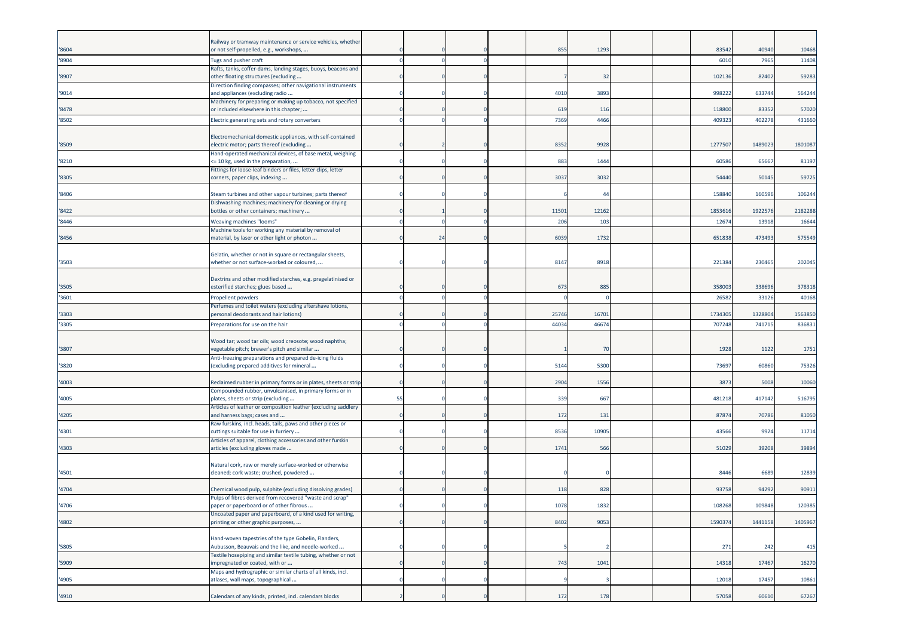|       | Railway or tramway maintenance or service vehicles, whether                                   |    |    |  |       |       |  |         |         |         |
|-------|-----------------------------------------------------------------------------------------------|----|----|--|-------|-------|--|---------|---------|---------|
| '8604 | or not self-propelled, e.g., workshops,                                                       |    |    |  | 855   | 1293  |  | 83542   | 40940   | 10468   |
| '8904 | <b>Tugs and pusher craft</b>                                                                  |    |    |  |       |       |  | 601     | 7965    | 11408   |
|       | Rafts, tanks, coffer-dams, landing stages, buoys, beacons and                                 |    |    |  |       |       |  |         |         |         |
| '8907 | other floating structures (excluding                                                          |    |    |  |       | 32    |  | 102136  | 82402   | 59283   |
|       | Direction finding compasses; other navigational instruments                                   |    |    |  |       |       |  |         |         |         |
| '9014 | and appliances (excluding radio                                                               |    |    |  | 4010  | 3893  |  | 99822   | 633744  | 564244  |
|       | Machinery for preparing or making up tobacco, not specified                                   |    |    |  |       |       |  |         |         |         |
| '8478 | or included elsewhere in this chapter;                                                        |    |    |  | 619   | 116   |  | 118800  | 83352   | 57020   |
| '8502 | Electric generating sets and rotary converters                                                |    |    |  | 7369  | 4466  |  | 40932   | 40227   | 431660  |
|       |                                                                                               |    |    |  |       |       |  |         |         |         |
|       | Electromechanical domestic appliances, with self-contained                                    |    |    |  |       |       |  |         |         |         |
| '8509 | electric motor; parts thereof (excluding                                                      |    |    |  | 8352  | 9928  |  | 127750  | 1489023 | 1801087 |
|       | Hand-operated mechanical devices, of base metal, weighing                                     |    |    |  |       |       |  |         |         |         |
| '8210 | <= 10 kg, used in the preparation,                                                            |    |    |  | 883   | 1444  |  | 60586   | 65667   | 81197   |
|       | Fittings for loose-leaf binders or files, letter clips, letter                                |    |    |  |       |       |  |         |         |         |
| '8305 | corners, paper clips, indexing                                                                |    |    |  | 3037  | 3032  |  | 54440   | 50145   | 59725   |
| '8406 | Steam turbines and other vapour turbines; parts thereof                                       |    |    |  |       | 44    |  | 15884   | 16059   | 106244  |
|       | Dishwashing machines; machinery for cleaning or drying                                        |    |    |  |       |       |  |         |         |         |
| '8422 | bottles or other containers; machinery                                                        |    |    |  | 11501 | 12162 |  | 1853616 | 1922576 | 2182288 |
| '8446 | <b>Weaving machines "looms"</b>                                                               |    |    |  | 206   | 103   |  | 1267    | 13918   | 16644   |
|       | Machine tools for working any material by removal of                                          |    |    |  |       |       |  |         |         |         |
| '8456 | material, by laser or other light or photon                                                   |    | 24 |  | 6039  | 1732  |  | 651838  | 473493  | 575549  |
|       |                                                                                               |    |    |  |       |       |  |         |         |         |
|       | Gelatin, whether or not in square or rectangular sheets,                                      |    |    |  |       |       |  |         |         |         |
| '3503 | whether or not surface-worked or coloured,                                                    |    |    |  | 8147  | 8918  |  | 221384  | 230465  | 202045  |
|       |                                                                                               |    |    |  |       |       |  |         |         |         |
|       | Dextrins and other modified starches, e.g. pregelatinised or                                  |    |    |  |       |       |  |         |         |         |
| '3505 | esterified starches; glues based                                                              |    |    |  | 673   | 885   |  | 35800   | 33869   | 378318  |
| '3601 | Propellent powders                                                                            |    |    |  |       |       |  | 2658    | 3312    | 40168   |
|       | Perfumes and toilet waters (excluding aftershave lotions,                                     |    |    |  |       |       |  |         |         |         |
| '3303 | personal deodorants and hair lotions)                                                         |    |    |  | 25746 | 1670  |  | 173430  | 132880  | 1563850 |
| '3305 | Preparations for use on the hair                                                              |    |    |  | 44034 | 4667  |  | 70724   | 74171   | 836831  |
|       |                                                                                               |    |    |  |       |       |  |         |         |         |
|       | Wood tar; wood tar oils; wood creosote; wood naphtha;                                         |    |    |  |       |       |  |         |         |         |
| '3807 | vegetable pitch; brewer's pitch and similar                                                   |    |    |  |       | 70    |  | 1928    | 1122    | 1751    |
|       | Anti-freezing preparations and prepared de-icing fluids                                       |    |    |  |       |       |  |         |         |         |
| '3820 | (excluding prepared additives for mineral                                                     |    |    |  | 5144  | 5300  |  | 73697   | 60860   | 75326   |
|       |                                                                                               |    |    |  |       |       |  |         |         |         |
| '4003 | Reclaimed rubber in primary forms or in plates, sheets or strip                               |    |    |  | 2904  | 1556  |  | 3873    | 5008    | 10060   |
|       | Compounded rubber, unvulcanised, in primary forms or in                                       |    |    |  |       |       |  |         |         |         |
| '4005 | plates, sheets or strip (excluding                                                            | 55 |    |  | 339   | 667   |  | 48121   | 417142  | 516795  |
| '4205 | Articles of leather or composition leather (excluding saddlery<br>and harness bags; cases and |    |    |  | 172   | 131   |  | 87874   | 70786   | 81050   |
|       | Raw furskins, incl. heads, tails, paws and other pieces or                                    |    |    |  |       |       |  |         |         |         |
| '4301 | cuttings suitable for use in furriery                                                         |    |    |  | 8536  | 10905 |  | 43566   | 9924    | 11714   |
|       | Articles of apparel, clothing accessories and other furskin                                   |    |    |  |       |       |  |         |         |         |
| '4303 | articles (excluding gloves made                                                               |    |    |  | 1741  | 566   |  | 51029   | 39208   | 39894   |
|       |                                                                                               |    |    |  |       |       |  |         |         |         |
|       | Natural cork, raw or merely surface-worked or otherwise                                       |    |    |  |       |       |  |         |         |         |
| '4501 | cleaned; cork waste; crushed, powdered                                                        |    |    |  |       |       |  | 8446    | 6689    | 12839   |
|       |                                                                                               |    |    |  |       |       |  |         |         |         |
| '4704 | Chemical wood pulp, sulphite (excluding dissolving grades)                                    |    |    |  | 118   | 828   |  | 9375    | 94292   | 90911   |
|       | Pulps of fibres derived from recovered "waste and scrap"                                      |    |    |  |       |       |  |         |         |         |
| '4706 | paper or paperboard or of other fibrous                                                       |    |    |  | 1078  | 1832  |  | 108268  | 109848  | 120385  |
|       | Uncoated paper and paperboard, of a kind used for writing,                                    |    |    |  | 8402  | 9053  |  | 1590374 |         | 1405967 |
| '4802 | printing or other graphic purposes,                                                           |    |    |  |       |       |  |         | 1441158 |         |
|       | Hand-woven tapestries of the type Gobelin, Flanders,                                          |    |    |  |       |       |  |         |         |         |
| '5805 | Aubusson, Beauvais and the like, and needle-worked                                            |    |    |  |       |       |  | 271     | 242     | 415     |
|       | Fextile hosepiping and similar textile tubing, whether or not                                 |    |    |  |       |       |  |         |         |         |
| '5909 | impregnated or coated, with or                                                                |    |    |  | 743   | 1041  |  | 14318   | 17467   | 16270   |
|       | Maps and hydrographic or similar charts of all kinds, incl.                                   |    |    |  |       |       |  |         |         |         |
| '4905 | atlases, wall maps, topographical                                                             |    |    |  |       |       |  | 12018   | 17457   | 10861   |
|       |                                                                                               |    |    |  |       |       |  |         |         |         |
| '4910 | Calendars of any kinds, printed, incl. calendars blocks                                       |    |    |  | 172   | 178   |  | 57058   | 60610   | 67267   |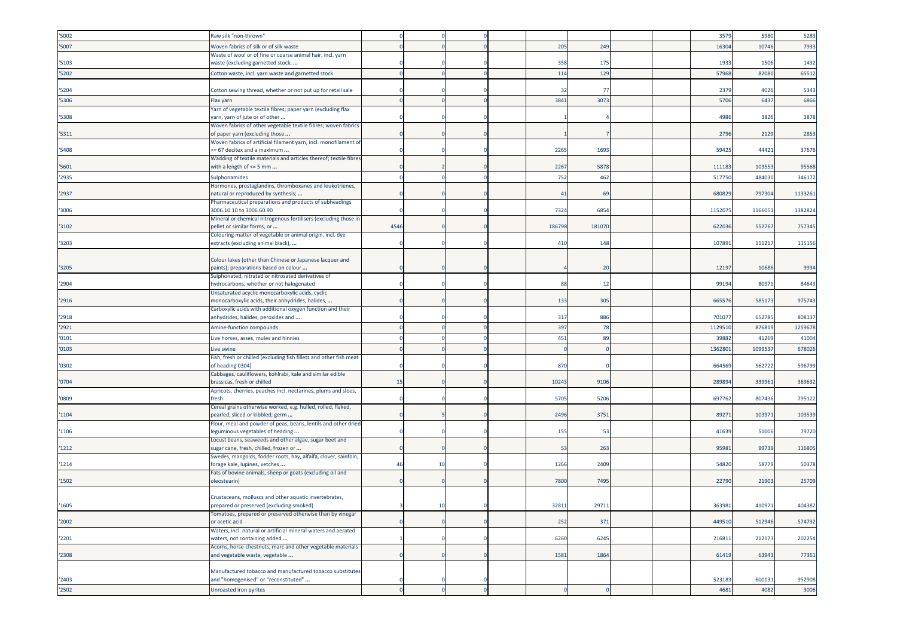| '5002 | Raw silk "non-thrown"                                                                                    |      |    |  |        |       |  | 3579    | 5980   | 5283    |
|-------|----------------------------------------------------------------------------------------------------------|------|----|--|--------|-------|--|---------|--------|---------|
| '5007 | Woven fabrics of silk or of silk waste                                                                   |      |    |  | 205    | 249   |  | 16304   | 10746  | 7933    |
|       | Waste of wool or of fine or coarse animal hair, incl. yarn                                               |      |    |  |        |       |  |         |        |         |
| '5103 | waste (excluding garnetted stock,                                                                        |      |    |  | 358    | 17!   |  | 1933    | 1506   | 1432    |
| '5202 | Cotton waste, incl. yarn waste and garnetted stock                                                       |      |    |  | 114    | 129   |  | 57968   | 82080  | 65512   |
|       |                                                                                                          |      |    |  |        |       |  |         |        |         |
| '5204 | Cotton sewing thread, whether or not put up for retail sale                                              |      |    |  | 32     | - 77  |  | 2379    | 4026   | 5343    |
| '5306 | Flax yarn                                                                                                |      |    |  | 3841   | 307   |  | 5706    | 6437   | 6866    |
|       | Yarn of vegetable textile fibres; paper yarn (excluding flax                                             |      |    |  |        |       |  |         |        |         |
| '5308 | yarn, yarn of jute or of other                                                                           |      |    |  |        |       |  | 4986    | 3826   | 3878    |
| '5311 | Woven fabrics of other vegetable textile fibres; woven fabrics<br>of paper yarn (excluding those         |      |    |  |        |       |  | 2796    | 2129   | 2853    |
|       | Woven fabrics of artificial filament yarn, incl. monofilament of                                         |      |    |  |        |       |  |         |        |         |
| '5408 | >= 67 decitex and a maximum                                                                              |      |    |  | 2265   | 1693  |  | 59425   | 44421  | 37676   |
|       | Wadding of textile materials and articles thereof; textile fibres                                        |      |    |  |        |       |  |         |        |         |
| '5601 | with a length of <= 5 mm                                                                                 |      |    |  | 2267   | 5878  |  | 111183  | 103553 | 95568   |
| '2935 | Sulphonamides                                                                                            |      |    |  | 752    | 462   |  | 517750  | 484030 | 346172  |
|       | Hormones, prostaglandins, thromboxanes and leukotrienes,                                                 |      |    |  |        |       |  |         |        |         |
| '2937 | natural or reproduced by synthesis;                                                                      |      |    |  | 41     | 69    |  | 680829  | 797304 | 1133261 |
|       | Pharmaceutical preparations and products of subheadings                                                  |      |    |  |        |       |  |         |        |         |
| '3006 | 3006.10.10 to 3006.60.90<br>Mineral or chemical nitrogenous fertilisers (excluding those in              |      |    |  | 7324   | 685   |  | 1152075 | 116605 | 1382824 |
| '3102 | pellet or similar forms, or                                                                              | 4546 |    |  | 186798 | 18107 |  | 622036  | 552767 | 757345  |
|       | Colouring matter of vegetable or animal origin, incl. dye                                                |      |    |  |        |       |  |         |        |         |
| '3203 | extracts (excluding animal black),                                                                       |      |    |  | 410    | 148   |  | 107891  | 11121  | 115156  |
|       |                                                                                                          |      |    |  |        |       |  |         |        |         |
|       | Colour lakes (other than Chinese or Japanese lacquer and                                                 |      |    |  |        |       |  |         |        |         |
| '3205 | paints); preparations based on colour<br>Sulphonated, nitrated or nitrosated derivatives of              |      |    |  |        | 20    |  | 12197   | 10686  | 9934    |
| '2904 | nydrocarbons, whether or not halogenated                                                                 |      |    |  | -88    | 12    |  | 99194   | 8097   | 84643   |
|       | Unsaturated acyclic monocarboxylic acids, cyclic                                                         |      |    |  |        |       |  |         |        |         |
| '2916 | monocarboxylic acids, their anhydrides, halides,                                                         |      |    |  | 133    | 305   |  | 66557   | 58517  | 975743  |
|       | Carboxylic acids with additional oxygen function and their                                               |      |    |  |        |       |  |         |        |         |
| '2918 | anhydrides, halides, peroxides and                                                                       |      |    |  | 317    | 886   |  | 701077  | 652785 | 808137  |
| '2921 | Amine-function compounds                                                                                 |      |    |  | 397    | 78    |  | 112951  | 876819 | 1259678 |
| '0101 | Live horses, asses, mules and hinnies                                                                    |      |    |  | 451    | 89    |  | 3988    | 4126   | 41004   |
| '0103 | Live swine                                                                                               |      |    |  |        |       |  | 1362801 | 109953 | 678026  |
|       | Fish, fresh or chilled (excluding fish fillets and other fish meat                                       |      |    |  |        |       |  |         |        |         |
| '0302 | of heading 0304)                                                                                         |      |    |  | 870    |       |  | 664569  | 562722 | 596799  |
|       | Cabbages, cauliflowers, kohlrabi, kale and similar edible                                                |      |    |  |        |       |  |         |        |         |
| '0704 | brassicas, fresh or chilled                                                                              | 15   |    |  | 10243  | 910   |  | 28989   | 33996  | 369632  |
| '0809 | Apricots, cherries, peaches incl. nectarines, plums and sloes,<br>iresh                                  |      |    |  | 5705   | 5206  |  | 697762  | 80743  | 795122  |
|       | Cereal grains otherwise worked, e.g. hulled, rolled, flaked,                                             |      |    |  |        |       |  |         |        |         |
| '1104 | pearled, sliced or kibbled; germ                                                                         |      |    |  | 2496   | 3751  |  | 89271   | 10397  | 103539  |
|       | Flour, meal and powder of peas, beans, lentils and other dried                                           |      |    |  |        |       |  |         |        |         |
| '1106 | leguminous vegetables of heading                                                                         |      |    |  | 155    | 53    |  | 41639   | 51006  | 79720   |
|       | Locust beans, seaweeds and other algae, sugar beet and                                                   |      |    |  |        |       |  |         |        |         |
| 1212  | sugar cane, fresh, chilled, frozen or<br>Swedes, mangolds, fodder roots, hay, alfalfa, clover, sainfoin, |      |    |  | 53     | 263   |  | 95981   | 99739  | 116805  |
| '1214 | forage kale, lupines, vetches                                                                            | 46   | 10 |  | 1266   | 2409  |  | 54820   | 58779  | 50378   |
|       | Fats of bovine animals, sheep or goats (excluding oil and                                                |      |    |  |        |       |  |         |        |         |
| '1502 | bleostearin)                                                                                             |      |    |  | 7800   | 7495  |  | 22790   | 21903  | 25709   |
|       |                                                                                                          |      |    |  |        |       |  |         |        |         |
|       | Crustaceans, molluscs and other aquatic invertebrates,                                                   |      |    |  |        |       |  |         |        |         |
| '1605 | prepared or preserved (excluding smoked)<br>Tomatoes, prepared or preserved otherwise than by vinegar    |      | 10 |  | 32811  | 29711 |  | 363981  | 410971 | 404382  |
| '2002 | or acetic acid                                                                                           |      |    |  | 252    | 371   |  | 449510  | 512946 | 574732  |
|       | Waters, incl. natural or artificial mineral waters and aerated                                           |      |    |  |        |       |  |         |        |         |
| '2201 | waters, not containing added                                                                             |      |    |  | 6260   | 6245  |  | 216811  | 212173 | 202254  |
|       | Acorns, horse-chestnuts, marc and other vegetable materials                                              |      |    |  |        |       |  |         |        |         |
| '2308 | and vegetable waste, vegetable                                                                           |      |    |  | 1581   | 1864  |  | 61419   | 63943  | 77361   |
|       |                                                                                                          |      |    |  |        |       |  |         |        |         |
| '2403 | Manufactured tobacco and manufactured tobacco substitutes<br>and "homogenised" or "reconstituted"        |      |    |  |        |       |  | 523183  | 600131 | 952908  |
|       |                                                                                                          |      |    |  |        |       |  |         |        |         |
| '2502 | Unroasted iron pyrites                                                                                   |      |    |  |        |       |  | 4681    | 4082   | 3006    |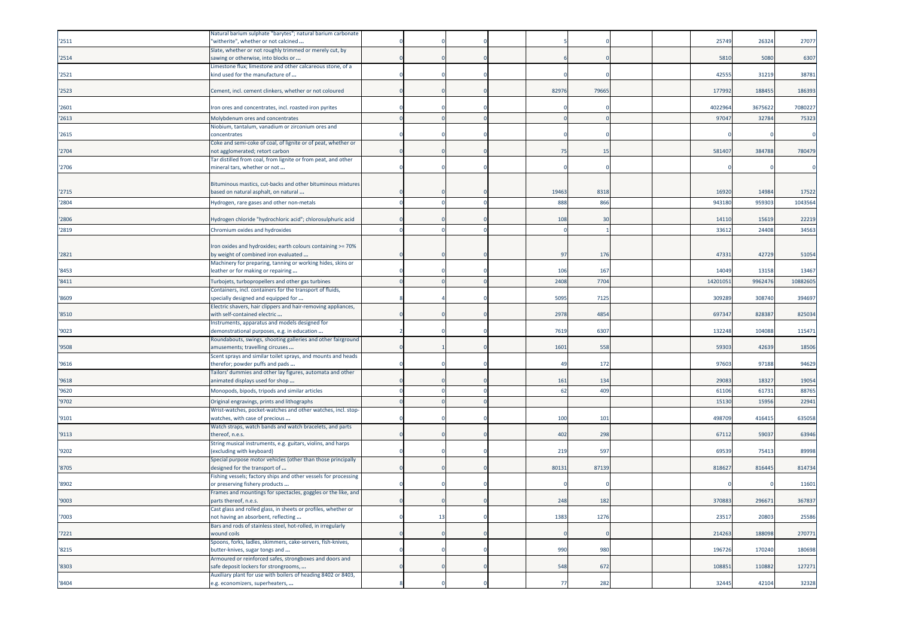| '2511 | Natural barium sulphate "barytes"; natural barium carbonate<br>'witherite", whether or not calcined            |    |  |       |       |  | 25749   | 26324   | 27077    |
|-------|----------------------------------------------------------------------------------------------------------------|----|--|-------|-------|--|---------|---------|----------|
| '2514 | Slate, whether or not roughly trimmed or merely cut, by<br>sawing or otherwise, into blocks or                 |    |  |       |       |  | 5810    | 5080    | 6307     |
| '2521 | Limestone flux; limestone and other calcareous stone, of a<br>kind used for the manufacture of                 |    |  |       |       |  | 42555   | 31219   | 38781    |
| '2523 | Cement, incl. cement clinkers, whether or not coloured                                                         |    |  | 82976 | 79665 |  | 177992  | 188455  | 186393   |
| '2601 | Iron ores and concentrates, incl. roasted iron pyrites                                                         |    |  |       |       |  | 4022964 | 3675622 | 7080227  |
| '2613 | Molybdenum ores and concentrates                                                                               |    |  |       |       |  | 9704    | 3278    | 75323    |
| '2615 | Niobium, tantalum, vanadium or zirconium ores and<br>concentrates                                              |    |  |       |       |  |         |         |          |
| '2704 | Coke and semi-coke of coal, of lignite or of peat, whether or<br>not agglomerated; retort carbon               |    |  | 75    | 15    |  | 58140   | 384788  | 780479   |
| '2706 | Tar distilled from coal, from lignite or from peat, and other<br>mineral tars, whether or not                  |    |  |       |       |  |         |         |          |
| '2715 | Bituminous mastics, cut-backs and other bituminous mixtures<br>based on natural asphalt, on natural            |    |  | 19463 | 8318  |  | 16920   | 14984   | 17522    |
| '2804 | Hydrogen, rare gases and other non-metals                                                                      |    |  | 888   | 866   |  | 943180  | 959303  | 1043564  |
|       |                                                                                                                |    |  |       |       |  |         |         |          |
| '2806 | Hydrogen chloride "hydrochloric acid"; chlorosulphuric acid                                                    |    |  | 108   | 30    |  | 14110   | 15619   | 22219    |
| '2819 | Chromium oxides and hydroxides                                                                                 |    |  |       |       |  | 3361    | 24408   | 34563    |
| '2821 | Iron oxides and hydroxides; earth colours containing >= 70%<br>by weight of combined iron evaluated            |    |  | 97    | 176   |  | 47331   | 42729   | 51054    |
|       | Machinery for preparing, tanning or working hides, skins or                                                    |    |  |       |       |  |         |         |          |
| '8453 | leather or for making or repairing                                                                             |    |  | 106   | 167   |  | 14049   | 13158   | 13467    |
| '8411 | Turbojets, turbopropellers and other gas turbines<br>Containers, incl. containers for the transport of fluids, |    |  | 2408  | 7704  |  | 1420105 | 996247  | 10882605 |
| '8609 | specially designed and equipped for<br>Electric shavers, hair clippers and hair-removing appliances,           |    |  | 5095  | 7125  |  | 30928   | 308740  | 394697   |
| '8510 | with self-contained electric                                                                                   |    |  | 2978  | 4854  |  | 697347  | 82838   | 825034   |
| '9023 | Instruments, apparatus and models designed for<br>demonstrational purposes, e.g. in education                  |    |  | 7619  | 6307  |  | 132248  | 104088  | 115471   |
| '9508 | Roundabouts, swings, shooting galleries and other fairground<br>amusements; travelling circuses                |    |  | 1601  | 558   |  | 5930    | 42639   | 18506    |
| '9616 | Scent sprays and similar toilet sprays, and mounts and heads<br>therefor; powder puffs and pads                |    |  | 49    | 172   |  | 9760    | 97188   | 94629    |
| '9618 | Failors' dummies and other lay figures, automata and other<br>animated displays used for shop                  |    |  | 161   | 134   |  | 2908    | 18327   | 19054    |
| '9620 | Monopods, bipods, tripods and similar articles                                                                 |    |  | 62    | 409   |  | 6110    | 61731   | 88765    |
| '9702 | Original engravings, prints and lithographs                                                                    |    |  |       |       |  | 1513    | 1595    | 22941    |
| '9101 | Wrist-watches, pocket-watches and other watches, incl. stop-<br>watches, with case of precious                 |    |  | 100   | 101   |  | 49870   | 41641   | 635058   |
| '9113 | Watch straps, watch bands and watch bracelets, and parts<br>thereof, n.e.s.                                    |    |  | 402   | 298   |  | 67112   | 59037   | 63946    |
| '9202 | String musical instruments, e.g. guitars, violins, and harps<br>(excluding with keyboard)                      |    |  | 219   | 597   |  | 6953    | 75413   | 89998    |
| '8705 | Special purpose motor vehicles (other than those principally<br>designed for the transport of                  |    |  | 80131 | 87139 |  | 818627  | 816445  | 814734   |
| '8902 | Fishing vessels; factory ships and other vessels for processing<br>or preserving fishery products              |    |  |       |       |  |         |         | 11601    |
| '9003 | Frames and mountings for spectacles, goggles or the like, and<br>parts thereof, n.e.s.                         |    |  | 248   | 182   |  | 370883  | 296671  | 367837   |
| '7003 | Cast glass and rolled glass, in sheets or profiles, whether or<br>not having an absorbent, reflecting          | 13 |  | 1383  | 1276  |  | 23517   | 20803   | 25586    |
| 7221  | Bars and rods of stainless steel, hot-rolled, in irregularly<br>wound coils                                    |    |  |       |       |  | 214263  | 188098  | 270771   |
| '8215 | Spoons, forks, ladles, skimmers, cake-servers, fish-knives,<br>butter-knives, sugar tongs and                  |    |  | 990   | 980   |  | 196726  | 170240  | 180698   |
| '8303 | Armoured or reinforced safes, strongboxes and doors and<br>safe deposit lockers for strongrooms,               |    |  | 548   | 672   |  | 108851  | 110882  | 127271   |
|       | Auxiliary plant for use with boilers of heading 8402 or 8403,                                                  |    |  |       |       |  |         |         |          |
| '8404 | e.g. economizers, superheaters,                                                                                |    |  | 77    | 282   |  | 32445   | 42104   | 32328    |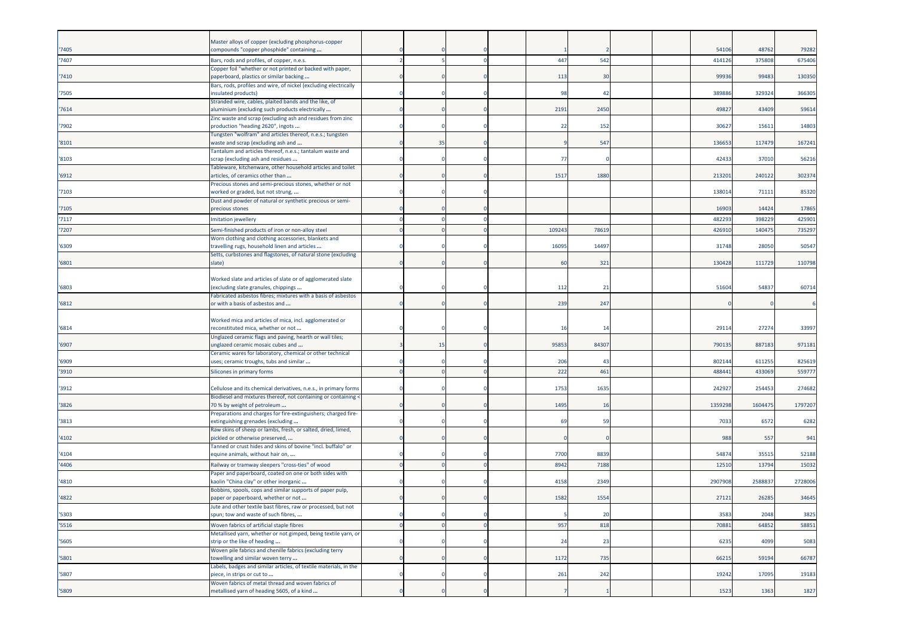|       | Master alloys of copper (excluding phosphorus-copper                                                     |    |  |       |                |  |         |         |         |
|-------|----------------------------------------------------------------------------------------------------------|----|--|-------|----------------|--|---------|---------|---------|
| '7405 | compounds "copper phosphide" containing                                                                  |    |  |       |                |  | 54106   | 48762   | 79282   |
| '7407 | Bars, rods and profiles, of copper, n.e.s.                                                               |    |  | 447   | 542            |  | 414126  | 375808  | 675406  |
| '7410 | Copper foil "whether or not printed or backed with paper,<br>paperboard, plastics or similar backing     |    |  | 113   | 30             |  | 99936   | 99483   | 130350  |
| '7505 | Bars, rods, profiles and wire, of nickel (excluding electrically<br>nsulated products)                   |    |  | 98    | 42             |  | 38988   | 329324  | 366305  |
| '7614 | Stranded wire, cables, plaited bands and the like, of<br>aluminium (excluding such products electrically |    |  | 2191  | 2450           |  | 4982    | 43409   | 59614   |
| '7902 | Zinc waste and scrap (excluding ash and residues from zinc<br>production "heading 2620", ingots          |    |  | 22    | 152            |  | 3062    | 15611   | 14803   |
| '8101 | Tungsten "wolfram" and articles thereof, n.e.s.; tungsten<br>waste and scrap (excluding ash and          | 35 |  |       | 547            |  | 136653  | 117479  | 167241  |
| '8103 | Fantalum and articles thereof, n.e.s.; tantalum waste and<br>scrap (excluding ash and residues           |    |  | 77    |                |  | 42433   | 37010   | 56216   |
| '6912 | Tableware, kitchenware, other household articles and toilet<br>articles, of ceramics other than          |    |  | 1517  | 1880           |  | 213201  | 240122  | 302374  |
| '7103 | Precious stones and semi-precious stones, whether or not<br>worked or graded, but not strung,            |    |  |       |                |  | 13801   | 71111   | 85320   |
| '7105 | Dust and powder of natural or synthetic precious or semi-<br>precious stones                             |    |  |       |                |  | 1690    | 14424   | 17865   |
| '7117 | mitation jewellery                                                                                       |    |  |       |                |  | 48229   | 398229  | 425901  |
| '7207 | Semi-finished products of iron or non-alloy steel                                                        |    |  | 10924 | 7861           |  | 426910  | 140475  | 735297  |
| '6309 | Worn clothing and clothing accessories, blankets and<br>travelling rugs, household linen and articles    |    |  | 16095 | 14497          |  | 31748   | 28050   | 50547   |
| '6801 | Setts, curbstones and flagstones, of natural stone (excluding<br>slate)                                  |    |  | 60    | 321            |  | 130428  | 111729  | 110798  |
| '6803 | Worked slate and articles of slate or of agglomerated slate<br>(excluding slate granules, chippings      |    |  | 112   | 21             |  | 51604   | 54837   | 60714   |
| '6812 | Fabricated asbestos fibres; mixtures with a basis of asbestos<br>or with a basis of asbestos and         |    |  | 239   | 247            |  |         |         |         |
|       | Worked mica and articles of mica, incl. agglomerated or                                                  |    |  |       |                |  |         |         |         |
| '6814 | reconstituted mica, whether or not<br>Unglazed ceramic flags and paving, hearth or wall tiles;           |    |  | 16    | 14             |  | 2911    | 27274   | 33997   |
| '6907 | unglazed ceramic mosaic cubes and                                                                        | 15 |  | 95853 | 84307          |  | 790135  | 887183  | 971181  |
| '6909 | Ceramic wares for laboratory, chemical or other technical<br>uses; ceramic troughs, tubs and similar     |    |  | 206   | $\overline{4}$ |  | 80214   | 611255  | 825619  |
| '3910 | Silicones in primary forms                                                                               |    |  | 222   | 461            |  | 48844   | 433069  | 559777  |
| '3912 | Cellulose and its chemical derivatives, n.e.s., in primary forms                                         |    |  | 1753  | 1635           |  | 24292   | 254453  | 274682  |
| '3826 | Biodiesel and mixtures thereof, not containing or containing <<br>70 % by weight of petroleum            |    |  | 1495  | 16             |  | 1359298 | 1604475 | 1797207 |
| '3813 | Preparations and charges for fire-extinguishers; charged fire-<br>extinguishing grenades (excluding      |    |  | 69    | 59             |  | 7033    | 6572    | 6282    |
| '4102 | Raw skins of sheep or lambs, fresh, or salted, dried, limed,<br>oickled or otherwise preserved,          |    |  |       |                |  | 988     | 557     | 941     |
| '4104 | Tanned or crust hides and skins of bovine "incl. buffalo" or<br>equine animals, without hair on,         |    |  | 7700  | 8839           |  | 54874   | 35515   | 52188   |
| '4406 | Railway or tramway sleepers "cross-ties" of wood                                                         |    |  | 8942  | 7188           |  | 1251    | 1379    | 15032   |
| '4810 | Paper and paperboard, coated on one or both sides with<br>kaolin "China clay" or other inorganic         |    |  | 4158  | 2349           |  | 2907908 | 258883  | 2728006 |
| '4822 | Bobbins, spools, cops and similar supports of paper pulp,<br>paper or paperboard, whether or not         |    |  | 1582  | 1554           |  | 27121   | 26285   | 34645   |
| '5303 | Jute and other textile bast fibres, raw or processed, but not<br>spun; tow and waste of such fibres,     |    |  |       | 20             |  | 3583    | 2048    | 3825    |
| '5516 | Woven fabrics of artificial staple fibres                                                                |    |  | 957   | 818            |  | 70881   | 64852   | 58851   |
| '5605 | Metallised yarn, whether or not gimped, being textile yarn, or<br>strip or the like of heading           |    |  | 24    | 23             |  | 6235    | 4099    | 5083    |
| '5801 | Woven pile fabrics and chenille fabrics (excluding terry<br>towelling and similar woven terry            |    |  | 1172  | 735            |  | 66215   | 59194   | 66787   |
| '5807 | Labels, badges and similar articles, of textile materials, in the<br>piece, in strips or cut to          |    |  | 261   | 242            |  | 19242   | 17095   | 19183   |
| '5809 | Woven fabrics of metal thread and woven fabrics of<br>metallised yarn of heading 5605, of a kind         |    |  |       |                |  | 1523    | 1363    | 1827    |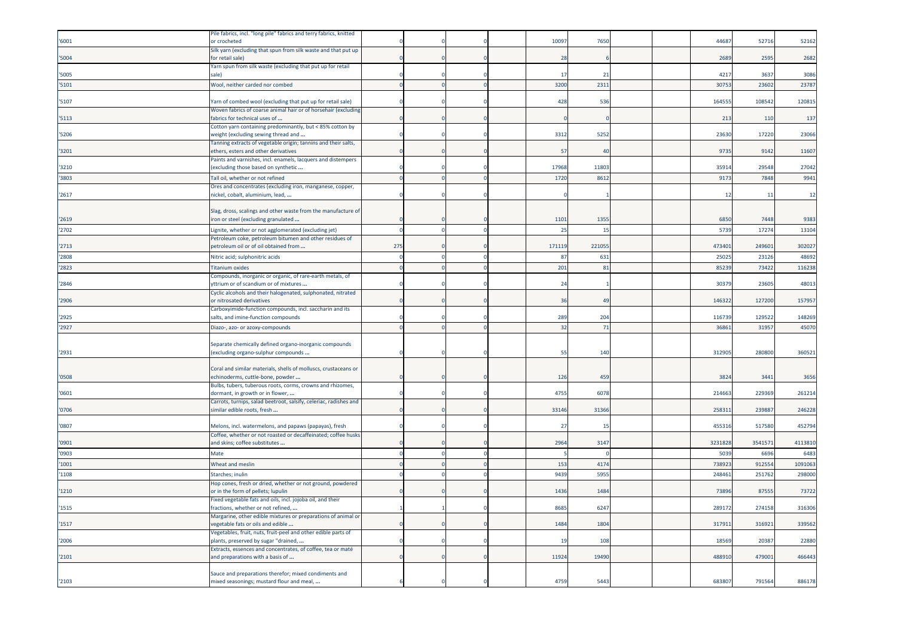|       | Pile fabrics, incl. "long pile" fabrics and terry fabrics, knitted                                   |     |  |                |            |  |         |        |         |
|-------|------------------------------------------------------------------------------------------------------|-----|--|----------------|------------|--|---------|--------|---------|
| '6001 | or crocheted                                                                                         |     |  | 10097          | 7650       |  | 44687   | 52716  | 52162   |
| 5004  | Silk yarn (excluding that spun from silk waste and that put up<br>for retail sale)                   |     |  | 28             |            |  | 2689    | 2595   | 2682    |
| '5005 | Yarn spun from silk waste (excluding that put up for retail<br>sale)                                 |     |  | 17             | 21         |  | 4217    | 3637   | 3086    |
| '5101 | Wool, neither carded nor combed                                                                      |     |  | 3200           | 231        |  | 30753   | 23602  | 23787   |
|       |                                                                                                      |     |  |                |            |  |         |        |         |
| '5107 | Yarn of combed wool (excluding that put up for retail sale)                                          |     |  | 428            | 536        |  | 164555  | 10854  | 120815  |
| '5113 | Woven fabrics of coarse animal hair or of horsehair (excluding<br>fabrics for technical uses of      |     |  |                |            |  | 213     | 110    | 137     |
| 5206  | Cotton yarn containing predominantly, but < 85% cotton by<br>weight (excluding sewing thread and     |     |  | 3312           | 5252       |  | 23630   | 17220  | 23066   |
|       | Tanning extracts of vegetable origin; tannins and their salts,                                       |     |  |                |            |  |         |        |         |
| '3201 | ethers, esters and other derivatives<br>Paints and varnishes, incl. enamels, lacquers and distempers |     |  | 57             | $\Delta$ C |  | 9735    | 9142   | 11607   |
| '3210 | (excluding those based on synthetic                                                                  |     |  | 17968          | 11803      |  | 35914   | 29548  | 27042   |
| '3803 | Tall oil, whether or not refined                                                                     |     |  | 1720           | 861        |  | 917     | 7848   | 9941    |
|       | Ores and concentrates (excluding iron, manganese, copper,                                            |     |  |                |            |  |         |        |         |
| '2617 | nickel, cobalt, aluminium, lead,                                                                     |     |  |                |            |  | 12      | 11     | 12      |
|       | Slag, dross, scalings and other waste from the manufacture of                                        |     |  |                |            |  |         |        |         |
| '2619 | iron or steel (excluding granulated                                                                  |     |  | 1101           | 1355       |  | 6850    | 7448   | 9383    |
| '2702 | Lignite, whether or not agglomerated (excluding jet)                                                 |     |  | 25             | 15         |  | 5739    | 17274  | 13104   |
|       | Petroleum coke, petroleum bitumen and other residues of                                              |     |  |                |            |  |         |        |         |
| '2713 | petroleum oil or of oil obtained from                                                                | 275 |  | 171119         | 221055     |  | 473401  | 249601 | 302027  |
| '2808 | Nitric acid; sulphonitric acids                                                                      |     |  | 87             | 631        |  | 25025   | 23126  | 48692   |
| '2823 | <b>Titanium oxides</b>                                                                               |     |  | 201            | 81         |  | 85239   | 73422  | 116238  |
| 2846  | Compounds, inorganic or organic, of rare-earth metals, of<br>yttrium or of scandium or of mixtures   |     |  | 2 <sup>2</sup> |            |  | 3037    | 23605  | 48013   |
|       | Cyclic alcohols and their halogenated, sulphonated, nitrated                                         |     |  |                |            |  |         |        |         |
| '2906 | or nitrosated derivatives<br>Carboxyimide-function compounds, incl. saccharin and its                |     |  | 36             | 49         |  | 146322  | 127200 | 157957  |
| '2925 | salts, and imine-function compounds                                                                  |     |  | 289            | 204        |  | 11673   | 129522 | 148269  |
| '2927 | Diazo-, azo- or azoxy-compounds                                                                      |     |  | 32             | 71         |  | 36861   | 31957  | 45070   |
|       |                                                                                                      |     |  |                |            |  |         |        |         |
| '2931 | Separate chemically defined organo-inorganic compounds<br>(excluding organo-sulphur compounds        |     |  | 55             | 140        |  | 312905  | 280800 | 360521  |
|       |                                                                                                      |     |  |                |            |  |         |        |         |
|       | Coral and similar materials, shells of molluscs, crustaceans or                                      |     |  |                |            |  |         |        |         |
| '0508 | echinoderms, cuttle-bone, powder<br>Bulbs, tubers, tuberous roots, corms, crowns and rhizomes,       |     |  | 126            | 459        |  | 3824    | 3441   | 3656    |
| '0601 | dormant, in growth or in flower,                                                                     |     |  | 4755           | 6078       |  | 214663  | 229369 | 261214  |
|       | Carrots, turnips, salad beetroot, salsify, celeriac, radishes and                                    |     |  |                |            |  |         |        |         |
| '0706 | similar edible roots, fresh                                                                          |     |  | 33146          | 31366      |  | 258311  | 23988  | 246228  |
| '0807 | Melons, incl. watermelons, and papaws (papayas), fresh                                               |     |  | 27             | 15         |  | 455316  | 517580 | 452794  |
| '0901 | Coffee, whether or not roasted or decaffeinated; coffee husks<br>and skins; coffee substitutes       |     |  | 2964           | 3147       |  | 3231828 | 354157 | 4113810 |
| '0903 | Mate                                                                                                 |     |  |                |            |  | 5039    | 669    | 6483    |
| '1001 | Wheat and meslin                                                                                     |     |  | 153            | 4174       |  | 738923  | 912554 | 1091063 |
| '1108 | Starches; inulin                                                                                     |     |  | 9439           | 5955       |  | 248461  | 251762 | 298000  |
|       | Hop cones, fresh or dried, whether or not ground, powdered                                           |     |  |                |            |  |         |        |         |
| '1210 | or in the form of pellets; lupulin                                                                   |     |  | 1436           | 1484       |  | 73896   | 87555  | 73722   |
| 1515  | Fixed vegetable fats and oils, incl. jojoba oil, and their<br>ractions, whether or not refined,      |     |  | 8685           | 6247       |  | 289172  | 274158 | 316306  |
|       | Margarine, other edible mixtures or preparations of animal or                                        |     |  |                |            |  |         |        |         |
| '1517 | vegetable fats or oils and edible                                                                    |     |  | 1484           | 1804       |  | 317911  | 316921 | 339562  |
|       | Vegetables, fruit, nuts, fruit-peel and other edible parts of                                        |     |  |                |            |  |         |        |         |
| '2006 | plants, preserved by sugar "drained,                                                                 |     |  | 19             | 108        |  | 18569   | 20387  | 22880   |
| '2101 | Extracts, essences and concentrates, of coffee, tea or maté<br>and preparations with a basis of      |     |  | 11924          | 19490      |  | 488910  | 479001 | 466443  |
|       |                                                                                                      |     |  |                |            |  |         |        |         |
| '2103 | Sauce and preparations therefor; mixed condiments and<br>mixed seasonings; mustard flour and meal,   |     |  | 4759           | 5443       |  | 683807  | 791564 | 886178  |
|       |                                                                                                      |     |  |                |            |  |         |        |         |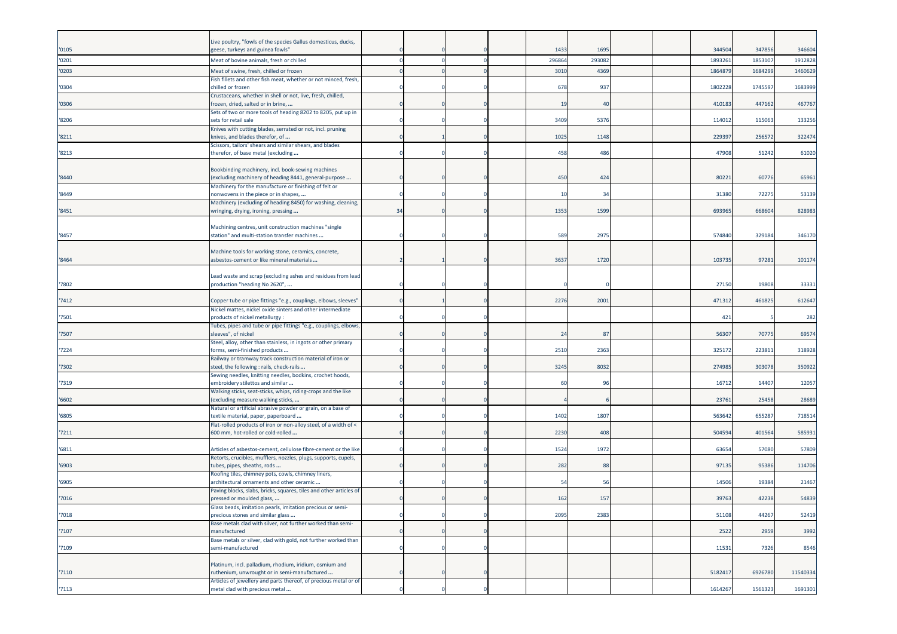|                | Live poultry, "fowls of the species Gallus domesticus, ducks,                                                  |    |  |               |              |  | 344504  | 347856  |                   |
|----------------|----------------------------------------------------------------------------------------------------------------|----|--|---------------|--------------|--|---------|---------|-------------------|
| '0105<br>'0201 | geese, turkeys and guinea fowls"                                                                               |    |  | 143<br>296864 | 169<br>29308 |  | 189326  | 185310  | 346604<br>1912828 |
|                | Meat of bovine animals, fresh or chilled                                                                       |    |  |               |              |  |         |         |                   |
| '0203          | Meat of swine, fresh, chilled or frozen<br>Fish fillets and other fish meat, whether or not minced, fresh,     |    |  | 3010          | 4369         |  | 186487  | 168429  | 1460629           |
| '0304          | chilled or frozen                                                                                              |    |  | 678           | 937          |  | 1802228 | 1745597 | 1683999           |
|                | Crustaceans, whether in shell or not, live, fresh, chilled,                                                    |    |  |               |              |  |         |         |                   |
| '0306          | frozen, dried, salted or in brine,<br>Sets of two or more tools of heading 8202 to 8205, put up in             |    |  | 19            | 40           |  | 410183  | 447162  | 467767            |
| '8206          | sets for retail sale                                                                                           |    |  | 3409          | 5376         |  | 114012  | 115063  | 133256            |
|                | Knives with cutting blades, serrated or not, incl. pruning                                                     |    |  |               |              |  |         |         |                   |
| '8211          | knives, and blades therefor, of<br>Scissors, tailors' shears and similar shears, and blades                    |    |  | 1025          | 1148         |  | 22939   | 25657   | 322474            |
| '8213          | therefor, of base metal (excluding                                                                             |    |  | 458           | 486          |  | 47908   | 51242   | 61020             |
|                |                                                                                                                |    |  |               |              |  |         |         |                   |
| '8440          | Bookbinding machinery, incl. book-sewing machines                                                              |    |  |               |              |  | 8022    |         |                   |
|                | (excluding machinery of heading 8441, general-purpose<br>Machinery for the manufacture or finishing of felt or |    |  | 450           | 424          |  |         | 60776   | 65961             |
| '8449          | nonwovens in the piece or in shapes,                                                                           |    |  | 10            | 34           |  | 31380   | 72275   | 53139             |
|                | Machinery (excluding of heading 8450) for washing, cleaning,                                                   |    |  |               |              |  |         |         |                   |
| '8451          | wringing, drying, ironing, pressing                                                                            | 34 |  | 1353          | 1599         |  | 69396   | 66860   | 828983            |
|                | Machining centres, unit construction machines "single                                                          |    |  |               |              |  |         |         |                   |
| '8457          | station" and multi-station transfer machines                                                                   |    |  | 589           | 2975         |  | 574840  | 329184  | 346170            |
|                | Machine tools for working stone, ceramics, concrete,                                                           |    |  |               |              |  |         |         |                   |
| '8464          | asbestos-cement or like mineral materials                                                                      |    |  | 3637          | 1720         |  | 103735  | 97281   | 101174            |
|                |                                                                                                                |    |  |               |              |  |         |         |                   |
| 7802           | Lead waste and scrap (excluding ashes and residues from lead                                                   |    |  |               |              |  | 27150   | 19808   | 33331             |
|                | production "heading No 2620",                                                                                  |    |  |               |              |  |         |         |                   |
| 7412           | Copper tube or pipe fittings "e.g., couplings, elbows, sleeves"                                                |    |  | 2276          | 2001         |  | 471312  | 461825  | 612647            |
|                | Nickel mattes, nickel oxide sinters and other intermediate                                                     |    |  |               |              |  |         |         |                   |
| '7501          | products of nickel metallurgy :<br>Tubes, pipes and tube or pipe fittings "e.g., couplings, elbows,            |    |  |               |              |  | 421     |         | 282               |
| '7507          | sleeves", of nickel                                                                                            |    |  | 24            | 87           |  | 56307   | 70775   | 69574             |
|                | Steel, alloy, other than stainless, in ingots or other primary                                                 |    |  |               |              |  |         |         |                   |
| '7224          | forms, semi-finished products<br>Railway or tramway track construction material of iron or                     |    |  | 2510          | 2363         |  | 32517   | 22381   | 318928            |
| '7302          | steel, the following : rails, check-rails                                                                      |    |  | 3245          | 8032         |  | 274985  | 303078  | 350922            |
|                | Sewing needles, knitting needles, bodkins, crochet hoods,                                                      |    |  |               |              |  |         |         |                   |
| 7319           | embroidery stilettos and similar                                                                               |    |  | -60           | 9            |  | 16712   | 14407   | 12057             |
| '6602          | Walking sticks, seat-sticks, whips, riding-crops and the like<br>(excluding measure walking sticks,            |    |  |               |              |  | 2376    | 25458   | 28689             |
|                | Natural or artificial abrasive powder or grain, on a base of                                                   |    |  |               |              |  |         |         |                   |
| '6805          | textile material, paper, paperboard                                                                            |    |  | 1402          | 1807         |  | 563642  | 655287  | 718514            |
| '7211          | Flat-rolled products of iron or non-alloy steel, of a width of <<br>600 mm, hot-rolled or cold-rolled          |    |  | 2230          | 408          |  | 504594  | 401564  | 585931            |
|                |                                                                                                                |    |  |               |              |  |         |         |                   |
| '6811          | Articles of asbestos-cement, cellulose fibre-cement or the like                                                |    |  | 1524          | 1972         |  | 63654   | 57080   | 57809             |
| '6903          | Retorts, crucibles, mufflers, nozzles, plugs, supports, cupels,<br>tubes, pipes, sheaths, rods                 |    |  | 282           | 88           |  | 97135   | 95386   | 114706            |
|                | Roofing tiles, chimney pots, cowls, chimney liners,                                                            |    |  |               |              |  |         |         |                   |
| '6905          | architectural ornaments and other ceramic                                                                      |    |  | $-5$          | 5            |  | 1450    | 1938    | 21467             |
| 7016           | Paving blocks, slabs, bricks, squares, tiles and other articles of<br>pressed or moulded glass,                |    |  | 162           | 157          |  | 39763   | 42238   | 54839             |
|                | lass beads, imitation pearls, imitation precious or semi                                                       |    |  |               |              |  |         |         |                   |
| '7018          | precious stones and similar glass                                                                              |    |  | 2095          | 2383         |  | 51108   | 44267   | 52419             |
|                | Base metals clad with silver, not further worked than semi-                                                    |    |  |               |              |  |         |         |                   |
| '7107          | manufactured<br>Base metals or silver, clad with gold, not further worked than                                 |    |  |               |              |  | 2522    | 2959    | 3992              |
| '7109          | semi-manufactured                                                                                              |    |  |               |              |  | 11531   | 7326    | 8546              |
|                |                                                                                                                |    |  |               |              |  |         |         |                   |
| '7110          | Platinum, incl. palladium, rhodium, iridium, osmium and<br>ruthenium, unwrought or in semi-manufactured        |    |  |               |              |  | 5182417 | 6926780 | 11540334          |
|                | Articles of jewellery and parts thereof, of precious metal or of                                               |    |  |               |              |  |         |         |                   |
| '7113          | metal clad with precious metal                                                                                 |    |  |               |              |  | 1614267 | 1561323 | 1691301           |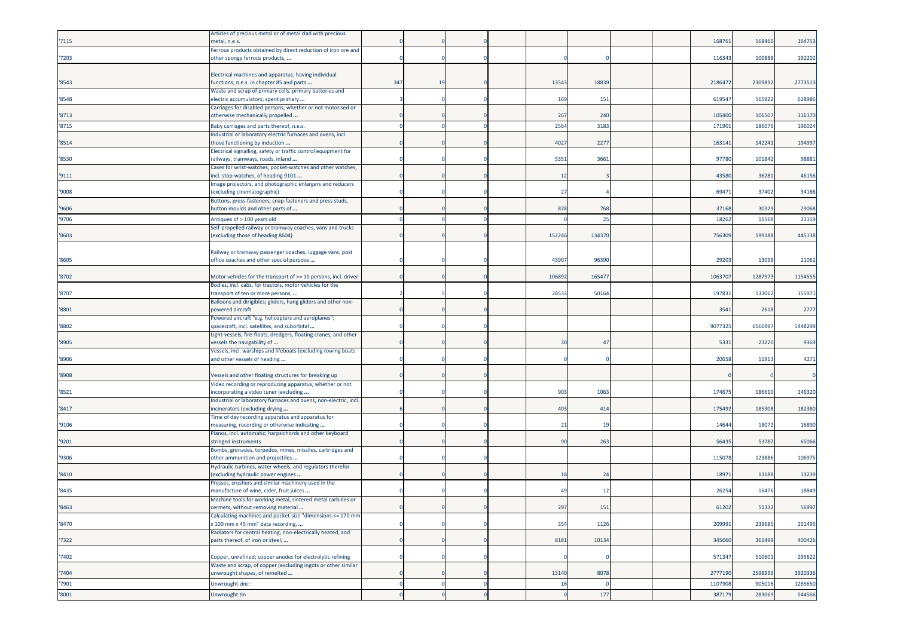| '7115 | Articles of precious metal or of metal clad with precious<br>netal, n.e.s.                                 |     |    |  |                |       |  | 16876   | 16846   | 164753  |
|-------|------------------------------------------------------------------------------------------------------------|-----|----|--|----------------|-------|--|---------|---------|---------|
| '7203 | Ferrous products obtained by direct reduction of iron ore and<br>other spongy ferrous products,            |     |    |  |                |       |  | 11634   | 100888  | 192202  |
|       | Electrical machines and apparatus, having individual                                                       |     |    |  |                |       |  |         |         |         |
| '8543 | functions, n.e.s. in chapter 85 and parts                                                                  | 347 | 19 |  | 13543          | 1883  |  | 218647  | 230989  | 2773513 |
| '8548 | Waste and scrap of primary cells, primary batteries and<br>electric accumulators; spent primary            |     |    |  | 169            | 151   |  | 61954   | 565922  | 628986  |
| '8713 | Carriages for disabled persons, whether or not motorised or<br>otherwise mechanically propelled            |     |    |  | 267            | 240   |  | 105400  | 106507  | 116170  |
| '8715 | Baby carriages and parts thereof, n.e.s.                                                                   |     |    |  | 2564           | 3183  |  | 17190   | 18607   | 196024  |
| '8514 | Industrial or laboratory electric furnaces and ovens, incl.<br>those functioning by induction              |     |    |  | 4027           | 2277  |  | 16314   | 142241  | 194997  |
| '8530 | Electrical signalling, safety or traffic control equipment for<br>ailways, tramways, roads, inland         |     |    |  | 5351           | 3661  |  | 9778    | 10184   | 98881   |
| '9111 | Cases for wrist-watches, pocket-watches and other watches,<br>incl. stop-watches, of heading 9101          |     |    |  | $\overline{1}$ |       |  | 4358    | 36281   | 46156   |
| '9008 | Image projectors, and photographic enlargers and reducers<br>excluding cinematographic)                    |     |    |  | 27             |       |  | 6947    | 37402   | 34186   |
| '9606 | Buttons, press-fasteners, snap-fasteners and press studs,<br>button moulds and other parts of              |     |    |  | 878            | 768   |  | 37168   | 30329   | 29068   |
| '9706 | Antiques of > 100 years old                                                                                |     |    |  |                | 25    |  | 1826    | 11569   | 21159   |
| '8603 | Self-propelled railway or tramway coaches, vans and trucks<br>excluding those of heading 8604)             |     |    |  | 152246         | 13437 |  | 75630   | 599188  | 445138  |
|       | Railway or tramway passenger coaches, luggage vans, post                                                   |     |    |  |                |       |  |         |         |         |
| '8605 | office coaches and other special purpose                                                                   |     |    |  | 43907          | 96390 |  | 2920    | 13098   | 21062   |
| '8702 | Motor vehicles for the transport of >= 10 persons, incl. driver                                            |     |    |  | 106892         | 16547 |  | 106370  | 128797  | 1154555 |
| '8707 | Bodies, incl. cabs, for tractors, motor vehicles for the<br>transport of ten or more persons,              |     |    |  | 28533          | 50164 |  | 19783   | 133062  | 155971  |
| '8801 | Balloons and dirigibles; gliders, hang gliders and other non-<br>powered aircraft                          |     |    |  |                |       |  | 354     | 2618    | 2777    |
| '8802 | Powered aircraft "e.g. helicopters and aeroplanes";<br>spacecraft, incl. satellites, and suborbital        |     |    |  |                |       |  | 907732  | 656699  | 5448299 |
| '8905 | Light-vessels, fire-floats, dredgers, floating cranes, and other<br>vessels the navigability of            |     |    |  | 30             | 47    |  | 5331    | 23220   | 9369    |
| '8906 | Vessels, incl. warships and lifeboats (excluding rowing boats<br>and other vessels of heading              |     |    |  |                |       |  | 2065    | 11913   | 4271    |
| '8908 | Vessels and other floating structures for breaking up                                                      |     |    |  |                |       |  |         |         |         |
|       | Video recording or reproducing apparatus, whether or not                                                   |     |    |  |                |       |  |         |         |         |
| '8521 | incorporating a video tuner (excluding<br>Industrial or laboratory furnaces and ovens, non-electric, incl. |     |    |  | 903            | 1063  |  | 17467   | 186610  | 146320  |
| '8417 | incinerators (excluding drying                                                                             |     |    |  | 403            | 414   |  | 17549   | 185308  | 182380  |
| '9106 | Time of day recording apparatus and apparatus for<br>measuring, recording or otherwise indicating          |     |    |  | 21             | 19    |  | 1464    | 18072   | 16890   |
| '9201 | Pianos, incl. automatic; harpsichords and other keyboard<br>stringed instruments                           |     |    |  | 90             | 263   |  | 5643    | 53787   | 65066   |
| '9306 | Bombs, grenades, torpedos, mines, missiles, cartridges and<br>other ammunition and projectiles             |     |    |  |                |       |  | 11507   | 123886  | 106975  |
| '8410 | Hydraulic turbines, water wheels, and regulators therefor<br>excluding hydraulic power engines             |     |    |  | 18             | 24    |  | 1897    | 13188   | 13239   |
| '8435 | Presses, crushers and similar machinery used in the<br>manufacture of wine, cider, fruit juices            |     |    |  | 49             | 12    |  | 2625    | 16476   | 18849   |
| '8463 | Machine tools for working metal, sintered metal carbides or<br>ermets, without removing material           |     |    |  | 297            | 151   |  | 61202   | 51332   | 56997   |
| '8470 | Calculating machines and pocket-size "dimensions <= 170 mm<br>x 100 mm x 45 mm" data recording,            |     |    |  | 354            | 1126  |  | 209991  | 239685  | 251495  |
| '7322 | Radiators for central heating, non-electrically heated, and<br>parts thereof, of iron or steel;            |     |    |  | 8181           | 10134 |  | 345060  | 361499  | 400426  |
| '7402 | Copper, unrefined; copper anodes for electrolytic refining                                                 |     |    |  |                |       |  | 571347  | 510601  | 295622  |
| '7404 | Waste and scrap, of copper (excluding ingots or other similar<br>unwrought shapes, of remelted             |     |    |  | 13140          | 8078  |  | 2777190 | 2598999 | 3920336 |
| '7901 | Unwrought zinc:                                                                                            |     |    |  | 16             |       |  | 1107908 | 905016  | 1265650 |
| '8001 | Unwrought tin                                                                                              |     |    |  |                | 177   |  | 387179  | 283069  | 544566  |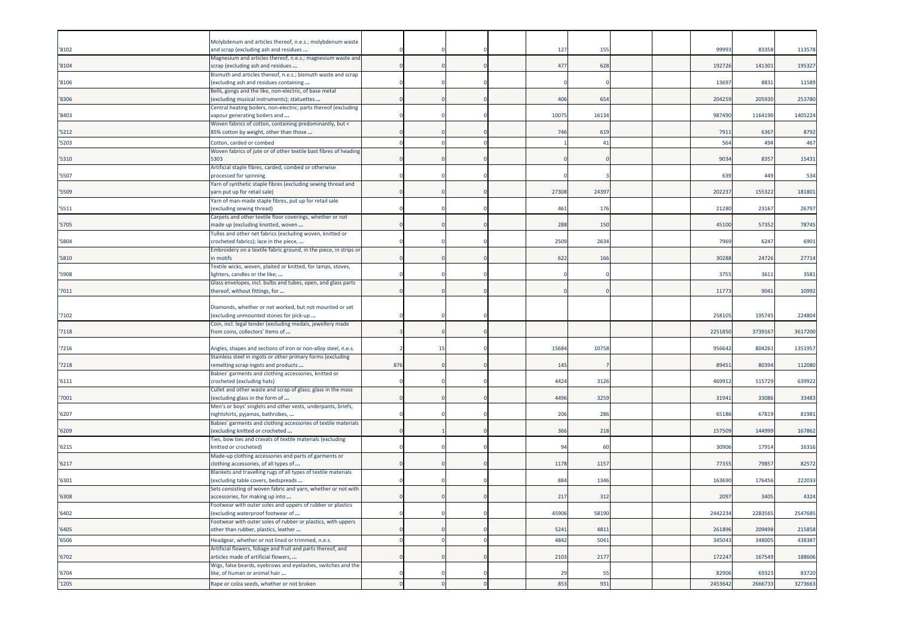| '8102 | Molybdenum and articles thereof, n.e.s.; molybdenum waste<br>and scrap (excluding ash and residues    |     |     |  | 127              | 155   |  | 99993   | 83358   | 113578  |
|-------|-------------------------------------------------------------------------------------------------------|-----|-----|--|------------------|-------|--|---------|---------|---------|
|       | Magnesium and articles thereof, n.e.s.; magnesium waste and                                           |     |     |  |                  |       |  |         |         |         |
| '8104 | scrap (excluding ash and residues<br>Bismuth and articles thereof, n.e.s.; bismuth waste and scrap    |     |     |  | 477              | 628   |  | 192726  | 141301  | 195327  |
| '8106 | (excluding ash and residues containing                                                                |     |     |  |                  |       |  | 13697   | 8831    | 11589   |
| '8306 | Bells, gongs and the like, non-electric, of base metal<br>(excluding musical instruments); statuettes |     |     |  | 406              | 654   |  | 204259  | 205930  | 253780  |
|       | Central heating boilers, non-electric; parts thereof (excluding                                       |     |     |  |                  |       |  |         |         |         |
| '8403 | vapour generating boilers and                                                                         |     |     |  | 1007             | 16134 |  | 987490  | 1164190 | 1405224 |
| 5212  | Woven fabrics of cotton, containing predominantly, but <<br>85% cotton by weight, other than those    |     |     |  | 746              | 619   |  | 7911    | 6367    | 8792    |
| '5203 | Cotton, carded or combed                                                                              |     |     |  |                  | 41    |  | 564     | 494     | 467     |
|       | Woven fabrics of jute or of other textile bast fibres of heading                                      |     |     |  |                  |       |  |         |         |         |
| '5310 | 5303<br>Artificial staple fibres, carded, combed or otherwise                                         |     |     |  |                  |       |  | 9034    | 8357    | 15431   |
| '5507 | processed for spinning                                                                                |     |     |  |                  |       |  | 639     | 449     | 534     |
|       | Yarn of synthetic staple fibres (excluding sewing thread and                                          |     |     |  |                  |       |  |         |         |         |
| '5509 | yarn put up for retail sale)<br>Yarn of man-made staple fibres, put up for retail sale                |     |     |  | 27308            | 24397 |  | 20223   | 155322  | 181801  |
| '5511 | (excluding sewing thread)                                                                             |     |     |  | 461              | 176   |  | 21280   | 23167   | 26797   |
| 5705  | Carpets and other textile floor coverings, whether or not                                             |     |     |  | 288              | 150   |  | 45100   | 57352   | 78745   |
|       | made up (excluding knotted, woven<br>Tulles and other net fabrics (excluding woven, knitted or        |     |     |  |                  |       |  |         |         |         |
| 5804  | crocheted fabrics); lace in the piece,                                                                |     |     |  | 250 <sup>c</sup> | 2634  |  | 7969    | 6247    | 6901    |
| '5810 | Embroidery on a textile fabric ground, in the piece, in strips or<br>in motifs                        |     |     |  | 622              | 166   |  | 30288   | 24726   | 27714   |
|       | Textile wicks, woven, plaited or knitted, for lamps, stoves,                                          |     |     |  |                  |       |  |         |         |         |
| '5908 | lighters, candles or the like;                                                                        |     |     |  |                  |       |  | 3755    | 361     | 3581    |
| 7011  | Glass envelopes, incl. bulbs and tubes, open, and glass parts<br>thereof, without fittings, for       |     |     |  |                  |       |  | 11773   | 9041    | 10992   |
|       |                                                                                                       |     |     |  |                  |       |  |         |         |         |
| 7102  | Diamonds, whether or not worked, but not mounted or set<br>(excluding unmounted stones for pick-up    |     |     |  |                  |       |  | 258105  | 195745  | 224804  |
|       | Coin, incl. legal tender (excluding medals, jewellery made                                            |     |     |  |                  |       |  |         |         |         |
| '7118 | from coins, collectors' items of                                                                      |     |     |  |                  |       |  | 2251850 | 3739167 | 3617200 |
| '7216 | Angles, shapes and sections of iron or non-alloy steel, n.e.s.                                        |     | -15 |  | 15684            | 10758 |  | 956642  | 804261  | 1351957 |
|       | Stainless steel in ingots or other primary forms (excluding                                           |     |     |  |                  |       |  |         |         |         |
| 7218  | remelting scrap ingots and products<br>Babies' garments and clothing accessories, knitted or          | 876 |     |  | 145              |       |  | 89451   | 80394   | 112080  |
| '6111 | crocheted (excluding hats)                                                                            |     |     |  | 4424             | 3126  |  | 46991   | 515729  | 639922  |
|       | Cullet and other waste and scrap of glass; glass in the mass                                          |     |     |  |                  |       |  |         |         |         |
| 7001  | (excluding glass in the form of<br>Men's or boys' singlets and other vests, underpants, briefs,       |     |     |  | 4496             | 3259  |  | 31941   | 33086   | 33483   |
| '6207 | nightshirts, pyjamas, bathrobes,                                                                      |     |     |  | 206              | 286   |  | 65186   | 67819   | 81981   |
| '6209 | Babies' garments and clothing accessories of textile materials<br>(excluding knitted or crocheted     |     |     |  | 366              | 218   |  | 157509  | 144999  | 167862  |
|       | Ties, bow ties and cravats of textile materials (excluding                                            |     |     |  |                  |       |  |         |         |         |
| '6215 | knitted or crocheted)                                                                                 |     |     |  | 94               | 60    |  | 30906   | 1791    | 16316   |
| '6217 | Made-up clothing accessories and parts of garments or<br>clothing accessories, of all types of        |     |     |  | 1178             | 1157  |  | 7735    | 7985    | 82572   |
|       | Blankets and travelling rugs of all types of textile materials                                        |     |     |  |                  |       |  |         |         |         |
| '6301 | (excluding table covers, bedspreads<br>Sets consisting of woven fabric and yarn, whether or not with  |     |     |  | 884              | 1346  |  | 163690  | 176456  | 222033  |
| '6308 | accessories, for making up into                                                                       |     |     |  | 217              | 312   |  | 2097    | 3405    | 4324    |
|       | Footwear with outer soles and uppers of rubber or plastics                                            |     |     |  |                  |       |  |         |         |         |
| '6402 | (excluding waterproof footwear of<br>Footwear with outer soles of rubber or plastics, with uppers     |     |     |  | 45906            | 58190 |  | 2442234 | 2283565 | 2547685 |
| '6405 | other than rubber, plastics, leather                                                                  |     |     |  | 5241             | 4811  |  | 261896  | 209498  | 215858  |
| '6506 | Headgear, whether or not lined or trimmed, n.e.s.                                                     |     |     |  | 4842             | 5041  |  | 345043  | 348005  | 438387  |
| '6702 | Artificial flowers, foliage and fruit and parts thereof, and<br>articles made of artificial flowers,  |     |     |  | 2103             | 2177  |  | 172247  | 167549  | 188606  |
|       | Wigs, false beards, eyebrows and eyelashes, switches and the                                          |     |     |  |                  |       |  |         |         |         |
| '6704 | like, of human or animal hair                                                                         |     |     |  | 29               | 55    |  | 82906   | 69323   | 83720   |
| '1205 | Rape or colza seeds, whether or not broken                                                            |     |     |  | 853              | 931   |  | 2453642 | 2666733 | 3273663 |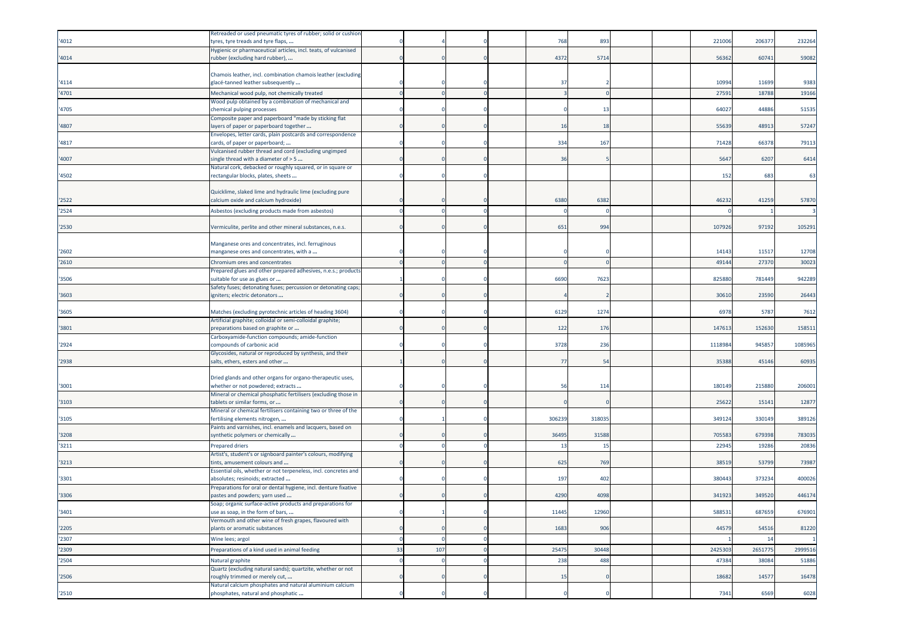|       | Retreaded or used pneumatic tyres of rubber; solid or cushior                                         |    |     |  |        |                 |  |        |         |         |
|-------|-------------------------------------------------------------------------------------------------------|----|-----|--|--------|-----------------|--|--------|---------|---------|
| '4012 | tyres, tyre treads and tyre flaps,<br>Hygienic or pharmaceutical articles, incl. teats, of vulcanised |    |     |  | 768    | 893             |  | 221006 | 20637   | 232264  |
| '4014 | ubber (excluding hard rubber),                                                                        |    |     |  | 4372   | 571             |  | 5636   | 6074    | 59082   |
|       |                                                                                                       |    |     |  |        |                 |  |        |         |         |
| '4114 | Chamois leather, incl. combination chamois leather (excluding<br>glacé-tanned leather subsequently    |    |     |  | 37     |                 |  | 10994  | 11699   | 9383    |
| '4701 | Mechanical wood pulp, not chemically treated                                                          |    |     |  |        |                 |  | 2759   | 18788   | 19166   |
|       | Wood pulp obtained by a combination of mechanical and                                                 |    |     |  |        |                 |  |        |         |         |
| 4705  | chemical pulping processes                                                                            |    |     |  |        | 13              |  | 6402   | 44886   | 51535   |
| '4807 | Composite paper and paperboard "made by sticking flat<br>layers of paper or paperboard together       |    |     |  | 16     | 18              |  | 55639  | 48913   | 57247   |
|       | Envelopes, letter cards, plain postcards and correspondence                                           |    |     |  |        |                 |  |        |         |         |
| '4817 | cards, of paper or paperboard;                                                                        |    |     |  | 334    | 167             |  | 71428  | 66378   | 79113   |
|       | Vulcanised rubber thread and cord (excluding ungimped                                                 |    |     |  | 36     |                 |  |        |         |         |
| '4007 | single thread with a diameter of > 5<br>Natural cork, debacked or roughly squared, or in square or    |    |     |  |        |                 |  | 5647   | 6207    | 6414    |
| '4502 | rectangular blocks, plates, sheets                                                                    |    |     |  |        |                 |  | 152    | 683     | 63      |
|       |                                                                                                       |    |     |  |        |                 |  |        |         |         |
| '2522 | Quicklime, slaked lime and hydraulic lime (excluding pure<br>calcium oxide and calcium hydroxide)     |    |     |  | 6380   | 6382            |  | 4623   | 41259   | 57870   |
| '2524 | Asbestos (excluding products made from asbestos)                                                      |    |     |  |        |                 |  |        |         |         |
|       |                                                                                                       |    |     |  |        |                 |  |        |         |         |
| '2530 | Vermiculite, perlite and other mineral substances, n.e.s.                                             |    |     |  | 651    | 994             |  | 10792  | 97192   | 105291  |
|       |                                                                                                       |    |     |  |        |                 |  |        |         |         |
| '2602 | Manganese ores and concentrates, incl. ferruginous<br>manganese ores and concentrates, with a         |    |     |  |        |                 |  | 1414   | 1151    | 12708   |
| '2610 | Chromium ores and concentrates                                                                        |    |     |  |        |                 |  | 4914   | 2737    | 30023   |
|       | Prepared glues and other prepared adhesives, n.e.s.; products                                         |    |     |  |        |                 |  |        |         |         |
| '3506 | suitable for use as glues or                                                                          |    |     |  | 6690   | 7623            |  | 82588  | 781449  | 942289  |
| '3603 | Safety fuses; detonating fuses; percussion or detonating caps;<br>igniters; electric detonators       |    |     |  |        |                 |  | 30610  | 23590   | 26443   |
|       |                                                                                                       |    |     |  |        |                 |  |        |         |         |
| '3605 | Matches (excluding pyrotechnic articles of heading 3604)                                              |    |     |  | 6129   | 127             |  | 697    | 5787    | 7612    |
| '3801 | Artificial graphite; colloidal or semi-colloidal graphite;<br>preparations based on graphite or       |    |     |  | 122    | 176             |  | 14761  | 152630  | 158511  |
|       | Carboxyamide-function compounds; amide-function                                                       |    |     |  |        |                 |  |        |         |         |
| '2924 | compounds of carbonic acid                                                                            |    |     |  | 3728   | 236             |  | 111898 | 945857  | 1085965 |
| '2938 | Glycosides, natural or reproduced by synthesis, and their<br>salts, ethers, esters and other          |    |     |  | 77     | 54              |  | 3538   | 45146   | 60935   |
|       |                                                                                                       |    |     |  |        |                 |  |        |         |         |
|       | Dried glands and other organs for organo-therapeutic uses,                                            |    |     |  |        |                 |  |        |         |         |
| '3001 | whether or not powdered; extracts                                                                     |    |     |  | 56     | 11 <sup>2</sup> |  | 180149 | 215880  | 206001  |
| '3103 | Mineral or chemical phosphatic fertilisers (excluding those in<br>tablets or similar forms, or        |    |     |  |        |                 |  | 2562   | 1514    | 12877   |
|       | Mineral or chemical fertilisers containing two or three of the                                        |    |     |  |        |                 |  |        |         |         |
| '3105 | ertilising elements nitrogen,                                                                         |    |     |  | 306239 | 31803           |  | 34912  | 330149  | 389126  |
| '3208 | Paints and varnishes, incl. enamels and lacquers, based on<br>synthetic polymers or chemically        |    |     |  | 36495  | 31588           |  | 705583 | 679398  | 783035  |
| '3211 | Prepared driers                                                                                       |    |     |  | 13     | 15              |  | 2294   | 19286   | 20836   |
|       | Artist's, student's or signboard painter's colours, modifying                                         |    |     |  |        |                 |  |        |         |         |
| '3213 | tints, amusement colours and                                                                          |    |     |  | 625    | 769             |  | 38519  | 53799   | 73987   |
| '3301 | Essential oils, whether or not terpeneless, incl. concretes and<br>absolutes; resinoids; extracted    |    |     |  | 197    | 402             |  | 38044  | 373234  | 400026  |
|       | Preparations for oral or dental hygiene, incl. denture fixative                                       |    |     |  |        |                 |  |        |         |         |
| '3306 | pastes and powders; yarn used                                                                         |    |     |  | 4290   | 4098            |  | 34192  | 349520  | 446174  |
| '3401 | Soap; organic surface-active products and preparations for                                            |    |     |  | 11445  |                 |  | 588531 |         |         |
|       | use as soap, in the form of bars,<br>Vermouth and other wine of fresh grapes, flavoured with          |    |     |  |        | 12960           |  |        | 687659  | 676901  |
| '2205 | plants or aromatic substances                                                                         |    |     |  | 1683   | 906             |  | 44579  | 54516   | 81220   |
| '2307 | Wine lees; argol                                                                                      |    |     |  |        |                 |  |        | 14      |         |
| '2309 | Preparations of a kind used in animal feeding                                                         | 33 | 107 |  | 25475  | 30448           |  | 242530 | 2651775 | 2999516 |
| '2504 | Natural graphite                                                                                      |    |     |  | 238    | 488             |  | 47384  | 38084   | 51886   |
|       | Quartz (excluding natural sands); quartzite, whether or not                                           |    |     |  |        |                 |  |        |         |         |
| '2506 | roughly trimmed or merely cut,<br>Natural calcium phosphates and natural aluminium calcium            |    |     |  | 15     |                 |  | 18682  | 14577   | 16478   |
| '2510 | phosphates, natural and phosphatic                                                                    |    |     |  |        |                 |  | 7341   | 6569    | 6028    |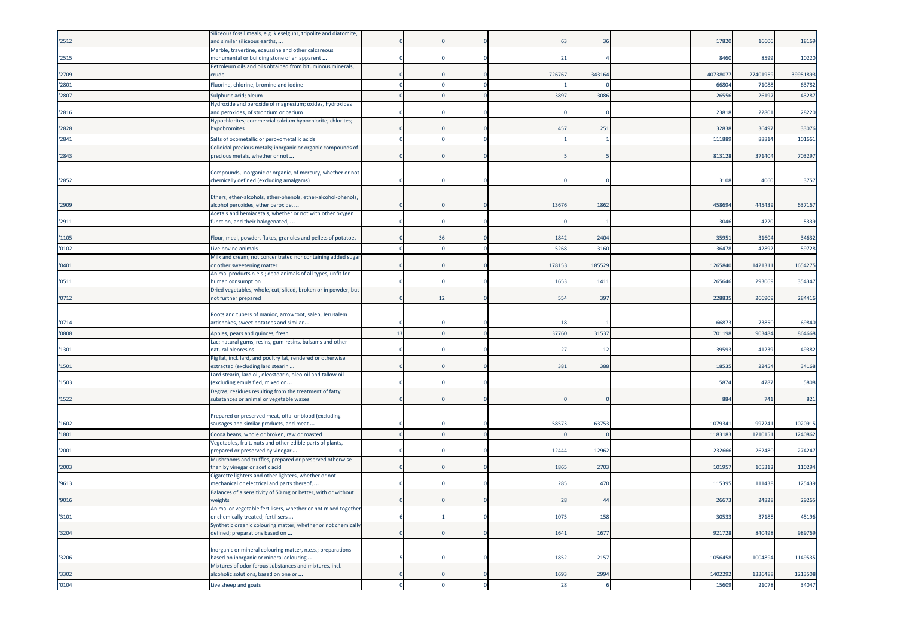|       | Siliceous fossil meals, e.g. kieselguhr, tripolite and diatomite,                                      |    |    |  |        |        |  |         |         |          |
|-------|--------------------------------------------------------------------------------------------------------|----|----|--|--------|--------|--|---------|---------|----------|
| '2512 | and similar siliceous earths,                                                                          |    |    |  | 63     | 36     |  | 17820   | 16606   | 18169    |
| '2515 | Marble, travertine, ecaussine and other calcareous<br>monumental or building stone of an apparent      |    |    |  | 21     |        |  | 8460    | 8599    | 10220    |
| '2709 | Petroleum oils and oils obtained from bituminous minerals,<br>crude                                    |    |    |  | 726767 | 343164 |  | 4073807 | 2740195 | 39951893 |
| '2801 | Fluorine, chlorine, bromine and iodine                                                                 |    |    |  |        |        |  | 6680    | 71088   | 63782    |
| '2807 | Sulphuric acid; oleum                                                                                  |    |    |  | 3897   | 3086   |  | 2655    | 2619    | 43287    |
|       | Hydroxide and peroxide of magnesium; oxides, hydroxides                                                |    |    |  |        |        |  |         |         |          |
| '2816 | and peroxides, of strontium or barium                                                                  |    |    |  |        |        |  | 2381    | 22801   | 28220    |
| '2828 | Hypochlorites; commercial calcium hypochlorite; chlorites;<br>hypobromites                             |    |    |  | 457    | 251    |  | 32838   | 36497   | 33076    |
| '2841 | Salts of oxometallic or peroxometallic acids                                                           |    |    |  |        |        |  | 11188   | 8881    | 101661   |
| '2843 | Colloidal precious metals; inorganic or organic compounds of<br>orecious metals, whether or not        |    |    |  |        |        |  | 81312   | 37140   | 703297   |
|       |                                                                                                        |    |    |  |        |        |  |         |         |          |
| '2852 | Compounds, inorganic or organic, of mercury, whether or not<br>chemically defined (excluding amalgams) |    |    |  |        |        |  | 3108    | 4060    | 3757     |
|       |                                                                                                        |    |    |  |        |        |  |         |         |          |
| '2909 | Ethers, ether-alcohols, ether-phenols, ether-alcohol-phenols,<br>alcohol peroxides, ether peroxide,    |    |    |  | 13676  | 1862   |  | 45869   | 445439  | 637167   |
|       | Acetals and hemiacetals, whether or not with other oxygen                                              |    |    |  |        |        |  |         |         |          |
| '2911 | function, and their halogenated,                                                                       |    |    |  |        |        |  | 3046    | 4220    | 5339     |
| '1105 | Flour, meal, powder, flakes, granules and pellets of potatoes                                          |    | 36 |  | 1842   | 2404   |  | 3595    | 31604   | 34632    |
| '0102 | Live bovine animals                                                                                    |    |    |  | 5268   | 3160   |  | 3647    | 4289    | 59728    |
| '0401 | Milk and cream, not concentrated nor containing added sugar<br>or other sweetening matter              |    |    |  | 178153 | 185529 |  | 1265840 | 1421311 | 1654275  |
| '0511 | Animal products n.e.s.; dead animals of all types, unfit for<br>human consumption                      |    |    |  | 1653   | 1411   |  | 26564   | 293069  | 354347   |
| '0712 | Dried vegetables, whole, cut, sliced, broken or in powder, but<br>not further prepared                 |    | 12 |  | 554    | 397    |  | 22883   | 266909  | 284416   |
|       |                                                                                                        |    |    |  |        |        |  |         |         |          |
|       | Roots and tubers of manioc, arrowroot, salep, Jerusalem                                                |    |    |  |        |        |  |         |         |          |
| '0714 | artichokes, sweet potatoes and similar                                                                 |    |    |  | 18     |        |  | 6687    | 73850   | 69840    |
| '0808 | Apples, pears and quinces, fresh                                                                       | 13 |    |  | 37760  | 31537  |  | 70119   | 90348   | 864668   |
|       | Lac; natural gums, resins, gum-resins, balsams and other                                               |    |    |  |        |        |  |         |         |          |
| '1301 | natural oleoresins<br>Pig fat, incl. lard, and poultry fat, rendered or otherwise                      |    |    |  | 27     | 12     |  | 3959    | 41239   | 49382    |
| '1501 | extracted (excluding lard stearin                                                                      |    |    |  | 381    | 388    |  | 1853    | 22454   | 34168    |
|       | Lard stearin, lard oil, oleostearin, oleo-oil and tallow oil                                           |    |    |  |        |        |  |         |         |          |
| '1503 | excluding emulsified, mixed or<br>Degras; residues resulting from the treatment of fatty               |    |    |  |        |        |  | 587     | 4787    | 5808     |
| 1522  | substances or animal or vegetable waxes                                                                |    |    |  |        |        |  | 884     | 741     | 821      |
|       | Prepared or preserved meat, offal or blood (excluding                                                  |    |    |  |        |        |  |         |         |          |
| '1602 | sausages and similar products, and meat                                                                |    |    |  | 5857   | 63753  |  | 1079341 | 997241  | 1020915  |
| '1801 | Cocoa beans, whole or broken, raw or roasted                                                           |    |    |  |        |        |  | 118318  | 1210151 | 1240862  |
|       | Vegetables, fruit, nuts and other edible parts of plants,                                              |    |    |  |        |        |  |         |         |          |
| '2001 | orepared or preserved by vinegar                                                                       |    |    |  | 12444  | 12962  |  | 23266   | 262480  | 274247   |
| '2003 | Mushrooms and truffles, prepared or preserved otherwise<br>than by vinegar or acetic acid              |    |    |  | 1865   | 2703   |  | 10195   | 105312  | 110294   |
| '9613 | Cigarette lighters and other lighters, whether or not<br>mechanical or electrical and parts thereof,   |    |    |  | 285    | 470    |  | 115395  | 111438  | 125439   |
|       | Balances of a sensitivity of 50 mg or better, with or without                                          |    |    |  |        |        |  |         |         |          |
| '9016 | weights                                                                                                |    |    |  | 28     | 44     |  | 26673   | 24828   | 29265    |
| '3101 | Animal or vegetable fertilisers, whether or not mixed together<br>or chemically treated; fertilisers   |    |    |  | 1075   | 158    |  | 30533   | 37188   | 45196    |
| '3204 | Synthetic organic colouring matter, whether or not chemically<br>defined; preparations based on        |    |    |  | 1641   | 1677   |  | 921728  | 840498  | 989769   |
|       |                                                                                                        |    |    |  |        |        |  |         |         |          |
|       | Inorganic or mineral colouring matter, n.e.s.; preparations                                            |    |    |  |        |        |  |         |         |          |
| '3206 | based on inorganic or mineral colouring                                                                |    |    |  | 1852   | 2157   |  | 1056458 | 1004894 | 1149535  |
| '3302 | Mixtures of odoriferous substances and mixtures, incl.<br>alcoholic solutions, based on one or         |    |    |  | 1693   | 2994   |  | 1402292 | 1336488 | 1213508  |
| '0104 | Live sheep and goats                                                                                   |    |    |  | 28     |        |  | 15609   | 21078   | 34047    |
|       |                                                                                                        |    |    |  |        |        |  |         |         |          |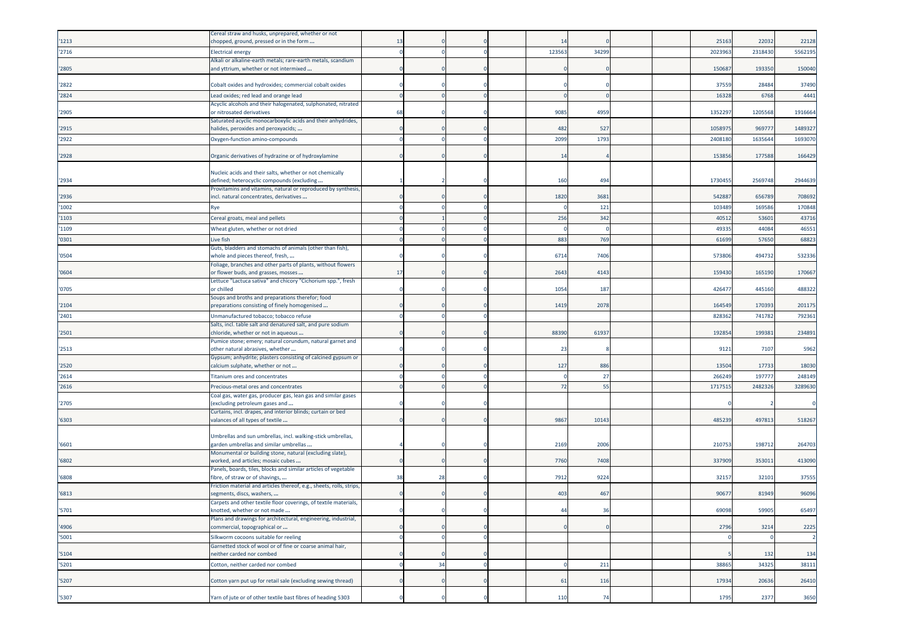|       | Cereal straw and husks, unprepared, whether or not                                                    |          |    |  |       |       |  |         |         |         |
|-------|-------------------------------------------------------------------------------------------------------|----------|----|--|-------|-------|--|---------|---------|---------|
| '1213 | chopped, ground, pressed or in the form                                                               | 13       |    |  | 14    |       |  | 25163   | 22032   | 22128   |
| '2716 | <b>Electrical energy</b>                                                                              | $\Omega$ |    |  | 12356 | 34299 |  | 202396  | 2318430 | 5562195 |
|       | Alkali or alkaline-earth metals; rare-earth metals, scandium                                          |          |    |  |       |       |  |         |         |         |
| '2805 | and yttrium, whether or not intermixed                                                                |          |    |  |       |       |  | 15068   | 193350  | 150040  |
|       |                                                                                                       |          |    |  |       |       |  |         |         |         |
| '2822 | Cobalt oxides and hydroxides; commercial cobalt oxides                                                |          |    |  |       |       |  | 3755    | 28484   | 37490   |
| '2824 | Lead oxides; red lead and orange lead                                                                 |          |    |  |       |       |  | 1632    | 6768    | 4441    |
|       | Acyclic alcohols and their halogenated, sulphonated, nitrated                                         |          |    |  |       |       |  |         |         |         |
| '2905 | or nitrosated derivatives<br>Saturated acyclic monocarboxylic acids and their anhydrides,             | 68       |    |  | 9085  | 4959  |  | 135229  | 1205568 | 1916664 |
| '2915 | nalides, peroxides and peroxyacids;                                                                   |          |    |  | 482   | 527   |  | 105897  | 96977   | 1489327 |
| '2922 | Oxygen-function amino-compounds                                                                       |          |    |  | 2099  | 1793  |  | 2408180 | 163564  | 1693070 |
|       |                                                                                                       |          |    |  |       |       |  |         |         |         |
| '2928 | Organic derivatives of hydrazine or of hydroxylamine                                                  |          |    |  | 14    |       |  | 15385   | 177588  | 166429  |
|       |                                                                                                       |          |    |  |       |       |  |         |         |         |
|       | Nucleic acids and their salts, whether or not chemically                                              |          |    |  |       |       |  |         |         |         |
| '2934 | defined; heterocyclic compounds (excluding                                                            |          |    |  | 160   | 494   |  | 1730455 | 2569748 | 2944639 |
|       | Provitamins and vitamins, natural or reproduced by synthesis,                                         |          |    |  |       |       |  |         |         |         |
| '2936 | incl. natural concentrates, derivatives                                                               |          |    |  | 1820  | 3681  |  | 54288   | 656789  | 708692  |
| '1002 | Rye                                                                                                   |          |    |  |       | 121   |  | 10348   | 16958   | 170848  |
| '1103 | Cereal groats, meal and pellets                                                                       |          |    |  | 256   | 342   |  | 40512   | 5360    | 43716   |
| '1109 | Wheat gluten, whether or not dried                                                                    |          |    |  |       |       |  | 49335   | 44084   | 46551   |
| '0301 | Live fish                                                                                             |          |    |  | 883   | 769   |  | 61699   | 57650   | 68823   |
|       | Guts, bladders and stomachs of animals (other than fish),                                             |          |    |  |       |       |  |         |         |         |
| '0504 | whole and pieces thereof, fresh,                                                                      |          |    |  | 6714  | 7406  |  | 57380   | 494732  | 532336  |
|       | Foliage, branches and other parts of plants, without flowers                                          |          |    |  |       |       |  |         |         |         |
| '0604 | or flower buds, and grasses, mosses                                                                   | 17       |    |  | 2643  | 4143  |  | 159430  | 165190  | 170667  |
| '0705 | Lettuce "Lactuca sativa" and chicory "Cichorium spp.", fresh<br>or chilled                            |          |    |  | 1054  | 187   |  | 42647   | 445160  | 488322  |
|       | Soups and broths and preparations therefor; food                                                      |          |    |  |       |       |  |         |         |         |
| '2104 | oreparations consisting of finely homogenised                                                         |          |    |  | 1419  | 2078  |  | 164549  | 170393  | 201175  |
| '2401 | Unmanufactured tobacco; tobacco refuse                                                                |          |    |  |       |       |  | 82836   | 741782  | 792361  |
|       | Salts, incl. table salt and denatured salt, and pure sodium                                           |          |    |  |       |       |  |         |         |         |
| '2501 | chloride, whether or not in aqueous                                                                   |          |    |  | 88390 | 61937 |  | 192854  | 199381  | 234891  |
|       | Pumice stone; emery; natural corundum, natural garnet and                                             |          |    |  |       |       |  |         |         |         |
| '2513 | other natural abrasives, whether                                                                      |          |    |  | 23    |       |  | 9121    | 7107    | 5962    |
|       | Gypsum; anhydrite; plasters consisting of calcined gypsum or                                          |          |    |  |       | 886   |  | 13504   | 1773    |         |
| '2520 | calcium sulphate, whether or not                                                                      |          |    |  | 127   |       |  |         |         | 18030   |
| '2614 | Titanium ores and concentrates                                                                        |          |    |  |       | 27    |  | 26624   | 19777   | 248149  |
| '2616 | Precious-metal ores and concentrates                                                                  |          |    |  | 72    | 55    |  | 171751  | 2482326 | 3289630 |
| '2705 | Coal gas, water gas, producer gas, lean gas and similar gases                                         |          |    |  |       |       |  |         |         |         |
|       | excluding petroleum gases and<br>Curtains, incl. drapes, and interior blinds; curtain or bed          |          |    |  |       |       |  |         |         |         |
| '6303 | valances of all types of textile                                                                      |          |    |  | 9867  | 10143 |  | 485239  | 497813  | 518267  |
|       |                                                                                                       |          |    |  |       |       |  |         |         |         |
|       | Umbrellas and sun umbrellas, incl. walking-stick umbrellas,                                           |          |    |  |       |       |  |         |         |         |
| '6601 | garden umbrellas and similar umbrellas                                                                |          |    |  | 2169  | 2006  |  | 21075   | 198712  | 264703  |
| '6802 | Monumental or building stone, natural (excluding slate),                                              |          |    |  | 7760  | 7408  |  | 337909  | 35301   | 413090  |
|       | worked, and articles; mosaic cubes<br>Panels, boards, tiles, blocks and similar articles of vegetable |          |    |  |       |       |  |         |         |         |
| '6808 | fibre, of straw or of shavings,                                                                       | 38       | 28 |  | 791   | 922   |  | 3215    | 32101   | 37555   |
|       | Friction material and articles thereof, e.g., sheets, rolls, strips,                                  |          |    |  |       |       |  |         |         |         |
| '6813 | segments, discs, washers,                                                                             |          |    |  | 403   | 467   |  | 9067    | 81949   | 96096   |
|       | Carpets and other textile floor coverings, of textile materials,                                      |          |    |  |       |       |  |         |         |         |
| '5701 | knotted, whether or not made                                                                          |          |    |  | 44    | 36    |  | 69098   | 59905   | 65497   |
| '4906 | Plans and drawings for architectural, engineering, industrial,<br>commercial, topographical or        |          |    |  |       |       |  | 2796    | 3214    | 2225    |
|       |                                                                                                       |          |    |  |       |       |  |         |         |         |
| '5001 | Silkworm cocoons suitable for reeling<br>Garnetted stock of wool or of fine or coarse animal hair,    | $\Omega$ |    |  |       |       |  |         |         |         |
| '5104 | neither carded nor combed                                                                             |          |    |  |       |       |  |         | 132     | 134     |
| '5201 | Cotton, neither carded nor combed                                                                     |          | 34 |  |       | 211   |  | 38865   | 34325   | 38111   |
|       |                                                                                                       |          |    |  |       |       |  |         |         |         |
| '5207 | Cotton yarn put up for retail sale (excluding sewing thread)                                          |          |    |  | 61    | 116   |  | 17934   | 20636   | 26410   |
|       |                                                                                                       |          |    |  |       |       |  |         |         |         |
| '5307 | Yarn of jute or of other textile bast fibres of heading 5303                                          |          |    |  | 110   | 74    |  | 1795    | 2377    | 3650    |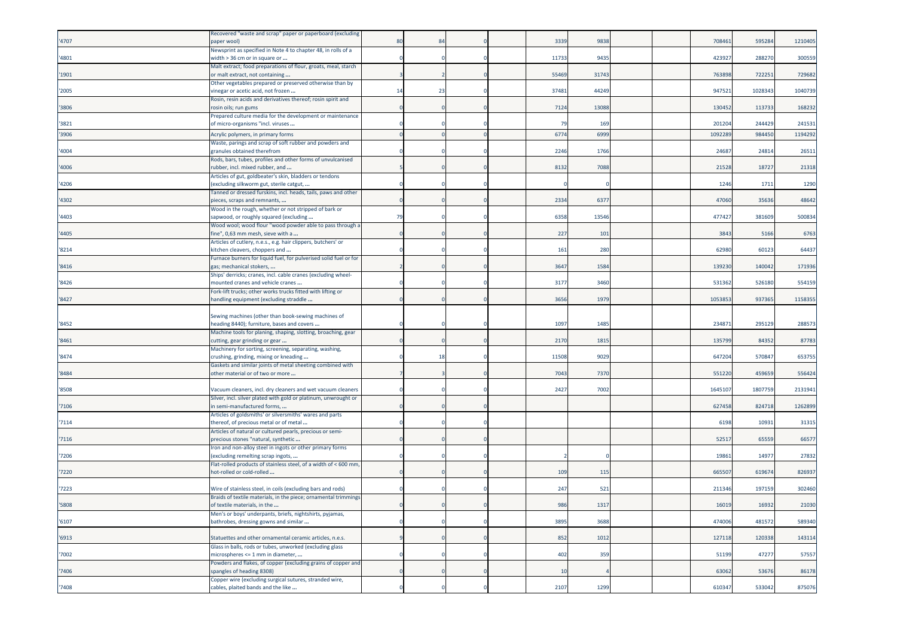| '4707 | Recovered "waste and scrap" paper or paperboard (excluding<br>aper wool)                                                       | 80       | 8  |  | 3339  | 9838  |  | 70846  | 59528   | 1210405 |
|-------|--------------------------------------------------------------------------------------------------------------------------------|----------|----|--|-------|-------|--|--------|---------|---------|
| '4801 | Newsprint as specified in Note 4 to chapter 48, in rolls of a<br>width > 36 cm or in square or                                 |          |    |  | 11733 | 9435  |  | 42392  | 288270  | 300559  |
| '1901 | Malt extract; food preparations of flour, groats, meal, starch<br>or malt extract, not containing                              |          |    |  | 55469 | 31743 |  | 76389  | 722251  | 729682  |
|       | Other vegetables prepared or preserved otherwise than by                                                                       |          |    |  |       |       |  |        |         |         |
| '2005 | vinegar or acetic acid, not frozen<br>Rosin, resin acids and derivatives thereof; rosin spirit and                             | 14       | 23 |  | 37481 | 44249 |  | 94752  | 1028343 | 1040739 |
| '3806 | rosin oils; run gums                                                                                                           |          |    |  | 7124  | 13088 |  | 130452 | 113733  | 168232  |
| '3821 | Prepared culture media for the development or maintenance<br>of micro-organisms "incl. viruses                                 |          |    |  | 79    | 169   |  | 20120  | 244429  | 241531  |
| '3906 | Acrylic polymers, in primary forms                                                                                             |          |    |  | 6774  | 6999  |  | 109228 | 98445   | 1194292 |
| '4004 | Waste, parings and scrap of soft rubber and powders and<br>tranules obtained therefrom                                         |          |    |  | 2246  | 1766  |  | 2468   | 24814   | 26511   |
|       | Rods, bars, tubes, profiles and other forms of unvulcanised                                                                    |          |    |  |       |       |  |        |         |         |
| '4006 | rubber, incl. mixed rubber, and<br>Articles of gut, goldbeater's skin, bladders or tendons                                     |          |    |  | 8132  | 7088  |  | 21528  | 18727   | 21318   |
| '4206 | excluding silkworm gut, sterile catgut,                                                                                        |          |    |  |       |       |  | 1246   | 1711    | 1290    |
| '4302 | Tanned or dressed furskins, incl. heads, tails, paws and other<br>pieces, scraps and remnants,                                 |          |    |  | 2334  | 6377  |  | 47060  | 35636   | 48642   |
|       | Wood in the rough, whether or not stripped of bark or                                                                          |          |    |  |       |       |  |        |         |         |
| '4403 | sapwood, or roughly squared (excluding<br>Wood wool; wood flour "wood powder able to pass through a                            | 79       |    |  | 6358  | 13546 |  | 47742  | 381609  | 500834  |
| '4405 | ine", 0,63 mm mesh, sieve with a                                                                                               |          |    |  | 227   | 101   |  | 3843   | 5166    | 6763    |
| '8214 | Articles of cutlery, n.e.s., e.g. hair clippers, butchers' or<br>kitchen cleavers, choppers and                                |          |    |  | 161   | 280   |  | 6298   | 60123   | 64437   |
|       | Furnace burners for liquid fuel, for pulverised solid fuel or for                                                              |          |    |  |       |       |  |        |         |         |
| '8416 | gas; mechanical stokers,<br>Ships' derricks; cranes, incl. cable cranes (excluding wheel-                                      |          |    |  | 3647  | 1584  |  | 139230 | 140042  | 171936  |
| '8426 | mounted cranes and vehicle cranes                                                                                              |          |    |  | 3177  | 3460  |  | 53136  | 526180  | 554159  |
| '8427 | Fork-lift trucks; other works trucks fitted with lifting or<br>andling equipment (excluding straddle                           |          |    |  | 3656  | 1979  |  | 105385 | 937365  | 1158355 |
|       | Sewing machines (other than book-sewing machines of                                                                            |          |    |  |       |       |  |        |         |         |
| '8452 | neading 8440); furniture, bases and covers<br>Machine tools for planing, shaping, slotting, broaching, gear                    |          |    |  | 1097  | 1485  |  | 23487  | 29512   | 288573  |
| '8461 | cutting, gear grinding or gear                                                                                                 |          |    |  | 2170  | 1815  |  | 135799 | 84352   | 87783   |
| '8474 | Machinery for sorting, screening, separating, washing,<br>crushing, grinding, mixing or kneading                               |          | 18 |  | 11508 | 9029  |  | 64720  | 570847  | 653755  |
| '8484 | Gaskets and similar joints of metal sheeting combined with<br>other material or of two or more                                 |          |    |  | 7043  | 7370  |  | 551220 | 45965   | 556424  |
|       |                                                                                                                                |          |    |  |       |       |  |        |         |         |
| '8508 | Vacuum cleaners, incl. dry cleaners and wet vacuum cleaners<br>Silver, incl. silver plated with gold or platinum, unwrought or |          |    |  | 2427  | 7002  |  | 164510 | 180775  | 2131941 |
| '7106 | n semi-manufactured forms,                                                                                                     |          |    |  |       |       |  | 627458 | 824718  | 1262899 |
| '7114 | Articles of goldsmiths' or silversmiths' wares and parts<br>thereof, of precious metal or of metal                             |          |    |  |       |       |  | 6198   | 10931   | 31315   |
| '7116 | Articles of natural or cultured pearls, precious or semi-<br>precious stones "natural, synthetic                               |          |    |  |       |       |  | 5251   | 65559   | 66577   |
| '7206 | Iron and non-alloy steel in ingots or other primary forms<br>(excluding remelting scrap ingots,                                |          |    |  |       |       |  | 19861  | 14977   | 27832   |
|       | Flat-rolled products of stainless steel, of a width of < 600 mm,                                                               |          |    |  |       |       |  |        |         |         |
| '7220 | not-rolled or cold-rolled                                                                                                      |          |    |  | 109   | 115   |  | 66550  | 61967   | 826937  |
| '7223 | Wire of stainless steel, in coils (excluding bars and rods)<br>Braids of textile materials, in the piece; ornamental trimmings |          |    |  | 247   | 521   |  | 21134  | 19715   | 302460  |
| '5808 | of textile materials, in the                                                                                                   | $\Omega$ |    |  | 986   | 1317  |  | 16019  | 16932   | 21030   |
| '6107 | Men's or boys' underpants, briefs, nightshirts, pyjamas,<br>bathrobes, dressing gowns and similar                              |          |    |  | 3895  | 3688  |  | 474006 | 481572  | 589340  |
| '6913 | Statuettes and other ornamental ceramic articles, n.e.s.                                                                       |          |    |  | 852   | 1012  |  | 127118 | 120338  | 143114  |
| '7002 | Glass in balls, rods or tubes, unworked (excluding glass<br>microspheres <= 1 mm in diameter,                                  |          |    |  | 402   | 359   |  | 51199  | 47277   | 57557   |
|       | Powders and flakes, of copper (excluding grains of copper and                                                                  |          |    |  |       |       |  |        |         |         |
| '7406 | spangles of heading 8308)<br>Copper wire (excluding surgical sutures, stranded wire,                                           |          |    |  | 10    |       |  | 63062  | 53676   | 86178   |
| '7408 | cables, plaited bands and the like                                                                                             |          |    |  | 2107  | 1299  |  | 610347 | 533042  | 875076  |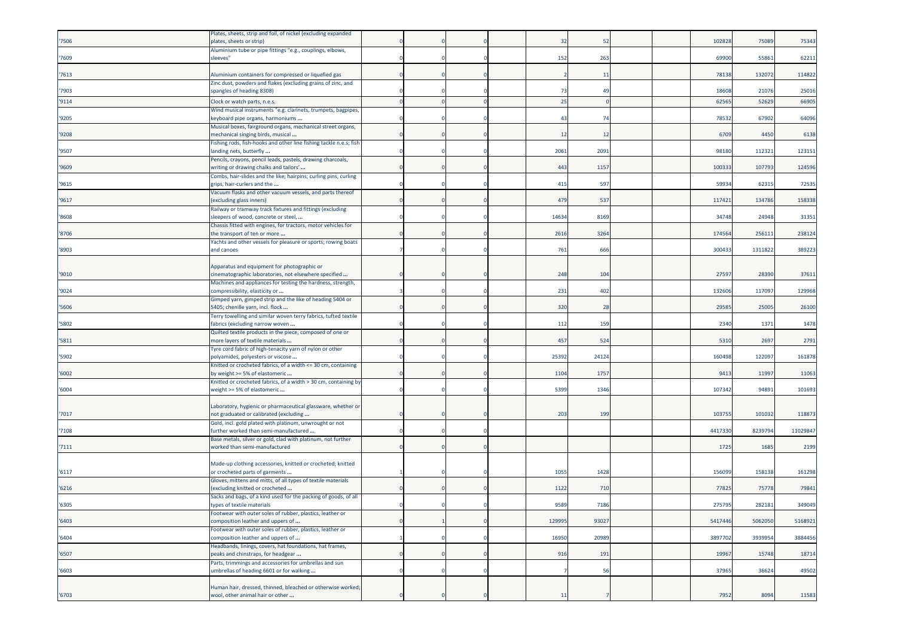|       | Plates, sheets, strip and foil, of nickel (excluding expanded                                      |  |  |        |                |  |         |         |          |
|-------|----------------------------------------------------------------------------------------------------|--|--|--------|----------------|--|---------|---------|----------|
| '7506 | plates, sheets or strip)                                                                           |  |  | 32     | 52             |  | 102828  | 75089   | 75343    |
|       | Aluminium tube or pipe fittings "e.g., couplings, elbows,                                          |  |  |        |                |  |         |         |          |
| '7609 | sleeves"                                                                                           |  |  | 152    | 263            |  | 69900   | 55861   | 62211    |
| '7613 | Aluminium containers for compressed or liquefied gas                                               |  |  |        | 11             |  | 78138   | 132072  | 114822   |
| '7903 | Zinc dust, powders and flakes (excluding grains of zinc, and<br>spangles of heading 8308)          |  |  | 73     | 4 <sup>c</sup> |  | 18608   | 21076   | 25016    |
| '9114 | Clock or watch parts, n.e.s.                                                                       |  |  | 25     |                |  | 6256    | 52629   | 66905    |
|       | Wind musical instruments "e.g. clarinets, trumpets, bagpipes,                                      |  |  |        |                |  |         |         |          |
| '9205 | «eyboard pipe organs, harmoniums                                                                   |  |  | 43     | 74             |  | 78532   | 67902   | 64096    |
| '9208 | Musical boxes, fairground organs, mechanical street organs,<br>mechanical singing birds, musical   |  |  | 12     | 12             |  | 6709    | 4450    | 6138     |
| '9507 | Fishing rods, fish-hooks and other line fishing tackle n.e.s; fish<br>landing nets, butterfly      |  |  | 2061   | 2091           |  | 98180   | 112321  | 123151   |
|       | Pencils, crayons, pencil leads, pastels, drawing charcoals,                                        |  |  |        |                |  |         |         |          |
| '9609 | writing or drawing chalks and tailors'                                                             |  |  | 443    | 1157           |  | 100333  | 107793  | 124596   |
| '9615 | Combs, hair-slides and the like; hairpins; curling pins, curling<br>grips, hair-curlers and the    |  |  | 415    | 597            |  | 5993    | 62315   | 72535    |
|       | Vacuum flasks and other vacuum vessels, and parts thereof                                          |  |  |        |                |  |         |         |          |
| '9617 | excluding glass inners)<br>Railway or tramway track fixtures and fittings (excluding               |  |  | 479    | 537            |  | 117421  | 134786  | 158338   |
| '8608 | sleepers of wood, concrete or steel,                                                               |  |  | 14634  | 8169           |  | 34748   | 24948   | 31351    |
|       | Chassis fitted with engines, for tractors, motor vehicles for                                      |  |  |        |                |  |         |         |          |
| '8706 | the transport of ten or more                                                                       |  |  | 2616   | 3264           |  | 17456   | 25611   | 238124   |
| '8903 | Yachts and other vessels for pleasure or sports; rowing boats<br>and canoes                        |  |  | 761    | 666            |  | 300433  | 1311822 | 389223   |
|       |                                                                                                    |  |  |        |                |  |         |         |          |
|       | Apparatus and equipment for photographic or                                                        |  |  |        |                |  |         |         |          |
| '9010 | cinematographic laboratories, not elsewhere specified                                              |  |  | 248    | 104            |  | 2759    | 2839    | 37611    |
|       | Machines and appliances for testing the hardness, strength,                                        |  |  |        |                |  | 13260   |         |          |
| '9024 | compressibility, elasticity or<br>Gimped yarn, gimped strip and the like of heading 5404 or        |  |  | 231    | 402            |  |         | 117097  | 129968   |
| '5606 | 5405; chenille yarn, incl. flock                                                                   |  |  | 320    | 28             |  | 2958    | 25005   | 26100    |
|       | Ferry towelling and similar woven terry fabrics, tufted textile                                    |  |  |        |                |  |         |         |          |
| '5802 | fabrics (excluding narrow woven                                                                    |  |  | 112    | 159            |  | 2340    | 1371    | 1478     |
| '5811 | Quilted textile products in the piece, composed of one or                                          |  |  | 457    | 524            |  | 5310    | 2697    | 2791     |
|       | more layers of textile materials<br>Tyre cord fabric of high-tenacity yarn of nylon or other       |  |  |        |                |  |         |         |          |
| '5902 | polyamides, polyesters or viscose                                                                  |  |  | 25392  | 24124          |  | 160498  | 122097  | 161878   |
|       | Knitted or crocheted fabrics, of a width <= 30 cm, containing                                      |  |  |        |                |  |         |         |          |
| '6002 | by weight >= 5% of elastomeric                                                                     |  |  | 1104   | 1757           |  | 9413    | 11997   | 11063    |
| '6004 | Knitted or crocheted fabrics, of a width > 30 cm, containing by<br>weight >= 5% of elastomeric     |  |  | 5399   | 1346           |  | 10734   | 94891   | 101693   |
|       |                                                                                                    |  |  |        |                |  |         |         |          |
|       | Laboratory, hygienic or pharmaceutical glassware, whether or                                       |  |  |        |                |  |         |         |          |
| '7017 | not graduated or calibrated (excluding                                                             |  |  | 203    | 199            |  | 10375   | 10103   | 118873   |
| '7108 | Gold, incl. gold plated with platinum, unwrought or not<br>further worked than semi-manufactured   |  |  |        |                |  | 4417330 | 823979  | 11029847 |
|       | Base metals, silver or gold, clad with platinum, not further                                       |  |  |        |                |  |         |         |          |
| '7111 | worked than semi-manufactured                                                                      |  |  |        |                |  | 1725    | 1685    | 2199     |
|       |                                                                                                    |  |  |        |                |  |         |         |          |
|       | Made-up clothing accessories, knitted or crocheted; knitted                                        |  |  |        |                |  |         |         |          |
| '6117 | or crocheted parts of garments<br>Gloves, mittens and mitts, of all types of textile materials     |  |  | 1055   | 1428           |  | 15609   | 158138  | 161298   |
| '6216 | excluding knitted or crocheted                                                                     |  |  | 1122   | 710            |  | 7782    | 7577    | 79841    |
|       | Sacks and bags, of a kind used for the packing of goods, of all                                    |  |  |        |                |  |         |         |          |
| '6305 | types of textile materials                                                                         |  |  | 9589   | 7186           |  | 275795  | 282181  | 349049   |
| '6403 | Footwear with outer soles of rubber, plastics, leather or<br>composition leather and uppers of     |  |  | 129995 | 93027          |  | 5417446 | 5062050 | 5168921  |
|       | Footwear with outer soles of rubber, plastics, leather or                                          |  |  |        |                |  |         |         |          |
| '6404 | composition leather and uppers of                                                                  |  |  | 16950  | 20989          |  | 3897702 | 3939954 | 3884456  |
|       | Headbands, linings, covers, hat foundations, hat frames,                                           |  |  |        |                |  |         |         |          |
| '6507 | peaks and chinstraps, for headgear                                                                 |  |  | 916    | 191            |  | 19967   | 15748   | 18714    |
| '6603 | Parts, trimmings and accessories for umbrellas and sun<br>umbrellas of heading 6601 or for walking |  |  |        | 56             |  | 37965   | 36624   | 49502    |
|       |                                                                                                    |  |  |        |                |  |         |         |          |
|       | Human hair, dressed, thinned, bleached or otherwise worked;                                        |  |  |        |                |  |         |         |          |
| '6703 | wool, other animal hair or other                                                                   |  |  | 11     |                |  | 7952    | 8094    | 11583    |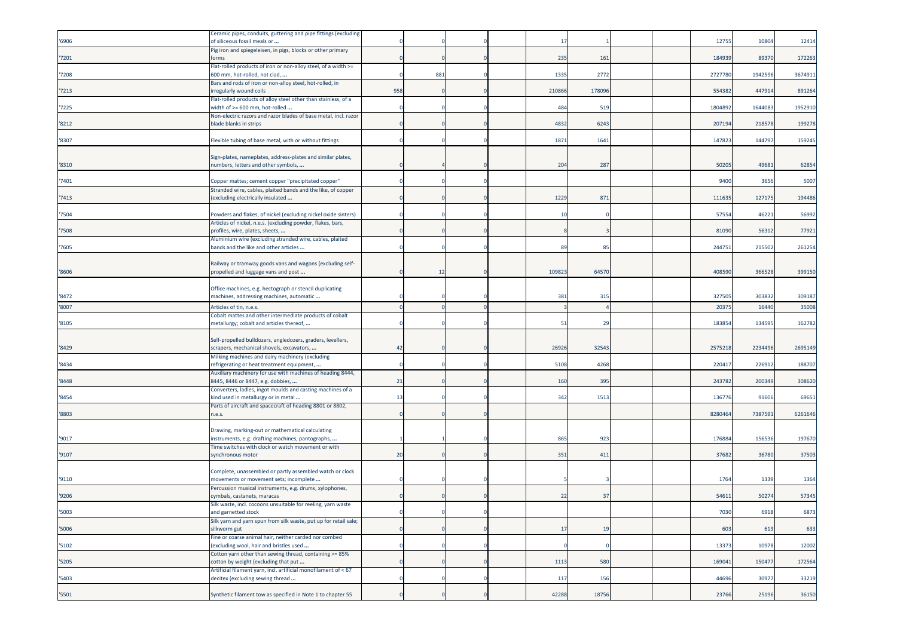| '6906 | Ceramic pipes, conduits, guttering and pipe fittings (excluding<br>of siliceous fossil meals or                               |     |     |  | 17     |        |  | 12755   | 10804   | 12414   |
|-------|-------------------------------------------------------------------------------------------------------------------------------|-----|-----|--|--------|--------|--|---------|---------|---------|
| '7201 | Pig iron and spiegeleisen, in pigs, blocks or other primary<br>forms                                                          |     |     |  | 235    | 161    |  | 18493   | 89370   | 172263  |
|       | Flat-rolled products of iron or non-alloy steel, of a width >=                                                                |     |     |  |        |        |  |         |         |         |
| '7208 | 600 mm, hot-rolled, not clad,<br>Bars and rods of iron or non-alloy steel, hot-rolled, in                                     |     | 881 |  | 1335   | 2772   |  | 2727780 | 1942596 | 3674911 |
| '7213 | irregularly wound coils                                                                                                       | 958 |     |  | 210866 | 178096 |  | 554382  | 447914  | 891264  |
| '7225 | Flat-rolled products of alloy steel other than stainless, of a<br>width of >= 600 mm, hot-rolled                              |     |     |  | 484    | 519    |  | 180489  | 1644083 | 1952910 |
| '8212 | Non-electric razors and razor blades of base metal, incl. razor<br>blade blanks in strips                                     |     |     |  | 4832   | 6243   |  | 20719   | 21857   | 199278  |
| '8307 | Flexible tubing of base metal, with or without fittings                                                                       |     |     |  | 1871   | 1641   |  | 14782   | 144797  | 159245  |
|       | Sign-plates, nameplates, address-plates and similar plates,                                                                   |     |     |  |        |        |  |         |         |         |
| '8310 | numbers, letters and other symbols,                                                                                           |     |     |  | 204    | 287    |  | 50205   | 49681   | 62854   |
| '7401 | Copper mattes; cement copper "precipitated copper"                                                                            |     |     |  |        |        |  | 9400    | 3656    | 5007    |
| '7413 | Stranded wire, cables, plaited bands and the like, of copper<br>excluding electrically insulated                              |     |     |  | 1229   | 871    |  | 11163   | 12717   | 194486  |
|       |                                                                                                                               |     |     |  |        |        |  |         |         |         |
| '7504 | Powders and flakes, of nickel (excluding nickel oxide sinters)<br>Articles of nickel, n.e.s. (excluding powder, flakes, bars, |     |     |  | 10     |        |  | 5755    | 46221   | 56992   |
| '7508 | profiles, wire, plates, sheets,                                                                                               |     |     |  |        |        |  | 81090   | 56312   | 77921   |
| '7605 | Aluminium wire (excluding stranded wire, cables, plaited<br>bands and the like and other articles                             |     |     |  | 89     | 85     |  | 244751  | 215502  | 261254  |
|       |                                                                                                                               |     |     |  |        |        |  |         |         |         |
| '8606 | Railway or tramway goods vans and wagons (excluding self-<br>propelled and luggage vans and post                              |     | 12  |  | 109823 | 64570  |  | 408590  | 366528  | 399150  |
|       | Office machines, e.g. hectograph or stencil duplicating                                                                       |     |     |  |        |        |  |         |         |         |
| '8472 | machines, addressing machines, automatic                                                                                      |     |     |  | 381    | 315    |  | 32750   | 303832  | 309187  |
| '8007 | Articles of tin, n.e.s.                                                                                                       |     |     |  |        |        |  | 2037    | 16440   | 35008   |
| '8105 | Cobalt mattes and other intermediate products of cobalt<br>metallurgy; cobalt and articles thereof,                           |     |     |  | 51     | 29     |  | 18385   | 134595  | 162782  |
|       | Self-propelled bulldozers, angledozers, graders, levellers,                                                                   |     |     |  |        |        |  |         |         |         |
| '8429 | scrapers, mechanical shovels, excavators,                                                                                     | 42  |     |  | 26926  | 32543  |  | 2575218 | 2234496 | 2695149 |
| '8434 | Milking machines and dairy machinery (excluding<br>refrigerating or heat treatment equipment,                                 |     |     |  | 5108   | 4268   |  | 22041   | 226912  | 188707  |
| '8448 | Auxiliary machinery for use with machines of heading 8444,<br>8445, 8446 or 8447, e.g. dobbies,                               | 21  |     |  | 160    | 395    |  | 243782  | 200349  | 308620  |
| '8454 | Converters, ladles, ingot moulds and casting machines of a                                                                    | 13  |     |  | 342    | 1513   |  | 13677   | 91606   | 69651   |
|       | kind used in metallurgy or in metal<br>Parts of aircraft and spacecraft of heading 8801 or 8802,                              |     |     |  |        |        |  |         |         |         |
| '8803 | n.e.s.                                                                                                                        |     |     |  |        |        |  | 828046  | 738759  | 6261646 |
|       | Drawing, marking-out or mathematical calculating                                                                              |     |     |  |        |        |  |         |         |         |
| '9017 | instruments, e.g. drafting machines, pantographs,<br>Time switches with clock or watch movement or with                       |     |     |  | 865    | 923    |  | 176884  | 156536  | 197670  |
| '9107 | synchronous motor                                                                                                             | 20  |     |  | 351    | 411    |  | 37682   | 36780   | 37503   |
|       | Complete, unassembled or partly assembled watch or clock                                                                      |     |     |  |        |        |  |         |         |         |
| '9110 | movements or movement sets; incomplete<br>Percussion musical instruments, e.g. drums, xylophones,                             |     |     |  |        |        |  | 1764    | 1339    | 1364    |
| '9206 | cymbals, castanets, maracas                                                                                                   |     |     |  | 22     | 37     |  | 54611   | 50274   | 57345   |
| '5003 | Silk waste, incl. cocoons unsuitable for reeling, yarn waste<br>and garnetted stock                                           |     |     |  |        |        |  | 7030    | 6918    | 6873    |
| '5006 | Silk yarn and yarn spun from silk waste, put up for retail sale;<br>silkworm gut                                              |     |     |  | 17     | 19     |  | 603     | 613     | 633     |
| '5102 | Fine or coarse animal hair, neither carded nor combed<br>excluding wool, hair and bristles used                               |     |     |  |        |        |  | 13373   | 10978   | 12002   |
|       | Cotton yarn other than sewing thread, containing >= 85%<br>cotton by weight (excluding that put                               |     |     |  | 1113   | 580    |  | 169041  | 150477  | 172564  |
| '5205 | Artificial filament yarn, incl. artificial monofilament of < 67                                                               |     |     |  |        |        |  |         |         |         |
| '5403 | decitex (excluding sewing thread                                                                                              |     |     |  | 117    | 156    |  | 44696   | 30977   | 33219   |
| '5501 | Synthetic filament tow as specified in Note 1 to chapter 55                                                                   |     |     |  | 42288  | 18756  |  | 23766   | 25196   | 36150   |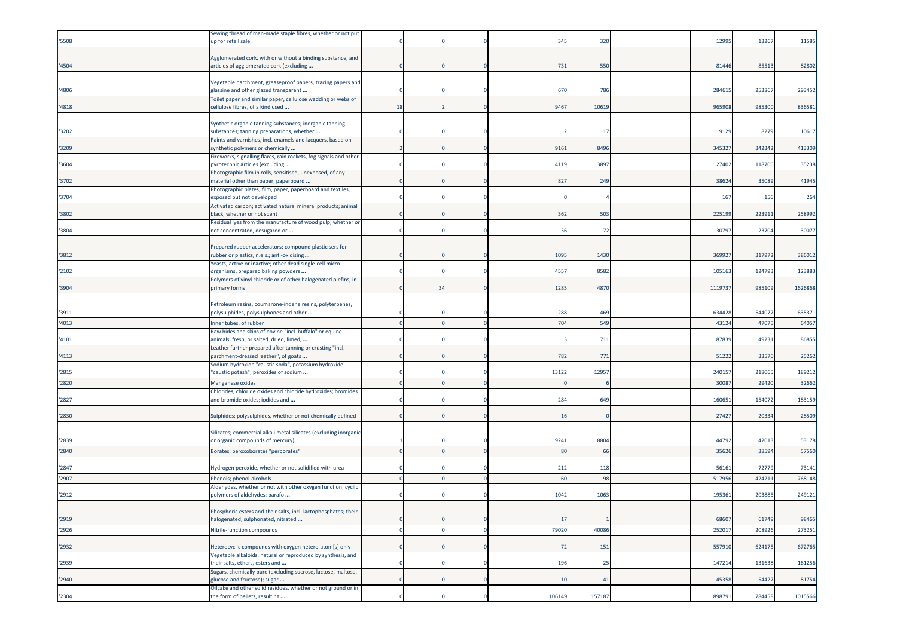|       | Sewing thread of man-made staple fibres, whether or not put       |    |    |  |        |        |  |        |        |         |
|-------|-------------------------------------------------------------------|----|----|--|--------|--------|--|--------|--------|---------|
| '5508 | up for retail sale                                                |    |    |  | 345    | 320    |  | 12995  | 13267  | 11585   |
|       |                                                                   |    |    |  |        |        |  |        |        |         |
|       | Agglomerated cork, with or without a binding substance, and       |    |    |  |        |        |  |        |        |         |
| '4504 | articles of agglomerated cork (excluding                          |    |    |  | 731    | 550    |  | 81446  | 8551   | 82802   |
|       |                                                                   |    |    |  |        |        |  |        |        |         |
|       | Vegetable parchment, greaseproof papers, tracing papers and       |    |    |  |        |        |  |        |        |         |
| '4806 | glassine and other glazed transparent                             |    |    |  | 670    | 786    |  | 28461  | 25386  | 293452  |
|       | Foilet paper and similar paper, cellulose wadding or webs of      |    |    |  |        |        |  |        |        |         |
| '4818 | cellulose fibres, of a kind used                                  | 18 |    |  | 9467   | 10619  |  | 965908 | 985300 | 836581  |
|       |                                                                   |    |    |  |        |        |  |        |        |         |
|       | Synthetic organic tanning substances; inorganic tanning           |    |    |  |        |        |  |        |        |         |
| '3202 | substances; tanning preparations, whether                         |    |    |  |        | -17    |  | 9129   | 8279   | 10617   |
|       | Paints and varnishes, incl. enamels and lacquers, based on        |    |    |  |        |        |  |        |        |         |
| '3209 | synthetic polymers or chemically                                  |    |    |  | 9161   | 8496   |  | 34532  | 342342 | 413309  |
|       | Fireworks, signalling flares, rain rockets, fog signals and other |    |    |  |        |        |  |        |        |         |
| '3604 | pyrotechnic articles (excluding                                   |    |    |  | 4119   | 3897   |  | 127402 | 118706 | 35238   |
|       | Photographic film in rolls, sensitised, unexposed, of any         |    |    |  |        |        |  |        |        |         |
| '3702 | material other than paper, paperboard                             |    |    |  | 827    | 249    |  | 38624  | 35089  | 41945   |
|       | Photographic plates, film, paper, paperboard and textiles,        |    |    |  |        |        |  |        |        |         |
| '3704 | exposed but not developed                                         |    |    |  |        |        |  | 167    | 156    | 264     |
|       | Activated carbon; activated natural mineral products; animal      |    |    |  |        |        |  |        |        |         |
| '3802 | black, whether or not spent                                       |    |    |  | 362    | 503    |  | 225199 | 223911 | 258992  |
|       | Residual lyes from the manufacture of wood pulp, whether or       |    |    |  |        |        |  |        |        |         |
| '3804 | not concentrated, desugared or                                    |    |    |  | 36     | 72     |  | 3079   | 23704  | 30077   |
|       |                                                                   |    |    |  |        |        |  |        |        |         |
|       | Prepared rubber accelerators; compound plasticisers for           |    |    |  |        |        |  |        |        |         |
| '3812 | rubber or plastics, n.e.s.; anti-oxidising                        |    |    |  | 1095   | 1430   |  | 36992  | 31797  | 386012  |
|       | reasts, active or inactive; other dead single-cell micro-         |    |    |  |        |        |  |        |        |         |
| '2102 | organisms, prepared baking powders                                |    |    |  | 4557   | 8582   |  | 10516  | 124793 | 123883  |
|       | Polymers of vinyl chloride or of other halogenated olefins, in    |    |    |  |        |        |  |        |        |         |
| '3904 | primary forms                                                     |    | 34 |  | 1285   | 4870   |  | 111973 | 985109 | 1626868 |
|       |                                                                   |    |    |  |        |        |  |        |        |         |
|       | Petroleum resins, coumarone-indene resins, polyterpenes,          |    |    |  |        |        |  |        |        |         |
| '3911 | polysulphides, polysulphones and other                            |    |    |  | 288    | 469    |  | 63442  | 54407  | 635371  |
|       |                                                                   |    |    |  |        | 549    |  |        |        |         |
| '4013 | nner tubes, of rubber                                             |    |    |  | 704    |        |  | 43124  | 47075  | 64057   |
|       | Raw hides and skins of bovine "incl. buffalo" or equine           |    |    |  |        |        |  |        |        |         |
| '4101 | animals, fresh, or salted, dried, limed,                          |    |    |  |        | 711    |  | 87839  | 49231  | 86855   |
|       | Leather further prepared after tanning or crusting "incl.         |    |    |  |        |        |  |        |        |         |
| '4113 | parchment-dressed leather", of goats                              |    |    |  | 782    | 771    |  | 5122   | 33570  | 25262   |
|       | Sodium hydroxide "caustic soda", potassium hydroxide              |    |    |  |        |        |  |        |        |         |
| '2815 | "caustic potash"; peroxides of sodium                             |    |    |  | 13122  | 12957  |  | 24015  | 218065 | 189212  |
| '2820 | Manganese oxides                                                  |    |    |  |        |        |  | 3008   | 29420  | 32662   |
|       | Chlorides, chloride oxides and chloride hydroxides; bromides      |    |    |  |        |        |  |        |        |         |
| '2827 | and bromide oxides; iodides and                                   |    |    |  | 284    | 649    |  | 16065  | 15407  | 183159  |
|       |                                                                   |    |    |  |        |        |  |        |        |         |
| '2830 | Sulphides; polysulphides, whether or not chemically defined       |    |    |  | 16     |        |  | 27427  | 20334  | 28509   |
|       |                                                                   |    |    |  |        |        |  |        |        |         |
|       | Silicates; commercial alkali metal silicates (excluding inorganic |    |    |  |        |        |  |        |        |         |
| '2839 | or organic compounds of mercury)                                  |    |    |  | 9241   | 8804   |  | 44792  | 42013  | 53178   |
| '2840 | Borates; peroxoborates "perborates"                               |    |    |  | 80     | 66     |  | 35626  | 3859   | 57560   |
|       |                                                                   |    |    |  |        |        |  |        |        |         |
| '2847 | Hydrogen peroxide, whether or not solidified with urea            |    |    |  | 212    | 118    |  | 5616   | 72779  | 73141   |
| '2907 | Phenols; phenol-alcohols                                          |    |    |  | 6      | 98     |  | 51795  | 42421  | 768148  |
|       | Aldehydes, whether or not with other oxygen function; cyclic      |    |    |  |        |        |  |        |        |         |
| '2912 | polymers of aldehydes; parafo                                     |    |    |  | 1042   | 1063   |  | 195361 | 203885 | 249121  |
|       |                                                                   |    |    |  |        |        |  |        |        |         |
|       | Phosphoric esters and their salts, incl. lactophosphates; their   |    |    |  |        |        |  |        |        |         |
| '2919 | halogenated, sulphonated, nitrated                                |    |    |  | 17     |        |  | 68607  | 61749  | 98465   |
|       |                                                                   |    |    |  |        |        |  |        |        |         |
| '2926 | Nitrile-function compounds                                        |    |    |  | 79020  | 40086  |  | 25201  | 208926 | 273251  |
|       |                                                                   |    |    |  |        |        |  |        |        |         |
| '2932 | Heterocyclic compounds with oxygen hetero-atom[s] only            |    |    |  | 72     | 151    |  | 557910 | 624175 | 672765  |
|       | Vegetable alkaloids, natural or reproduced by synthesis, and      |    |    |  |        |        |  |        |        |         |
| '2939 | their salts, ethers, esters and                                   |    |    |  | 196    | 25     |  | 147214 | 131638 | 161256  |
|       | Sugars, chemically pure (excluding sucrose, lactose, maltose,     |    |    |  |        |        |  |        |        |         |
| '2940 | glucose and fructose); sugar                                      |    |    |  | 10     | 41     |  | 45358  | 54427  | 81754   |
|       | Oilcake and other solid residues, whether or not ground or in     |    |    |  |        |        |  |        |        |         |
| '2304 | the form of pellets, resulting                                    |    |    |  | 106149 | 157187 |  | 898791 | 784458 | 1015566 |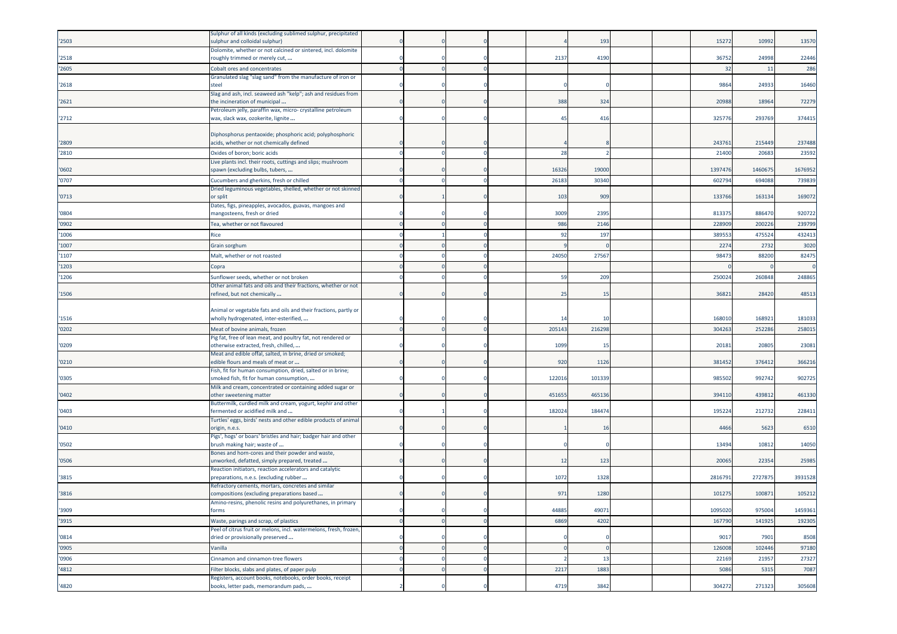|        | Sulphur of all kinds (excluding sublimed sulphur, precipitated                                             |  |  |                |        |  |         |         |         |
|--------|------------------------------------------------------------------------------------------------------------|--|--|----------------|--------|--|---------|---------|---------|
| '2503  | ulphur and colloidal sulphur)                                                                              |  |  |                | 193    |  | 15272   | 10992   | 13570   |
|        | Dolomite, whether or not calcined or sintered, incl. dolomite                                              |  |  |                |        |  |         |         |         |
| '2518  | roughly trimmed or merely cut,                                                                             |  |  | 2137           | 4190   |  | 3675    | 24998   | 22446   |
| '2605  | Cobalt ores and concentrates                                                                               |  |  |                |        |  | 32      | 11      | 286     |
|        | Granulated slag "slag sand" from the manufacture of iron or                                                |  |  |                |        |  |         |         |         |
| '2618  | tee                                                                                                        |  |  |                |        |  | 9864    | 24933   | 16460   |
|        | Slag and ash, incl. seaweed ash "kelp"; ash and residues from                                              |  |  |                |        |  |         |         |         |
| '2621  | the incineration of municipal                                                                              |  |  | 388            | 324    |  | 2098    | 1896    | 72279   |
| '2712  | Petroleum jelly, paraffin wax, micro- crystalline petroleum<br>wax, slack wax, ozokerite, lignite          |  |  | 4 <sup>5</sup> | 416    |  | 32577   | 29376   | 374415  |
|        |                                                                                                            |  |  |                |        |  |         |         |         |
|        | Diphosphorus pentaoxide; phosphoric acid; polyphosphoric                                                   |  |  |                |        |  |         |         |         |
| '2809  | acids, whether or not chemically defined                                                                   |  |  |                |        |  | 24376   | 215449  | 237488  |
| '2810  | Oxides of boron; boric acids                                                                               |  |  | 28             |        |  | 2140    | 2068    | 23592   |
|        | Live plants incl. their roots, cuttings and slips; mushroom                                                |  |  |                |        |  |         |         |         |
| '0602  | spawn (excluding bulbs, tubers,                                                                            |  |  | 16326          | 19000  |  | 139747  | 1460675 | 1676952 |
| '0707  | Cucumbers and gherkins, fresh or chilled                                                                   |  |  | 26183          | 30340  |  | 60279   | 694088  | 739839  |
|        | Dried leguminous vegetables, shelled, whether or not skinned                                               |  |  |                |        |  |         |         |         |
| '0713  | or split                                                                                                   |  |  | 103            | 909    |  | 13376   | 16313   | 169072  |
|        | Dates, figs, pineapples, avocados, guavas, mangoes and                                                     |  |  |                |        |  |         |         |         |
| '0804  | nangosteens, fresh or dried                                                                                |  |  | 3009           | 2395   |  | 81337   | 886470  | 920722  |
| '0902  | Tea, whether or not flavoured                                                                              |  |  | 986            | 2146   |  | 22890   | 200226  | 239799  |
| '1006  | Rice                                                                                                       |  |  | 92             | 197    |  | 38955   | 475524  | 432413  |
| '1007  |                                                                                                            |  |  |                |        |  | 227     | 273     | 3020    |
|        | Grain sorghum                                                                                              |  |  |                |        |  |         |         |         |
| '1107  | Malt, whether or not roasted                                                                               |  |  | 24050          | 27567  |  | 9847    | 8820    | 82475   |
| '1203  | Copra                                                                                                      |  |  |                |        |  |         |         |         |
| '1206  | Sunflower seeds, whether or not broken                                                                     |  |  | 59             | 209    |  | 25002   | 26084   | 248865  |
|        | Other animal fats and oils and their fractions, whether or not                                             |  |  |                |        |  |         |         |         |
| '1506  | refined, but not chemically                                                                                |  |  | 25             | 15     |  | 36821   | 28420   | 48513   |
|        |                                                                                                            |  |  |                |        |  |         |         |         |
|        | Animal or vegetable fats and oils and their fractions, partly or<br>wholly hydrogenated, inter-esterified, |  |  | 1 <sup>2</sup> |        |  | 168010  | 168921  |         |
| '1516  |                                                                                                            |  |  |                | 10     |  |         |         | 181033  |
| '0202  | Meat of bovine animals, frozen                                                                             |  |  | 205143         | 216298 |  | 304263  | 252286  | 258015  |
|        | Pig fat, free of lean meat, and poultry fat, not rendered or                                               |  |  | 1099           |        |  |         |         |         |
| '0209  | otherwise extracted, fresh, chilled,<br>Meat and edible offal, salted, in brine, dried or smoked;          |  |  |                | 15     |  | 20181   | 20805   | 23081   |
| '0210  | edible flours and meals of meat or                                                                         |  |  | 920            | 1126   |  | 381452  | 376412  | 366216  |
|        | Fish, fit for human consumption, dried, salted or in brine;                                                |  |  |                |        |  |         |         |         |
| '0305  | smoked fish, fit for human consumption,                                                                    |  |  | 12201          | 101339 |  | 98550   | 992742  | 902725  |
|        | Milk and cream, concentrated or containing added sugar or                                                  |  |  |                |        |  |         |         |         |
| '0402  | other sweetening matter                                                                                    |  |  | 45165          | 46513  |  | 39411   | 43981   | 461330  |
|        | Buttermilk, curdled milk and cream, yogurt, kephir and other                                               |  |  |                |        |  |         |         |         |
| '0403  | ermented or acidified milk and                                                                             |  |  | 182024         | 18447  |  | 19522   | 21273   | 228411  |
|        | Turtles' eggs, birds' nests and other edible products of animal                                            |  |  |                |        |  |         |         |         |
| '0410' | origin, n.e.s.                                                                                             |  |  |                | 16     |  | 4466    | 5623    | 6510    |
| '0502  | <sup>p</sup> igs', hogs' or boars' bristles and hair; badger hair and other<br>brush making hair; waste of |  |  |                |        |  | 13494   | 10812   | 14050   |
|        | Bones and horn-cores and their powder and waste,                                                           |  |  |                |        |  |         |         |         |
| '0506  | unworked, defatted, simply prepared, treated                                                               |  |  | 12             | 123    |  | 2006    | 22354   | 25985   |
|        | Reaction initiators, reaction accelerators and catalytic                                                   |  |  |                |        |  |         |         |         |
| '3815  | preparations, n.e.s. (excluding rubber                                                                     |  |  | 1072           | 1328   |  | 281679  | 272787  | 3931528 |
|        | Refractory cements, mortars, concretes and similar                                                         |  |  |                |        |  |         |         |         |
| '3816  | compositions (excluding preparations based                                                                 |  |  | 971            | 1280   |  | 101275  | 100871  | 105212  |
|        | Amino-resins, phenolic resins and polyurethanes, in primary                                                |  |  |                |        |  |         |         |         |
| '3909  | forms                                                                                                      |  |  | 44885          | 49071  |  | 1095020 | 975004  | 1459361 |
| '3915  | Waste, parings and scrap, of plastics                                                                      |  |  | 6869           | 4202   |  | 167790  | 141925  | 192305  |
|        | Peel of citrus fruit or melons, incl. watermelons, fresh, frozen,                                          |  |  |                |        |  |         |         |         |
| '0814  | dried or provisionally preserved                                                                           |  |  |                |        |  | 9017    | 7901    | 8508    |
| '0905  | Vanilla                                                                                                    |  |  |                |        |  | 126008  | 102446  | 97180   |
| '0906  | Cinnamon and cinnamon-tree flowers                                                                         |  |  |                | 13     |  | 22169   | 21957   | 27327   |
| '4812  | Filter blocks, slabs and plates, of paper pulp                                                             |  |  | 2217           | 1883   |  | 5086    | 5315    | 7087    |
|        | Registers, account books, notebooks, order books, receipt                                                  |  |  |                |        |  |         |         |         |
| '4820  | books, letter pads, memorandum pads,                                                                       |  |  | 4719           | 3842   |  | 304272  | 271323  | 305608  |
|        |                                                                                                            |  |  |                |        |  |         |         |         |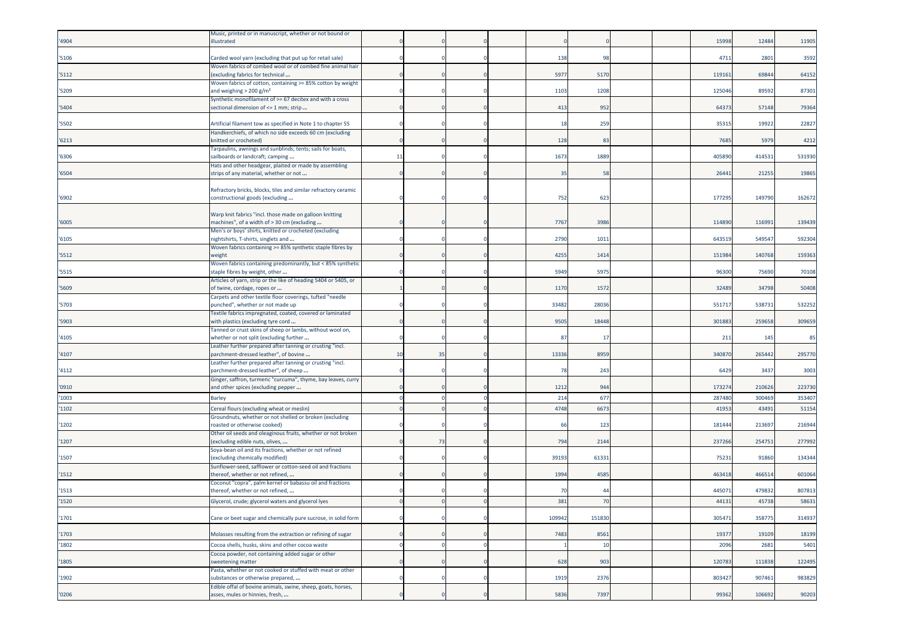| '4904          | Music, printed or in manuscript, whether or not bound or<br>illustrated                                |    |    |  |             |              |  | 15998           | 12484            | 11905            |
|----------------|--------------------------------------------------------------------------------------------------------|----|----|--|-------------|--------------|--|-----------------|------------------|------------------|
| '5106          | Carded wool yarn (excluding that put up for retail sale)                                               |    |    |  | 138         | 98           |  | 4711            | 2801             | 3592             |
| '5112          | Woven fabrics of combed wool or of combed fine animal hair<br>excluding fabrics for technical          |    |    |  | 5977        | 5170         |  | 11916:          | 69844            | 64152            |
| '5209          | Woven fabrics of cotton, containing >= 85% cotton by weight<br>and weighing $> 200$ g/m <sup>2</sup>   |    |    |  | 1103        | 1208         |  | 125046          | 89592            | 87301            |
| '5404          | Synthetic monofilament of >= 67 decitex and with a cross<br>sectional dimension of <= 1 mm; strip      |    |    |  | 413         | 952          |  | 64373           | 57148            | 79364            |
| '5502          | Artificial filament tow as specified in Note 1 to chapter 55                                           |    |    |  | 18          | 259          |  | 3531            | 19922            | 22827            |
| '6213          | Handkerchiefs, of which no side exceeds 60 cm (excluding<br>knitted or crocheted)                      |    |    |  | 128         | 83           |  | 7685            | 5979             | 4212             |
| '6306          | Farpaulins, awnings and sunblinds; tents; sails for boats,<br>sailboards or landcraft; camping         | 11 |    |  | 1673        | 1889         |  | 40589           | 414531           | 531930           |
| '6504          | Hats and other headgear, plaited or made by assembling<br>strips of any material, whether or not       |    |    |  | 35          | 58           |  | 26441           | 21255            | 19865            |
|                | Refractory bricks, blocks, tiles and similar refractory ceramic                                        |    |    |  |             |              |  |                 |                  |                  |
| '6902          | constructional goods (excluding                                                                        |    |    |  | 752         | 623          |  | 177295          | 149790           | 162672           |
| '6005          | Warp knit fabrics "incl. those made on galloon knitting<br>machines", of a width of > 30 cm (excluding |    |    |  | 7767        | 3986         |  | 114890          | 11699            | 139439           |
| '6105          | Men's or boys' shirts, knitted or crocheted (excluding<br>iightshirts, T-shirts, singlets and          |    |    |  | 2790        | 1011         |  | 643519          | 54954            | 592304           |
| '5512          | Woven fabrics containing >= 85% synthetic staple fibres by<br>weight                                   |    |    |  | 4255        | 1414         |  | 151984          | 140768           | 159363           |
| '5515          | Woven fabrics containing predominantly, but < 85% synthetic<br>staple fibres by weight, other          |    |    |  | 5949        | 5975         |  | 9630            | 75690            | 70108            |
| '5609          | Articles of yarn, strip or the like of heading 5404 or 5405, or<br>of twine, cordage, ropes or         |    |    |  | 1170        | 1572         |  | 32489           | 34798            | 50408            |
| '5703          | Carpets and other textile floor coverings, tufted "needle<br>punched", whether or not made up          |    |    |  | 33482       | 28036        |  | 55171           | 538731           | 532252           |
| '5903          | Textile fabrics impregnated, coated, covered or laminated<br>with plastics (excluding tyre cord        |    |    |  | 9505        | 18448        |  | 301883          | 259658           | 309659           |
| '4105          | Tanned or crust skins of sheep or lambs, without wool on,<br>whether or not split (excluding further   |    |    |  | 8           | $\mathbf{1}$ |  | 211             | 145              | 85               |
| '4107          | Leather further prepared after tanning or crusting "incl.<br>parchment-dressed leather", of bovine     | 10 | 35 |  | 13336       | 8959         |  | 34087           | 265442           | 295770           |
| '4112          | Leather further prepared after tanning or crusting "incl.                                              |    |    |  | 78          | 243          |  | 6429            | 3437             | 3003             |
|                | parchment-dressed leather", of sheep<br>Ginger, saffron, turmeric "curcuma", thyme, bay leaves, curry  |    |    |  |             |              |  |                 |                  |                  |
| '0910<br>'1003 | and other spices (excluding pepper<br>Barley                                                           |    |    |  | 1212<br>214 | 944<br>677   |  | 17327<br>287480 | 210626<br>300469 | 223730<br>353407 |
| '1102          | Cereal flours (excluding wheat or meslin)                                                              |    |    |  | 4748        | 6673         |  | 4195            | 43491            | 51154            |
| '1202          | Groundnuts, whether or not shelled or broken (excluding<br>roasted or otherwise cooked)                |    |    |  | 66          | 123          |  | 18144           | 213697           | 216944           |
| '1207          | Other oil seeds and oleaginous fruits, whether or not broken<br>(excluding edible nuts, olives,        |    | 73 |  | 794         | 2144         |  | 237266          | 254751           | 277992           |
| '1507          | Soya-bean oil and its fractions, whether or not refined<br>(excluding chemically modified)             |    |    |  | 39193       | 61331        |  | 75231           | 91860            | 134344           |
| '1512          | Sunflower-seed, safflower or cotton-seed oil and fractions<br>thereof, whether or not refined,         |    |    |  | 1994        | 4585         |  | 463418          | 46651            | 601064           |
| '1513          | Coconut "copra", palm kernel or babassu oil and fractions<br>thereof, whether or not refined,          |    |    |  | 70          | 44           |  | 44507           | 479832           | 807813           |
| 1520           | Glycerol, crude; glycerol waters and glycerol lyes                                                     |    |    |  | 381         | 70           |  | 44131           | 45738            | 58631            |
| '1701          | Cane or beet sugar and chemically pure sucrose, in solid form                                          |    |    |  | 109942      | 151830       |  | 305471          | 358775           | 314937           |
| '1703          | Molasses resulting from the extraction or refining of sugar                                            |    |    |  | 7483        | 8561         |  | 19377           | 19109            | 18199            |
| '1802          | Cocoa shells, husks, skins and other cocoa waste                                                       |    |    |  |             | 10           |  | 2096            | 2681             | 5401             |
| '1805          | Cocoa powder, not containing added sugar or other<br>sweetening matter                                 |    |    |  | 628         | 903          |  | 120783          | 111838           | 122495           |
| '1902          | Pasta, whether or not cooked or stuffed with meat or other<br>substances or otherwise prepared,        |    |    |  | 1919        | 2376         |  | 803427          | 907461           | 983829           |
|                | Edible offal of bovine animals, swine, sheep, goats, horses,                                           |    |    |  |             |              |  |                 |                  |                  |
| '0206          | asses, mules or hinnies, fresh,                                                                        |    |    |  | 5836        | 7397         |  | 99362           | 106692           | 90203            |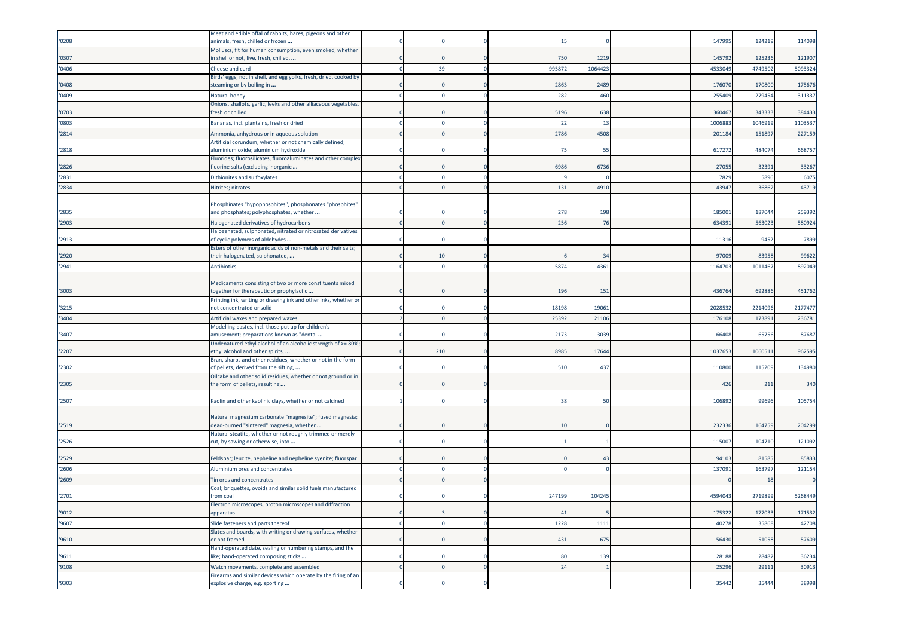|       | Meat and edible offal of rabbits, hares, pigeons and other                                             |     |        |        |  |         |         |         |
|-------|--------------------------------------------------------------------------------------------------------|-----|--------|--------|--|---------|---------|---------|
| '0208 | animals, fresh, chilled or frozen<br>Molluscs, fit for human consumption, even smoked, whether         |     | 1!     |        |  | 147995  | 124219  | 114098  |
| '0307 | in shell or not, live, fresh, chilled,                                                                 |     | 750    | 121    |  | 145792  | 125236  | 121907  |
| '0406 | Cheese and curd                                                                                        | 39  | 99587  | 106442 |  | 4533049 | 4749502 | 5093324 |
| '0408 | Birds' eggs, not in shell, and egg yolks, fresh, dried, cooked by<br>steaming or by boiling in         |     | 2863   | 2489   |  | 17607   | 170800  | 175676  |
| '0409 | Natural honey                                                                                          |     | 282    | 460    |  | 255409  | 27945   | 311337  |
| '0703 | Onions, shallots, garlic, leeks and other alliaceous vegetables,<br>fresh or chilled                   |     | 5196   | 638    |  | 360467  | 34333   | 384433  |
| '0803 | Bananas, incl. plantains, fresh or dried                                                               |     | 22     | 13     |  | 1006883 | 104691  | 1103537 |
| '2814 | Ammonia, anhydrous or in aqueous solution                                                              |     | 2786   | 450    |  | 20118   | 15189   | 227159  |
| '2818 | Artificial corundum, whether or not chemically defined;<br>aluminium oxide; aluminium hydroxide        |     | 75     | 55     |  | 617272  | 484074  | 668757  |
|       | Fluorides; fluorosilicates, fluoroaluminates and other complex                                         |     |        |        |  |         |         |         |
| '2826 | fluorine salts (excluding inorganic                                                                    |     | 6986   | 673    |  | 27055   | 32391   | 33267   |
| '2831 | Dithionites and sulfoxylates                                                                           |     |        |        |  | 7829    | 5896    | 6075    |
| '2834 | Nitrites; nitrates                                                                                     |     | 131    | 491    |  | 43947   | 36862   | 43719   |
|       | Phosphinates "hypophosphites", phosphonates "phosphites"                                               |     |        |        |  |         |         |         |
| '2835 | and phosphates; polyphosphates, whether                                                                |     | 278    | 19     |  | 185001  | 187044  | 259392  |
| '2903 | Halogenated derivatives of hydrocarbons                                                                |     | 256    | 76     |  | 63439   | 56302   | 580924  |
|       | Halogenated, sulphonated, nitrated or nitrosated derivatives                                           |     |        |        |  |         |         |         |
| '2913 | of cyclic polymers of aldehydes<br>Esters of other inorganic acids of non-metals and their salts;      |     |        |        |  | 11316   | 9452    | 7899    |
| '2920 | their halogenated, sulphonated,                                                                        | 10  |        | 34     |  | 97009   | 83958   | 99622   |
| '2941 | Antibiotics                                                                                            |     | 5874   | 4361   |  | 1164703 | 101146  | 892049  |
|       |                                                                                                        |     |        |        |  |         |         |         |
| '3003 | Medicaments consisting of two or more constituents mixed<br>together for therapeutic or prophylactic   |     | 196    | 151    |  | 436764  | 69288   | 451762  |
|       | Printing ink, writing or drawing ink and other inks, whether or                                        |     |        |        |  |         |         |         |
| '3215 | not concentrated or solid                                                                              |     | 18198  | 1906   |  | 202853  | 2214096 | 2177477 |
| '3404 | Artificial waxes and prepared waxes<br>Modelling pastes, incl. those put up for children's             |     | 25392  | 2110   |  | 176108  | 17389   | 236781  |
| '3407 | amusement; preparations known as "dental                                                               |     | 2173   | 303    |  | 66408   | 6575    | 87687   |
|       | Undenatured ethyl alcohol of an alcoholic strength of >= 80%;                                          | 210 | 8985   | 1764   |  | 1037653 | 106051  | 962595  |
| '2207 | ethyl alcohol and other spirits,<br>Bran, sharps and other residues, whether or not in the form        |     |        |        |  |         |         |         |
| '2302 | of pellets, derived from the sifting,                                                                  |     | 510    | 437    |  | 110800  | 115209  | 134980  |
| '2305 | Oilcake and other solid residues, whether or not ground or in<br>the form of pellets, resulting        |     |        |        |  | 426     | 211     | 340     |
| '2507 | Kaolin and other kaolinic clays, whether or not calcined                                               |     | 38     | 50     |  | 106892  | 99696   | 105754  |
|       |                                                                                                        |     |        |        |  |         |         |         |
|       | Natural magnesium carbonate "magnesite"; fused magnesia;                                               |     |        |        |  |         |         |         |
| '2519 | dead-burned "sintered" magnesia, whether<br>Natural steatite, whether or not roughly trimmed or merely |     | 10     |        |  | 23233   | 16475   | 204299  |
| '2526 | cut, by sawing or otherwise, into                                                                      |     |        |        |  | 115007  | 104710  | 121092  |
| '2529 | Feldspar; leucite, nepheline and nepheline syenite; fluorspar                                          |     |        | 43     |  | 94103   | 81585   | 85833   |
| '2606 | Aluminium ores and concentrates                                                                        |     |        |        |  | 137091  | 16379   | 121154  |
| '2609 | Tin ores and concentrates                                                                              |     |        |        |  |         | 18      |         |
| '2701 | Coal; briquettes, ovoids and similar solid fuels manufactured<br>from coal                             |     | 247199 | 104245 |  | 4594043 | 2719899 | 5268449 |
|       | Electron microscopes, proton microscopes and diffraction                                               |     |        |        |  |         |         |         |
| '9012 | apparatus                                                                                              |     | 41     |        |  | 175322  | 177033  | 171532  |
| '9607 | Slide fasteners and parts thereof                                                                      |     | 1228   | 111    |  | 40278   | 35868   | 42708   |
| '9610 | Slates and boards, with writing or drawing surfaces, whether<br>or not framed                          |     | 431    | 675    |  | 56430   | 51058   | 57609   |
| '9611 | Hand-operated date, sealing or numbering stamps, and the<br>like; hand-operated composing sticks       |     | 80     | 139    |  | 28188   | 28482   | 36234   |
| '9108 | Watch movements, complete and assembled                                                                |     | 24     |        |  | 25296   | 2911    | 30913   |
|       | Firearms and similar devices which operate by the firing of an                                         |     |        |        |  |         |         |         |
| '9303 | explosive charge, e.g. sporting                                                                        |     |        |        |  | 35442   | 35444   | 38998   |